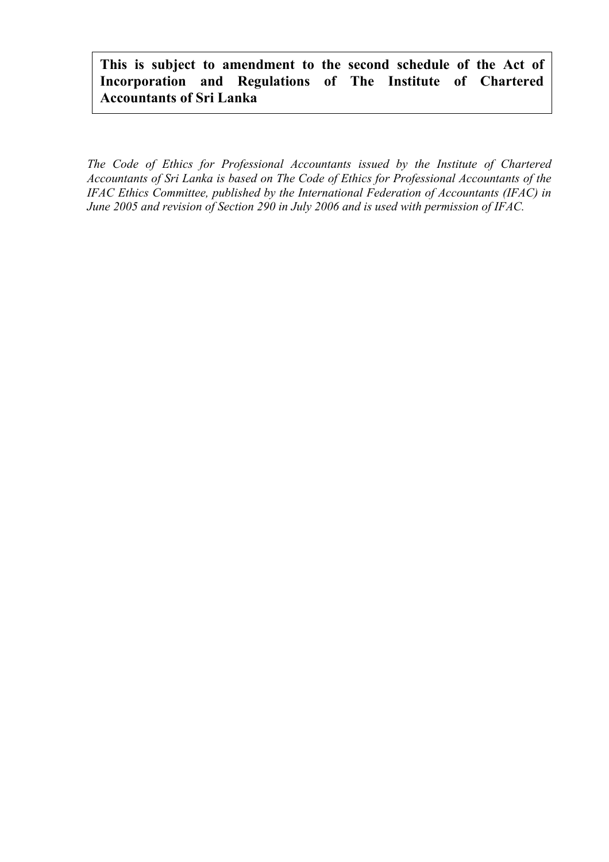# **This is subject to amendment to the second schedule of the Act of Incorporation and Regulations of The Institute of Chartered Accountants of Sri Lanka**

*The Code of Ethics for Professional Accountants issued by the Institute of Chartered Accountants of Sri Lanka is based on The Code of Ethics for Professional Accountants of the IFAC Ethics Committee, published by the International Federation of Accountants (IFAC) in June 2005 and revision of Section 290 in July 2006 and is used with permission of IFAC.*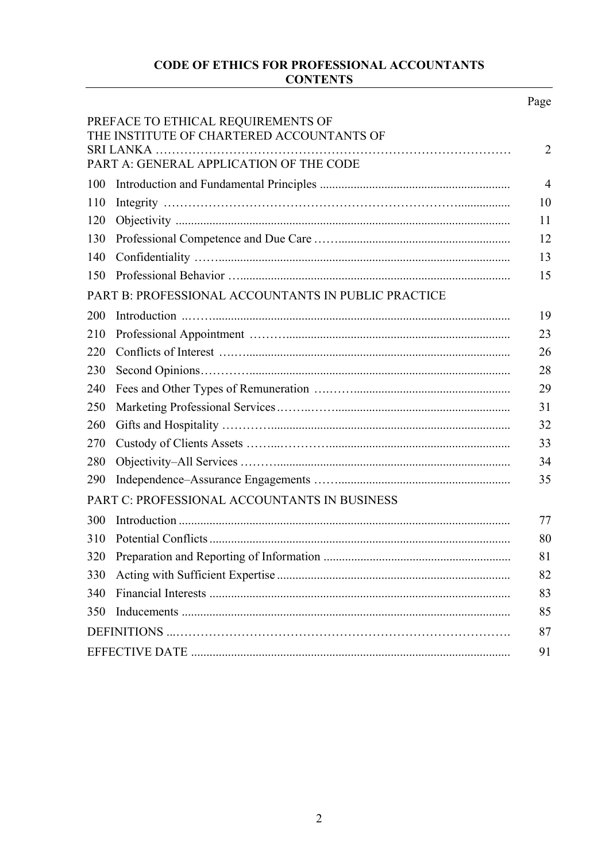### **CODE OF ETHICS FOR PROFESSIONAL ACCOUNTANTS CONTENTS**

|     |                                                     | Page           |
|-----|-----------------------------------------------------|----------------|
|     | PREFACE TO ETHICAL REQUIREMENTS OF                  |                |
|     | THE INSTITUTE OF CHARTERED ACCOUNTANTS OF           |                |
|     | PART A: GENERAL APPLICATION OF THE CODE             | $\overline{2}$ |
|     |                                                     |                |
| 100 |                                                     | $\overline{4}$ |
| 110 |                                                     | 10             |
| 120 |                                                     | 11             |
| 130 |                                                     | 12             |
| 140 |                                                     | 13             |
| 150 |                                                     | 15             |
|     | PART B: PROFESSIONAL ACCOUNTANTS IN PUBLIC PRACTICE |                |
| 200 |                                                     | 19             |
| 210 |                                                     | 23             |
| 220 |                                                     | 26             |
| 230 |                                                     | 28             |
| 240 |                                                     | 29             |
| 250 |                                                     | 31             |
| 260 |                                                     | 32             |
| 270 |                                                     | 33             |
| 280 |                                                     | 34             |
| 290 |                                                     | 35             |
|     | PART C: PROFESSIONAL ACCOUNTANTS IN BUSINESS        |                |
| 300 |                                                     | 77             |
| 310 |                                                     | 80             |
| 320 |                                                     | 81             |
| 330 |                                                     | 82             |
| 340 |                                                     | 83             |
| 350 |                                                     | 85             |
|     |                                                     | 87             |
|     |                                                     | 91             |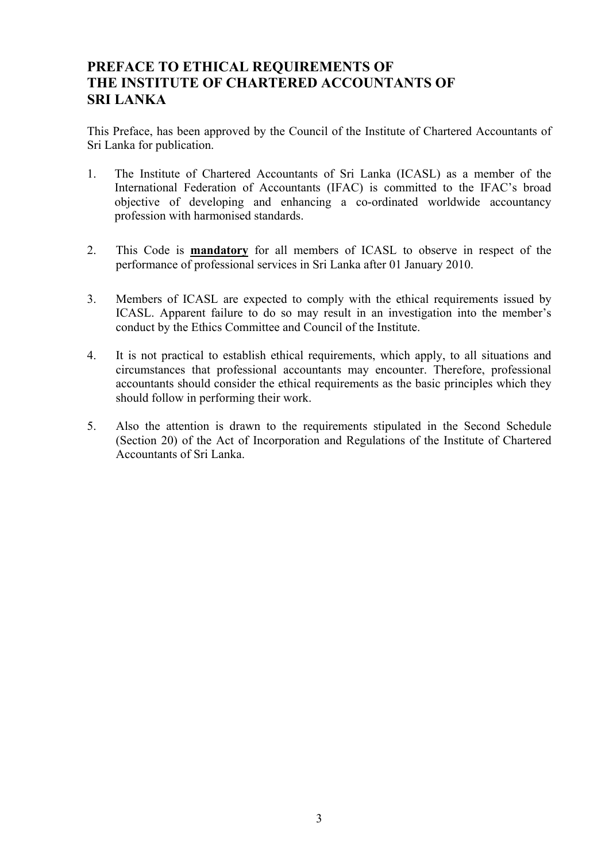# **PREFACE TO ETHICAL REQUIREMENTS OF THE INSTITUTE OF CHARTERED ACCOUNTANTS OF SRI LANKA**

This Preface, has been approved by the Council of the Institute of Chartered Accountants of Sri Lanka for publication.

- 1. The Institute of Chartered Accountants of Sri Lanka (ICASL) as a member of the International Federation of Accountants (IFAC) is committed to the IFAC's broad objective of developing and enhancing a co-ordinated worldwide accountancy profession with harmonised standards.
- 2. This Code is **mandatory** for all members of ICASL to observe in respect of the performance of professional services in Sri Lanka after 01 January 2010.
- 3. Members of ICASL are expected to comply with the ethical requirements issued by ICASL. Apparent failure to do so may result in an investigation into the member's conduct by the Ethics Committee and Council of the Institute.
- 4. It is not practical to establish ethical requirements, which apply, to all situations and circumstances that professional accountants may encounter. Therefore, professional accountants should consider the ethical requirements as the basic principles which they should follow in performing their work.
- 5. Also the attention is drawn to the requirements stipulated in the Second Schedule (Section 20) of the Act of Incorporation and Regulations of the Institute of Chartered Accountants of Sri Lanka.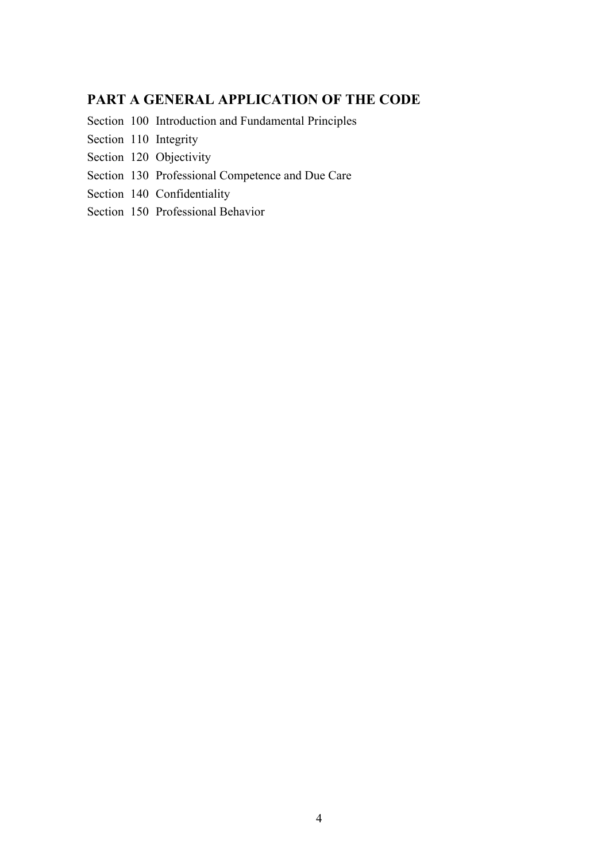# **PART A GENERAL APPLICATION OF THE CODE**

- Section 100 Introduction and Fundamental Principles
- Section 110 Integrity
- Section 120 Objectivity
- Section 130 Professional Competence and Due Care
- Section 140 Confidentiality
- Section 150 Professional Behavior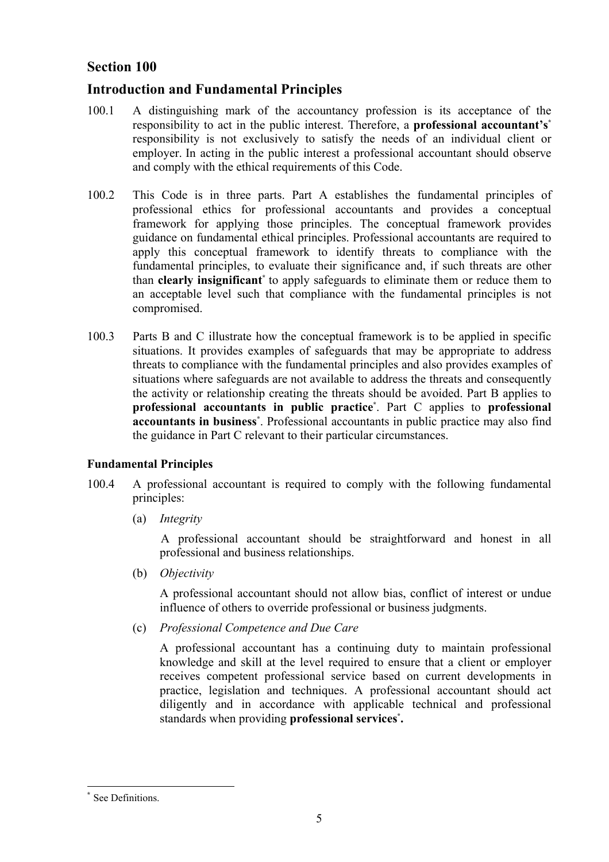### **Introduction and Fundamental Principles**

- 100.1 A distinguishing mark of the accountancy profession is its acceptance of the responsibility to act in the public interest. Therefore, a **professional accountant's\*** responsibility is not exclusively to satisfy the needs of an individual client or employer. In acting in the public interest a professional accountant should observe and comply with the ethical requirements of this Code.
- 100.2 This Code is in three parts. Part A establishes the fundamental principles of professional ethics for professional accountants and provides a conceptual framework for applying those principles. The conceptual framework provides guidance on fundamental ethical principles. Professional accountants are required to apply this conceptual framework to identify threats to compliance with the fundamental principles, to evaluate their significance and, if such threats are other than **clearly insignificant\*** to apply safeguards to eliminate them or reduce them to an acceptable level such that compliance with the fundamental principles is not compromised.
- 100.3 Parts B and C illustrate how the conceptual framework is to be applied in specific situations. It provides examples of safeguards that may be appropriate to address threats to compliance with the fundamental principles and also provides examples of situations where safeguards are not available to address the threats and consequently the activity or relationship creating the threats should be avoided. Part B applies to **professional accountants in public practice\*** . Part C applies to **professional accountants in business\*** . Professional accountants in public practice may also find the guidance in Part C relevant to their particular circumstances.

#### **Fundamental Principles**

- 100.4 A professional accountant is required to comply with the following fundamental principles:
	- (a) *Integrity*

 A professional accountant should be straightforward and honest in all professional and business relationships.

(b) *Objectivity* 

 A professional accountant should not allow bias, conflict of interest or undue influence of others to override professional or business judgments.

(c) *Professional Competence and Due Care* 

 A professional accountant has a continuing duty to maintain professional knowledge and skill at the level required to ensure that a client or employer receives competent professional service based on current developments in practice, legislation and techniques. A professional accountant should act diligently and in accordance with applicable technical and professional standards when providing **professional services\* .**

**<sup>\*</sup>** See Definitions.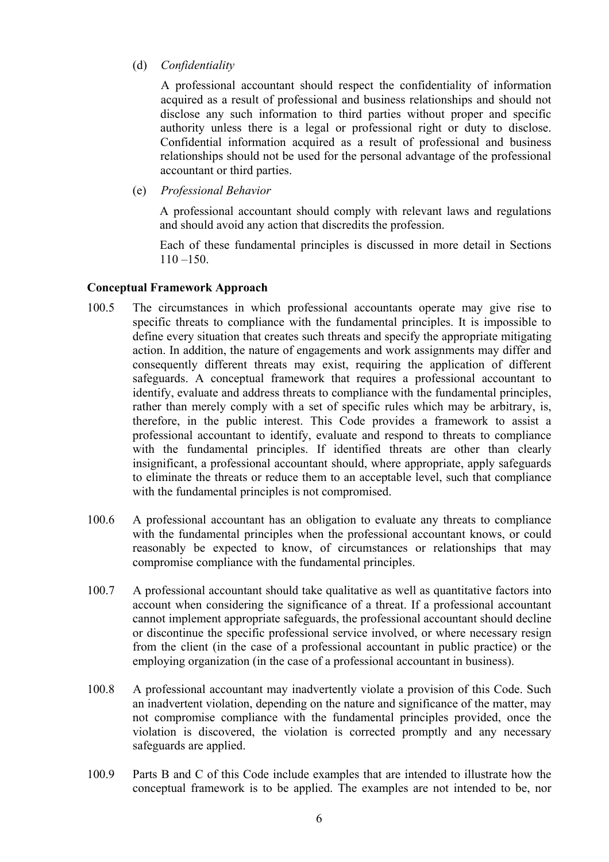#### (d) *Confidentiality*

 A professional accountant should respect the confidentiality of information acquired as a result of professional and business relationships and should not disclose any such information to third parties without proper and specific authority unless there is a legal or professional right or duty to disclose. Confidential information acquired as a result of professional and business relationships should not be used for the personal advantage of the professional accountant or third parties.

(e) *Professional Behavior* 

 A professional accountant should comply with relevant laws and regulations and should avoid any action that discredits the profession.

 Each of these fundamental principles is discussed in more detail in Sections  $110 - 150$ .

#### **Conceptual Framework Approach**

- 100.5 The circumstances in which professional accountants operate may give rise to specific threats to compliance with the fundamental principles. It is impossible to define every situation that creates such threats and specify the appropriate mitigating action. In addition, the nature of engagements and work assignments may differ and consequently different threats may exist, requiring the application of different safeguards. A conceptual framework that requires a professional accountant to identify, evaluate and address threats to compliance with the fundamental principles, rather than merely comply with a set of specific rules which may be arbitrary, is, therefore, in the public interest. This Code provides a framework to assist a professional accountant to identify, evaluate and respond to threats to compliance with the fundamental principles. If identified threats are other than clearly insignificant, a professional accountant should, where appropriate, apply safeguards to eliminate the threats or reduce them to an acceptable level, such that compliance with the fundamental principles is not compromised.
- 100.6 A professional accountant has an obligation to evaluate any threats to compliance with the fundamental principles when the professional accountant knows, or could reasonably be expected to know, of circumstances or relationships that may compromise compliance with the fundamental principles.
- 100.7 A professional accountant should take qualitative as well as quantitative factors into account when considering the significance of a threat. If a professional accountant cannot implement appropriate safeguards, the professional accountant should decline or discontinue the specific professional service involved, or where necessary resign from the client (in the case of a professional accountant in public practice) or the employing organization (in the case of a professional accountant in business).
- 100.8 A professional accountant may inadvertently violate a provision of this Code. Such an inadvertent violation, depending on the nature and significance of the matter, may not compromise compliance with the fundamental principles provided, once the violation is discovered, the violation is corrected promptly and any necessary safeguards are applied.
- 100.9 Parts B and C of this Code include examples that are intended to illustrate how the conceptual framework is to be applied. The examples are not intended to be, nor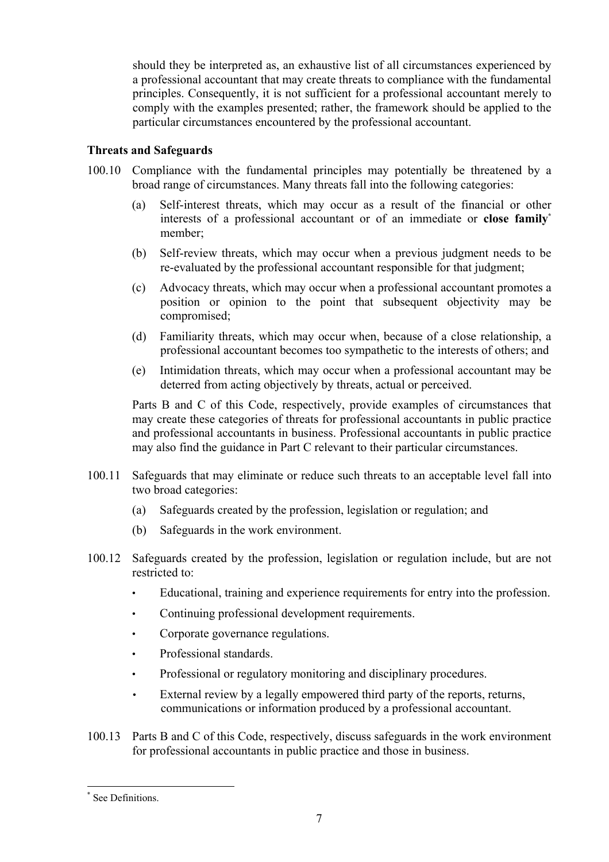should they be interpreted as, an exhaustive list of all circumstances experienced by a professional accountant that may create threats to compliance with the fundamental principles. Consequently, it is not sufficient for a professional accountant merely to comply with the examples presented; rather, the framework should be applied to the particular circumstances encountered by the professional accountant.

#### **Threats and Safeguards**

- 100.10 Compliance with the fundamental principles may potentially be threatened by a broad range of circumstances. Many threats fall into the following categories:
	- (a) Self-interest threats, which may occur as a result of the financial or other interests of a professional accountant or of an immediate or **close family\*** member;
	- (b) Self-review threats, which may occur when a previous judgment needs to be re-evaluated by the professional accountant responsible for that judgment;
	- (c) Advocacy threats, which may occur when a professional accountant promotes a position or opinion to the point that subsequent objectivity may be compromised;
	- (d) Familiarity threats, which may occur when, because of a close relationship, a professional accountant becomes too sympathetic to the interests of others; and
	- (e) Intimidation threats, which may occur when a professional accountant may be deterred from acting objectively by threats, actual or perceived.

Parts B and C of this Code, respectively, provide examples of circumstances that may create these categories of threats for professional accountants in public practice and professional accountants in business. Professional accountants in public practice may also find the guidance in Part C relevant to their particular circumstances.

- 100.11 Safeguards that may eliminate or reduce such threats to an acceptable level fall into two broad categories:
	- (a) Safeguards created by the profession, legislation or regulation; and
	- (b) Safeguards in the work environment.
- 100.12 Safeguards created by the profession, legislation or regulation include, but are not restricted to:
	- Educational, training and experience requirements for entry into the profession.
	- Continuing professional development requirements.
	- Corporate governance regulations.
	- Professional standards.
	- Professional or regulatory monitoring and disciplinary procedures.
	- External review by a legally empowered third party of the reports, returns, communications or information produced by a professional accountant.
- 100.13 Parts B and C of this Code, respectively, discuss safeguards in the work environment for professional accountants in public practice and those in business.

<sup>\*</sup> See Definitions.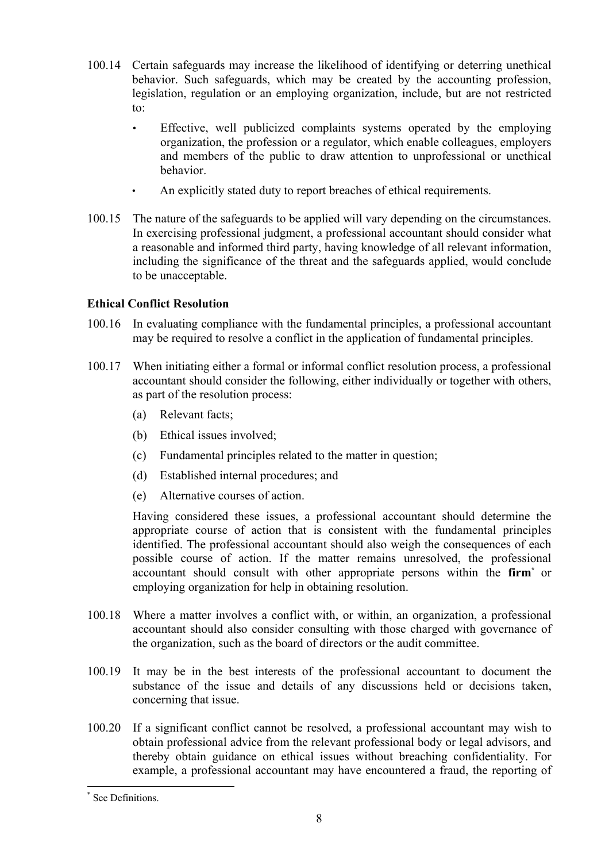- 100.14 Certain safeguards may increase the likelihood of identifying or deterring unethical behavior. Such safeguards, which may be created by the accounting profession, legislation, regulation or an employing organization, include, but are not restricted to:
	- Effective, well publicized complaints systems operated by the employing organization, the profession or a regulator, which enable colleagues, employers and members of the public to draw attention to unprofessional or unethical behavior.
	- An explicitly stated duty to report breaches of ethical requirements.
- 100.15 The nature of the safeguards to be applied will vary depending on the circumstances. In exercising professional judgment, a professional accountant should consider what a reasonable and informed third party, having knowledge of all relevant information, including the significance of the threat and the safeguards applied, would conclude to be unacceptable.

#### **Ethical Conflict Resolution**

- 100.16 In evaluating compliance with the fundamental principles, a professional accountant may be required to resolve a conflict in the application of fundamental principles.
- 100.17 When initiating either a formal or informal conflict resolution process, a professional accountant should consider the following, either individually or together with others, as part of the resolution process:
	- (a) Relevant facts;
	- (b) Ethical issues involved;
	- (c) Fundamental principles related to the matter in question;
	- (d) Established internal procedures; and
	- (e) Alternative courses of action.

 Having considered these issues, a professional accountant should determine the appropriate course of action that is consistent with the fundamental principles identified. The professional accountant should also weigh the consequences of each possible course of action. If the matter remains unresolved, the professional accountant should consult with other appropriate persons within the **firm\*** or employing organization for help in obtaining resolution.

- 100.18 Where a matter involves a conflict with, or within, an organization, a professional accountant should also consider consulting with those charged with governance of the organization, such as the board of directors or the audit committee.
- 100.19 It may be in the best interests of the professional accountant to document the substance of the issue and details of any discussions held or decisions taken, concerning that issue.
- 100.20 If a significant conflict cannot be resolved, a professional accountant may wish to obtain professional advice from the relevant professional body or legal advisors, and thereby obtain guidance on ethical issues without breaching confidentiality. For example, a professional accountant may have encountered a fraud, the reporting of

<sup>\*</sup> See Definitions.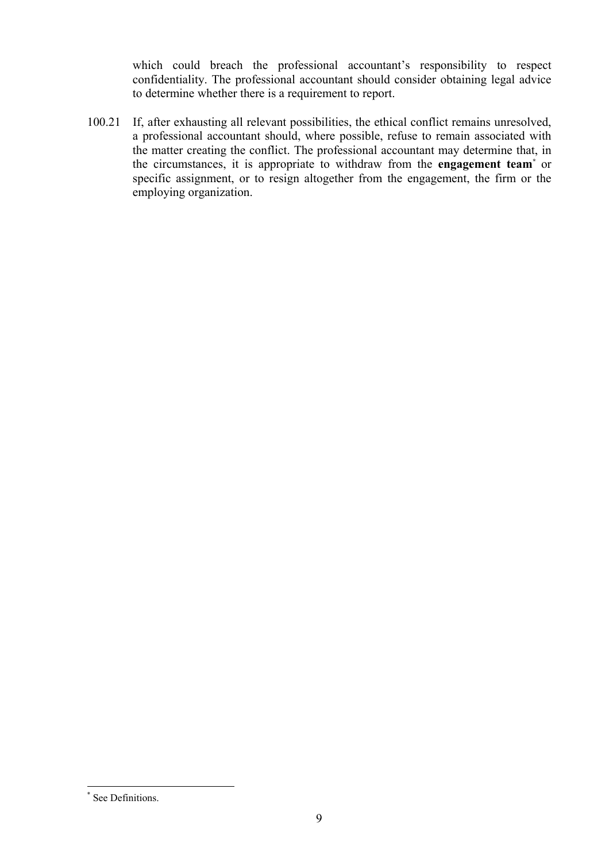which could breach the professional accountant's responsibility to respect confidentiality. The professional accountant should consider obtaining legal advice to determine whether there is a requirement to report.

100.21 If, after exhausting all relevant possibilities, the ethical conflict remains unresolved, a professional accountant should, where possible, refuse to remain associated with the matter creating the conflict. The professional accountant may determine that, in the circumstances, it is appropriate to withdraw from the **engagement team\*** or specific assignment, or to resign altogether from the engagement, the firm or the employing organization.

 $\overline{a}$ \* See Definitions.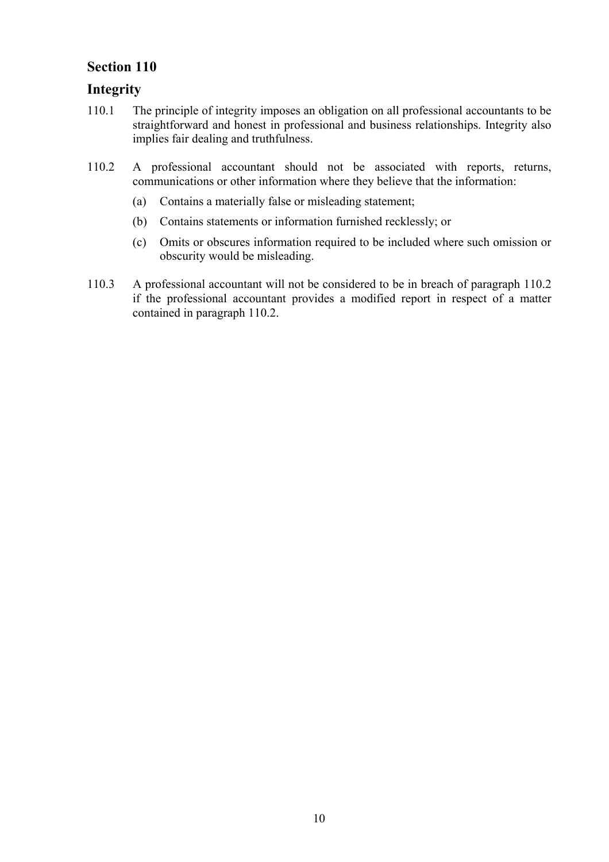# **Integrity**

- 110.1 The principle of integrity imposes an obligation on all professional accountants to be straightforward and honest in professional and business relationships. Integrity also implies fair dealing and truthfulness.
- 110.2 A professional accountant should not be associated with reports, returns, communications or other information where they believe that the information:
	- (a) Contains a materially false or misleading statement;
	- (b) Contains statements or information furnished recklessly; or
	- (c) Omits or obscures information required to be included where such omission or obscurity would be misleading.
- 110.3 A professional accountant will not be considered to be in breach of paragraph 110.2 if the professional accountant provides a modified report in respect of a matter contained in paragraph 110.2.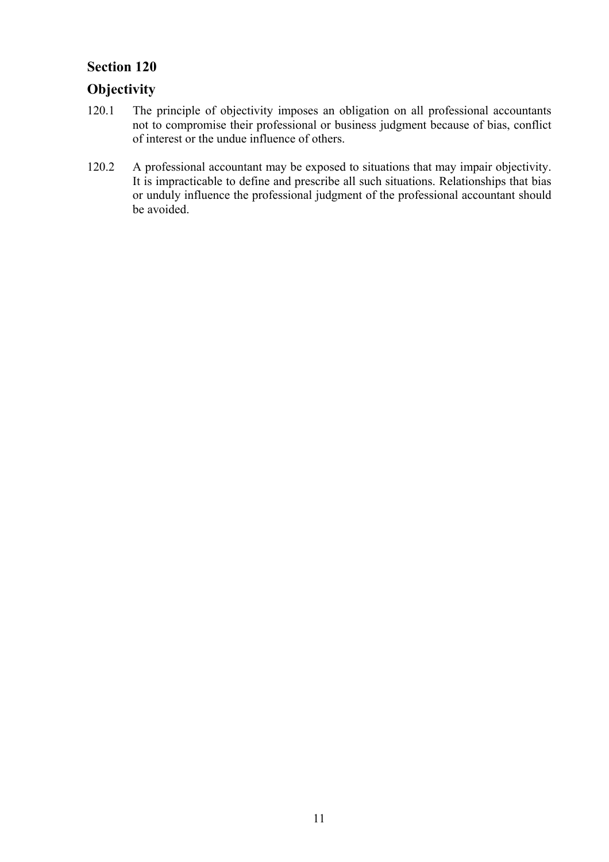# **Objectivity**

- 120.1 The principle of objectivity imposes an obligation on all professional accountants not to compromise their professional or business judgment because of bias, conflict of interest or the undue influence of others.
- 120.2 A professional accountant may be exposed to situations that may impair objectivity. It is impracticable to define and prescribe all such situations. Relationships that bias or unduly influence the professional judgment of the professional accountant should be avoided.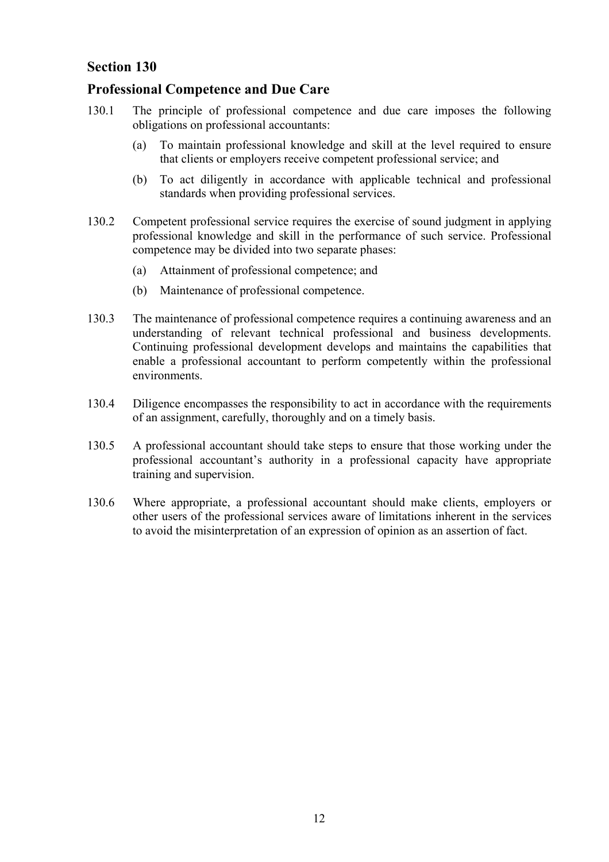### **Professional Competence and Due Care**

- 130.1 The principle of professional competence and due care imposes the following obligations on professional accountants:
	- (a) To maintain professional knowledge and skill at the level required to ensure that clients or employers receive competent professional service; and
	- (b) To act diligently in accordance with applicable technical and professional standards when providing professional services.
- 130.2 Competent professional service requires the exercise of sound judgment in applying professional knowledge and skill in the performance of such service. Professional competence may be divided into two separate phases:
	- (a) Attainment of professional competence; and
	- (b) Maintenance of professional competence.
- 130.3 The maintenance of professional competence requires a continuing awareness and an understanding of relevant technical professional and business developments. Continuing professional development develops and maintains the capabilities that enable a professional accountant to perform competently within the professional environments.
- 130.4 Diligence encompasses the responsibility to act in accordance with the requirements of an assignment, carefully, thoroughly and on a timely basis.
- 130.5 A professional accountant should take steps to ensure that those working under the professional accountant's authority in a professional capacity have appropriate training and supervision.
- 130.6 Where appropriate, a professional accountant should make clients, employers or other users of the professional services aware of limitations inherent in the services to avoid the misinterpretation of an expression of opinion as an assertion of fact.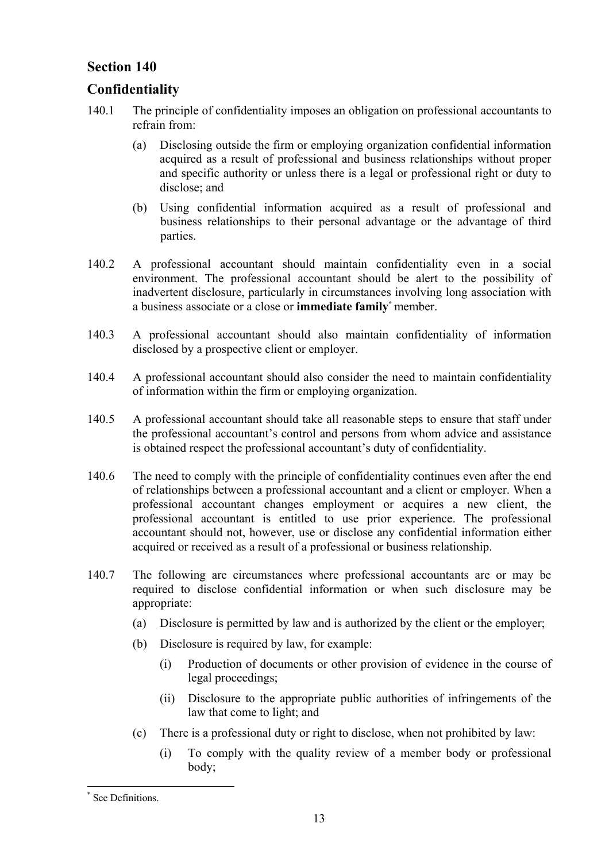# **Confidentiality**

- 140.1 The principle of confidentiality imposes an obligation on professional accountants to refrain from:
	- (a) Disclosing outside the firm or employing organization confidential information acquired as a result of professional and business relationships without proper and specific authority or unless there is a legal or professional right or duty to disclose; and
	- (b) Using confidential information acquired as a result of professional and business relationships to their personal advantage or the advantage of third parties.
- 140.2 A professional accountant should maintain confidentiality even in a social environment. The professional accountant should be alert to the possibility of inadvertent disclosure, particularly in circumstances involving long association with a business associate or a close or **immediate family\*** member.
- 140.3 A professional accountant should also maintain confidentiality of information disclosed by a prospective client or employer.
- 140.4 A professional accountant should also consider the need to maintain confidentiality of information within the firm or employing organization.
- 140.5 A professional accountant should take all reasonable steps to ensure that staff under the professional accountant's control and persons from whom advice and assistance is obtained respect the professional accountant's duty of confidentiality.
- 140.6 The need to comply with the principle of confidentiality continues even after the end of relationships between a professional accountant and a client or employer. When a professional accountant changes employment or acquires a new client, the professional accountant is entitled to use prior experience. The professional accountant should not, however, use or disclose any confidential information either acquired or received as a result of a professional or business relationship.
- 140.7 The following are circumstances where professional accountants are or may be required to disclose confidential information or when such disclosure may be appropriate:
	- (a) Disclosure is permitted by law and is authorized by the client or the employer;
	- (b) Disclosure is required by law, for example:
		- (i) Production of documents or other provision of evidence in the course of legal proceedings;
		- (ii) Disclosure to the appropriate public authorities of infringements of the law that come to light; and
	- (c) There is a professional duty or right to disclose, when not prohibited by law:
		- (i) To comply with the quality review of a member body or professional body;

<sup>\*</sup> See Definitions.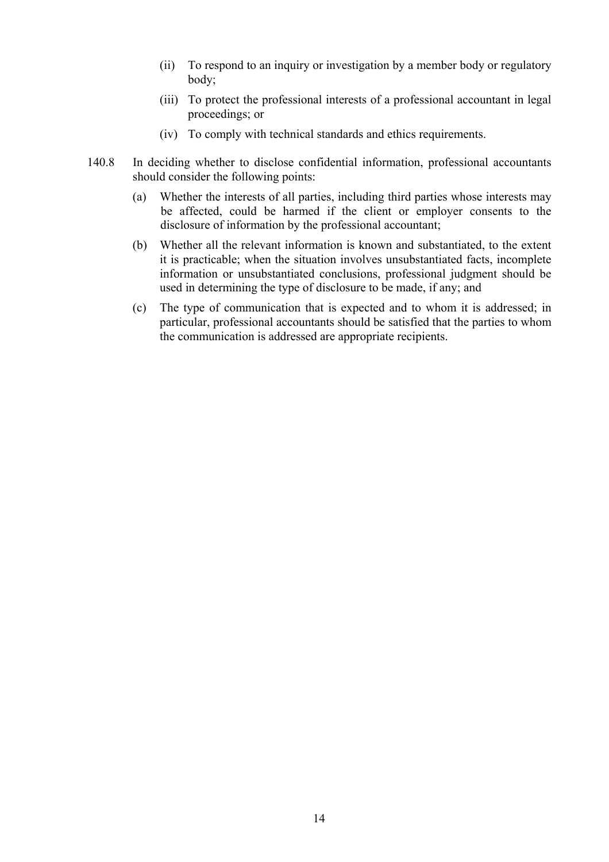- (ii) To respond to an inquiry or investigation by a member body or regulatory body;
- (iii) To protect the professional interests of a professional accountant in legal proceedings; or
- (iv) To comply with technical standards and ethics requirements.
- 140.8 In deciding whether to disclose confidential information, professional accountants should consider the following points:
	- (a) Whether the interests of all parties, including third parties whose interests may be affected, could be harmed if the client or employer consents to the disclosure of information by the professional accountant;
	- (b) Whether all the relevant information is known and substantiated, to the extent it is practicable; when the situation involves unsubstantiated facts, incomplete information or unsubstantiated conclusions, professional judgment should be used in determining the type of disclosure to be made, if any; and
	- (c) The type of communication that is expected and to whom it is addressed; in particular, professional accountants should be satisfied that the parties to whom the communication is addressed are appropriate recipients.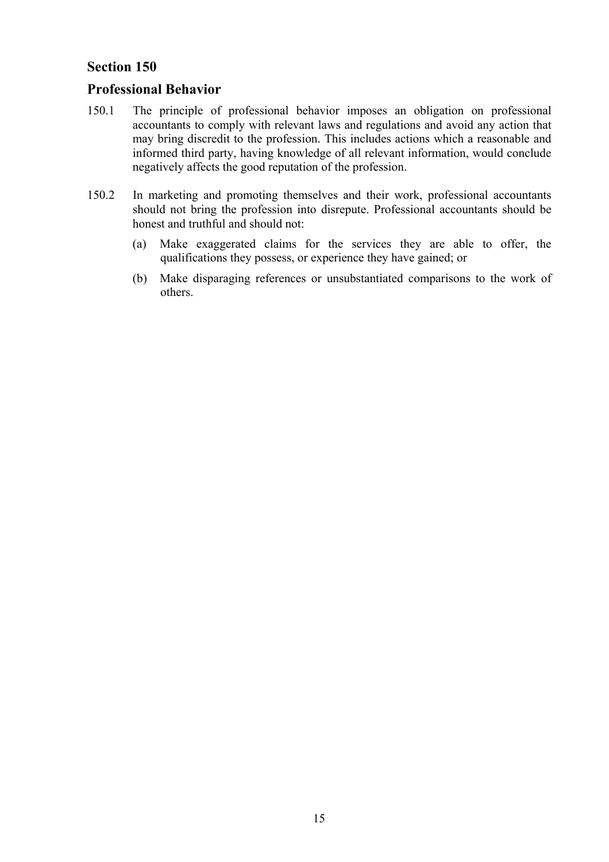#### **Professional Behavior**

- 150.1 The principle of professional behavior imposes an obligation on professional accountants to comply with relevant laws and regulations and avoid any action that may bring discredit to the profession. This includes actions which a reasonable and informed third party, having knowledge of all relevant information, would conclude negatively affects the good reputation of the profession.
- 150.2 In marketing and promoting themselves and their work, professional accountants should not bring the profession into disrepute. Professional accountants should be honest and truthful and should not:
	- (a) Make exaggerated claims for the services they are able to offer, the qualifications they possess, or experience they have gained; or
	- (b) Make disparaging references or unsubstantiated comparisons to the work of others.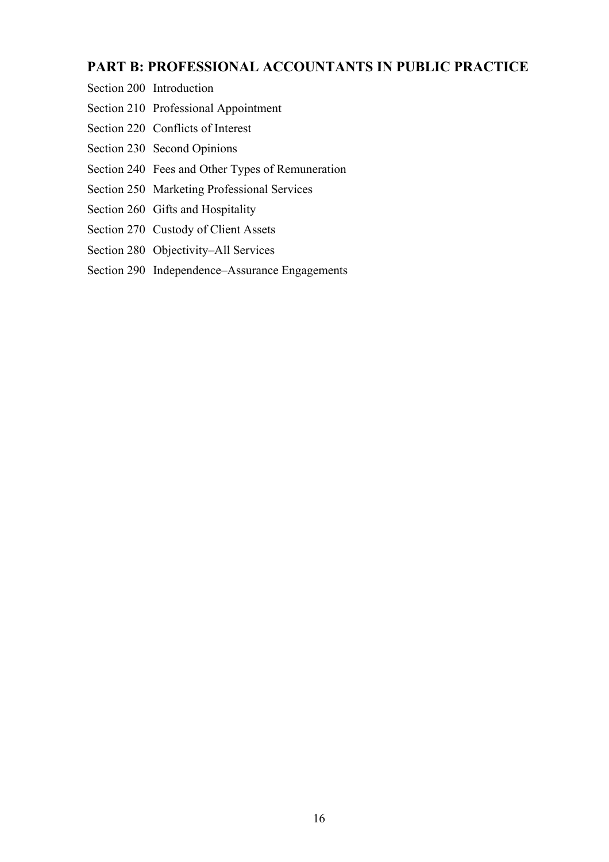# **PART B: PROFESSIONAL ACCOUNTANTS IN PUBLIC PRACTICE**

- Section 200 Introduction
- Section 210 Professional Appointment
- Section 220 Conflicts of Interest
- Section 230 Second Opinions
- Section 240 Fees and Other Types of Remuneration
- Section 250 Marketing Professional Services
- Section 260 Gifts and Hospitality
- Section 270 Custody of Client Assets
- Section 280 Objectivity–All Services
- Section 290 Independence–Assurance Engagements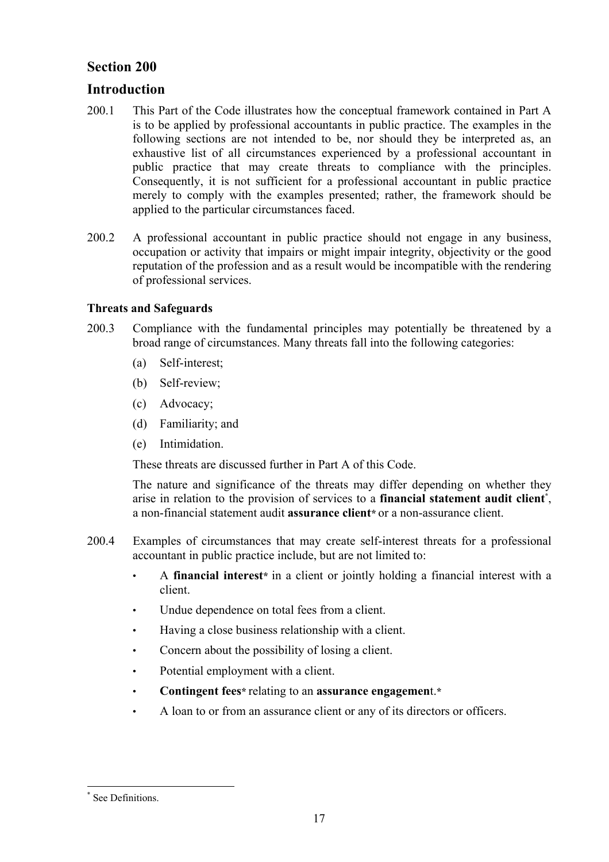# **Introduction**

- 200.1 This Part of the Code illustrates how the conceptual framework contained in Part A is to be applied by professional accountants in public practice. The examples in the following sections are not intended to be, nor should they be interpreted as, an exhaustive list of all circumstances experienced by a professional accountant in public practice that may create threats to compliance with the principles. Consequently, it is not sufficient for a professional accountant in public practice merely to comply with the examples presented; rather, the framework should be applied to the particular circumstances faced.
- 200.2 A professional accountant in public practice should not engage in any business, occupation or activity that impairs or might impair integrity, objectivity or the good reputation of the profession and as a result would be incompatible with the rendering of professional services.

#### **Threats and Safeguards**

- 200.3 Compliance with the fundamental principles may potentially be threatened by a broad range of circumstances. Many threats fall into the following categories:
	- (a) Self-interest;
	- (b) Self-review;
	- (c) Advocacy;
	- (d) Familiarity; and
	- (e) Intimidation.

These threats are discussed further in Part A of this Code.

 The nature and significance of the threats may differ depending on whether they arise in relation to the provision of services to a **financial statement audit client\*** , a non-financial statement audit **assurance client\*** or a non-assurance client.

- 200.4 Examples of circumstances that may create self-interest threats for a professional accountant in public practice include, but are not limited to:
	- A **financial interest\*** in a client or jointly holding a financial interest with a client.
	- Undue dependence on total fees from a client.
	- Having a close business relationship with a client.
	- Concern about the possibility of losing a client.
	- Potential employment with a client.
	- **Contingent fees\*** relating to an **assurance engagemen**t.**\***
	- A loan to or from an assurance client or any of its directors or officers.

 $\overline{a}$ \* See Definitions.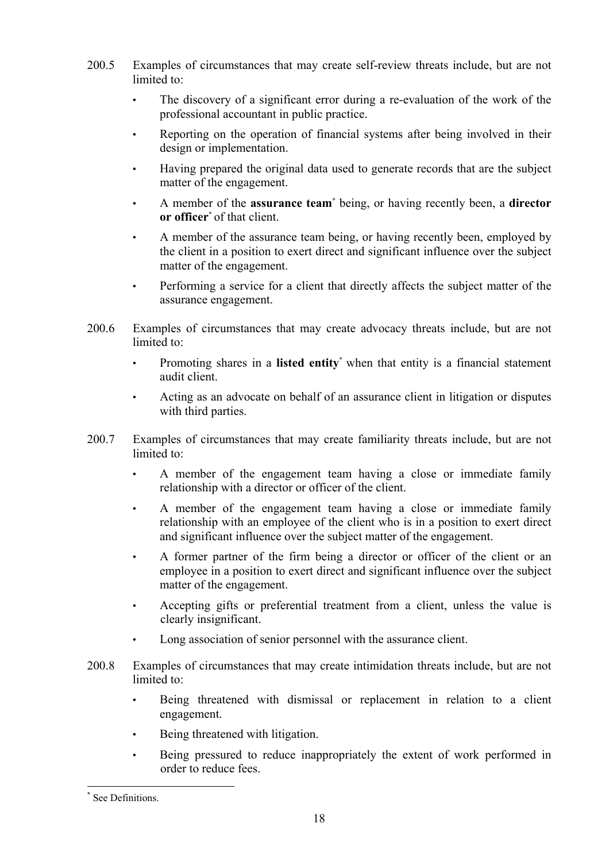- 200.5 Examples of circumstances that may create self-review threats include, but are not limited to:
	- The discovery of a significant error during a re-evaluation of the work of the professional accountant in public practice.
	- Reporting on the operation of financial systems after being involved in their design or implementation.
	- Having prepared the original data used to generate records that are the subject matter of the engagement.
	- A member of the **assurance team\*** being, or having recently been, a **director or officer\*** of that client.
	- A member of the assurance team being, or having recently been, employed by the client in a position to exert direct and significant influence over the subject matter of the engagement.
	- Performing a service for a client that directly affects the subject matter of the assurance engagement.
- 200.6 Examples of circumstances that may create advocacy threats include, but are not limited to:
	- Promoting shares in a **listed entity\*** when that entity is a financial statement audit client.
	- Acting as an advocate on behalf of an assurance client in litigation or disputes with third parties.
- 200.7 Examples of circumstances that may create familiarity threats include, but are not limited to:
	- A member of the engagement team having a close or immediate family relationship with a director or officer of the client.
	- A member of the engagement team having a close or immediate family relationship with an employee of the client who is in a position to exert direct and significant influence over the subject matter of the engagement.
	- A former partner of the firm being a director or officer of the client or an employee in a position to exert direct and significant influence over the subject matter of the engagement.
	- Accepting gifts or preferential treatment from a client, unless the value is clearly insignificant.
	- Long association of senior personnel with the assurance client.
- 200.8 Examples of circumstances that may create intimidation threats include, but are not limited to:
	- Being threatened with dismissal or replacement in relation to a client engagement.
	- Being threatened with litigation.
	- Being pressured to reduce inappropriately the extent of work performed in order to reduce fees.

<sup>\*</sup> See Definitions.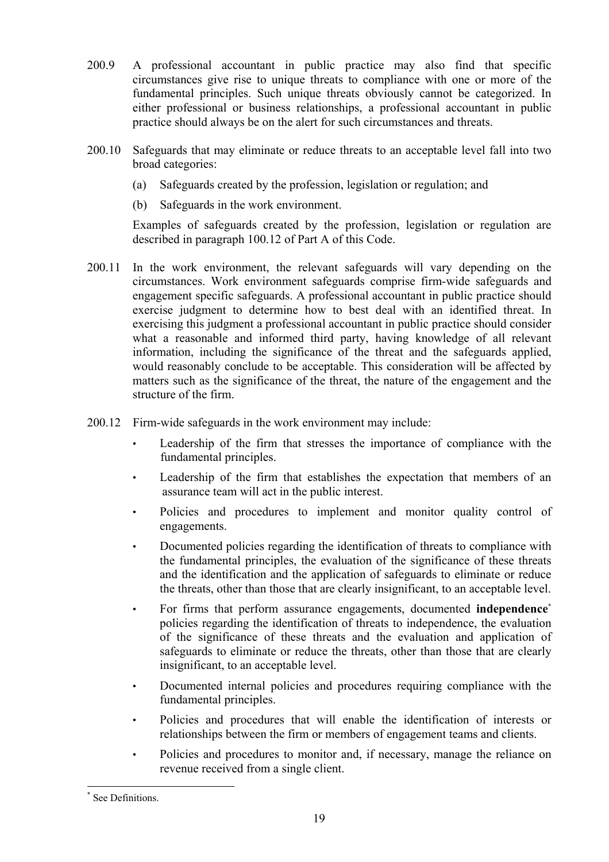- 200.9 A professional accountant in public practice may also find that specific circumstances give rise to unique threats to compliance with one or more of the fundamental principles. Such unique threats obviously cannot be categorized. In either professional or business relationships, a professional accountant in public practice should always be on the alert for such circumstances and threats.
- 200.10 Safeguards that may eliminate or reduce threats to an acceptable level fall into two broad categories:
	- (a) Safeguards created by the profession, legislation or regulation; and
	- (b) Safeguards in the work environment.

 Examples of safeguards created by the profession, legislation or regulation are described in paragraph 100.12 of Part A of this Code.

- 200.11 In the work environment, the relevant safeguards will vary depending on the circumstances. Work environment safeguards comprise firm-wide safeguards and engagement specific safeguards. A professional accountant in public practice should exercise judgment to determine how to best deal with an identified threat. In exercising this judgment a professional accountant in public practice should consider what a reasonable and informed third party, having knowledge of all relevant information, including the significance of the threat and the safeguards applied, would reasonably conclude to be acceptable. This consideration will be affected by matters such as the significance of the threat, the nature of the engagement and the structure of the firm.
- 200.12 Firm-wide safeguards in the work environment may include:
	- Leadership of the firm that stresses the importance of compliance with the fundamental principles.
	- Leadership of the firm that establishes the expectation that members of an assurance team will act in the public interest.
	- Policies and procedures to implement and monitor quality control of engagements.
	- Documented policies regarding the identification of threats to compliance with the fundamental principles, the evaluation of the significance of these threats and the identification and the application of safeguards to eliminate or reduce the threats, other than those that are clearly insignificant, to an acceptable level.
	- For firms that perform assurance engagements, documented **independence\*** policies regarding the identification of threats to independence, the evaluation of the significance of these threats and the evaluation and application of safeguards to eliminate or reduce the threats, other than those that are clearly insignificant, to an acceptable level.
	- Documented internal policies and procedures requiring compliance with the fundamental principles.
	- Policies and procedures that will enable the identification of interests or relationships between the firm or members of engagement teams and clients.
	- Policies and procedures to monitor and, if necessary, manage the reliance on revenue received from a single client.

<sup>\*</sup> See Definitions.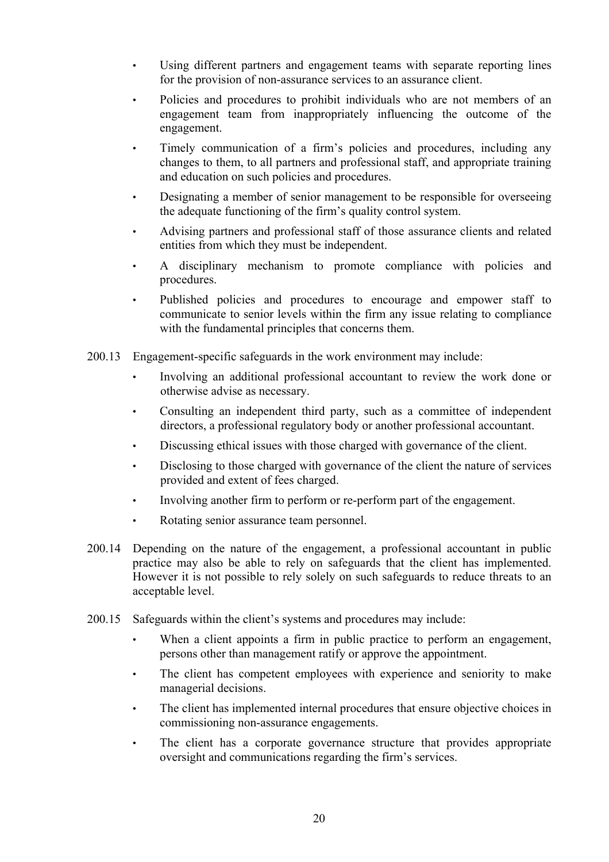- Using different partners and engagement teams with separate reporting lines for the provision of non-assurance services to an assurance client.
- Policies and procedures to prohibit individuals who are not members of an engagement team from inappropriately influencing the outcome of the engagement.
- Timely communication of a firm's policies and procedures, including any changes to them, to all partners and professional staff, and appropriate training and education on such policies and procedures.
- Designating a member of senior management to be responsible for overseeing the adequate functioning of the firm's quality control system.
- Advising partners and professional staff of those assurance clients and related entities from which they must be independent.
- A disciplinary mechanism to promote compliance with policies and procedures.
- Published policies and procedures to encourage and empower staff to communicate to senior levels within the firm any issue relating to compliance with the fundamental principles that concerns them.
- 200.13 Engagement-specific safeguards in the work environment may include:
	- Involving an additional professional accountant to review the work done or otherwise advise as necessary.
	- Consulting an independent third party, such as a committee of independent directors, a professional regulatory body or another professional accountant.
	- Discussing ethical issues with those charged with governance of the client.
	- Disclosing to those charged with governance of the client the nature of services provided and extent of fees charged.
	- Involving another firm to perform or re-perform part of the engagement.
	- Rotating senior assurance team personnel.
- 200.14 Depending on the nature of the engagement, a professional accountant in public practice may also be able to rely on safeguards that the client has implemented. However it is not possible to rely solely on such safeguards to reduce threats to an acceptable level.
- 200.15 Safeguards within the client's systems and procedures may include:
	- When a client appoints a firm in public practice to perform an engagement, persons other than management ratify or approve the appointment.
	- The client has competent employees with experience and seniority to make managerial decisions.
	- The client has implemented internal procedures that ensure objective choices in commissioning non-assurance engagements.
	- The client has a corporate governance structure that provides appropriate oversight and communications regarding the firm's services.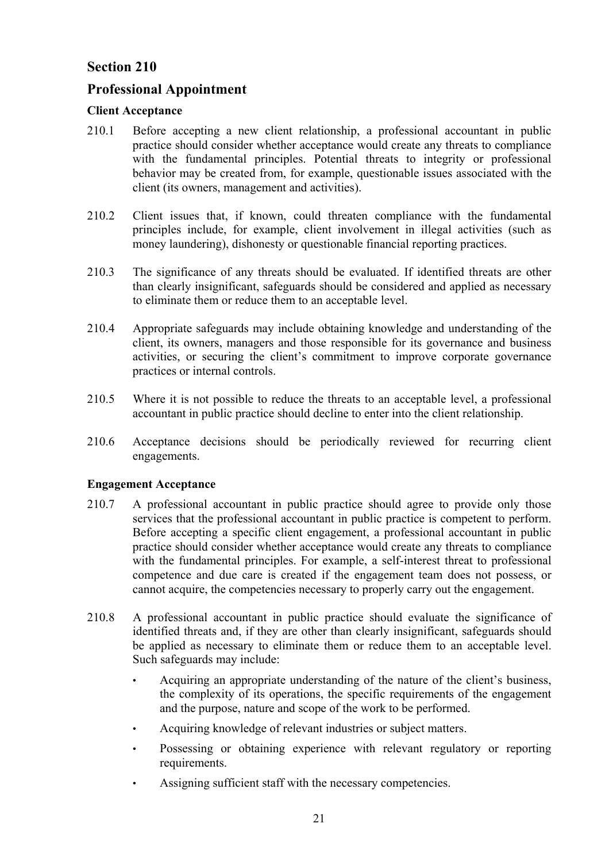## **Professional Appointment**

#### **Client Acceptance**

- 210.1 Before accepting a new client relationship, a professional accountant in public practice should consider whether acceptance would create any threats to compliance with the fundamental principles. Potential threats to integrity or professional behavior may be created from, for example, questionable issues associated with the client (its owners, management and activities).
- 210.2 Client issues that, if known, could threaten compliance with the fundamental principles include, for example, client involvement in illegal activities (such as money laundering), dishonesty or questionable financial reporting practices.
- 210.3 The significance of any threats should be evaluated. If identified threats are other than clearly insignificant, safeguards should be considered and applied as necessary to eliminate them or reduce them to an acceptable level.
- 210.4 Appropriate safeguards may include obtaining knowledge and understanding of the client, its owners, managers and those responsible for its governance and business activities, or securing the client's commitment to improve corporate governance practices or internal controls.
- 210.5 Where it is not possible to reduce the threats to an acceptable level, a professional accountant in public practice should decline to enter into the client relationship.
- 210.6 Acceptance decisions should be periodically reviewed for recurring client engagements.

#### **Engagement Acceptance**

- 210.7 A professional accountant in public practice should agree to provide only those services that the professional accountant in public practice is competent to perform. Before accepting a specific client engagement, a professional accountant in public practice should consider whether acceptance would create any threats to compliance with the fundamental principles. For example, a self-interest threat to professional competence and due care is created if the engagement team does not possess, or cannot acquire, the competencies necessary to properly carry out the engagement.
- 210.8 A professional accountant in public practice should evaluate the significance of identified threats and, if they are other than clearly insignificant, safeguards should be applied as necessary to eliminate them or reduce them to an acceptable level. Such safeguards may include:
	- Acquiring an appropriate understanding of the nature of the client's business, the complexity of its operations, the specific requirements of the engagement and the purpose, nature and scope of the work to be performed.
	- Acquiring knowledge of relevant industries or subject matters.
	- Possessing or obtaining experience with relevant regulatory or reporting requirements.
	- Assigning sufficient staff with the necessary competencies.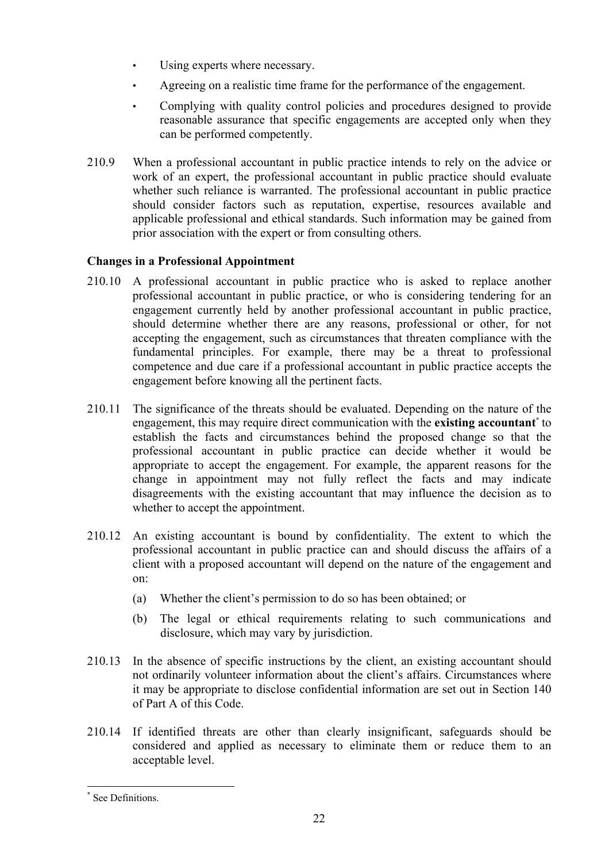- Using experts where necessary.
- Agreeing on a realistic time frame for the performance of the engagement.
- Complying with quality control policies and procedures designed to provide reasonable assurance that specific engagements are accepted only when they can be performed competently.
- 210.9 When a professional accountant in public practice intends to rely on the advice or work of an expert, the professional accountant in public practice should evaluate whether such reliance is warranted. The professional accountant in public practice should consider factors such as reputation, expertise, resources available and applicable professional and ethical standards. Such information may be gained from prior association with the expert or from consulting others.

#### **Changes in a Professional Appointment**

- 210.10 A professional accountant in public practice who is asked to replace another professional accountant in public practice, or who is considering tendering for an engagement currently held by another professional accountant in public practice, should determine whether there are any reasons, professional or other, for not accepting the engagement, such as circumstances that threaten compliance with the fundamental principles. For example, there may be a threat to professional competence and due care if a professional accountant in public practice accepts the engagement before knowing all the pertinent facts.
- 210.11 The significance of the threats should be evaluated. Depending on the nature of the engagement, this may require direct communication with the **existing accountant\*** to establish the facts and circumstances behind the proposed change so that the professional accountant in public practice can decide whether it would be appropriate to accept the engagement. For example, the apparent reasons for the change in appointment may not fully reflect the facts and may indicate disagreements with the existing accountant that may influence the decision as to whether to accept the appointment.
- 210.12 An existing accountant is bound by confidentiality. The extent to which the professional accountant in public practice can and should discuss the affairs of a client with a proposed accountant will depend on the nature of the engagement and on:
	- (a) Whether the client's permission to do so has been obtained; or
	- (b) The legal or ethical requirements relating to such communications and disclosure, which may vary by jurisdiction.
- 210.13 In the absence of specific instructions by the client, an existing accountant should not ordinarily volunteer information about the client's affairs. Circumstances where it may be appropriate to disclose confidential information are set out in Section 140 of Part A of this Code.
- 210.14 If identified threats are other than clearly insignificant, safeguards should be considered and applied as necessary to eliminate them or reduce them to an acceptable level.

 $\overline{a}$ \* See Definitions.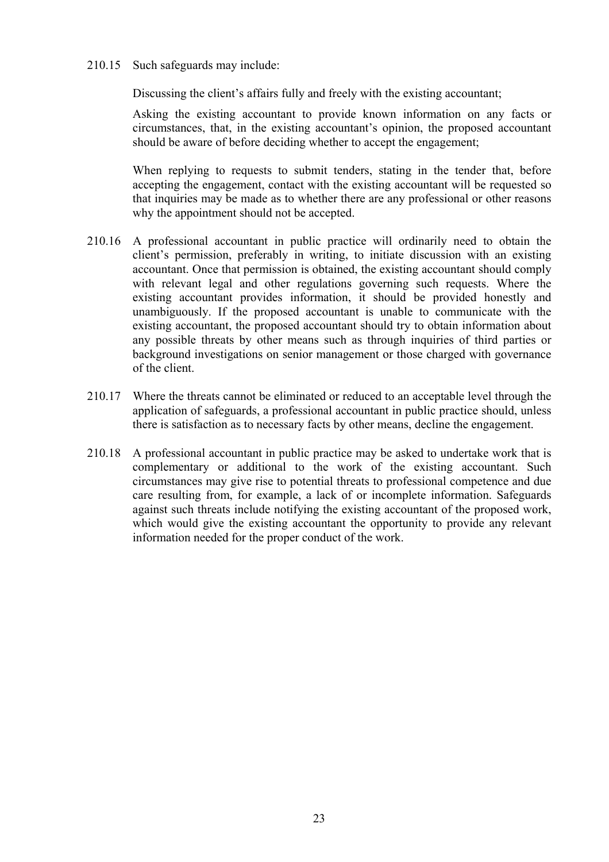#### 210.15 Such safeguards may include:

Discussing the client's affairs fully and freely with the existing accountant;

Asking the existing accountant to provide known information on any facts or circumstances, that, in the existing accountant's opinion, the proposed accountant should be aware of before deciding whether to accept the engagement;

When replying to requests to submit tenders, stating in the tender that, before accepting the engagement, contact with the existing accountant will be requested so that inquiries may be made as to whether there are any professional or other reasons why the appointment should not be accepted.

- 210.16 A professional accountant in public practice will ordinarily need to obtain the client's permission, preferably in writing, to initiate discussion with an existing accountant. Once that permission is obtained, the existing accountant should comply with relevant legal and other regulations governing such requests. Where the existing accountant provides information, it should be provided honestly and unambiguously. If the proposed accountant is unable to communicate with the existing accountant, the proposed accountant should try to obtain information about any possible threats by other means such as through inquiries of third parties or background investigations on senior management or those charged with governance of the client.
- 210.17 Where the threats cannot be eliminated or reduced to an acceptable level through the application of safeguards, a professional accountant in public practice should, unless there is satisfaction as to necessary facts by other means, decline the engagement.
- 210.18 A professional accountant in public practice may be asked to undertake work that is complementary or additional to the work of the existing accountant. Such circumstances may give rise to potential threats to professional competence and due care resulting from, for example, a lack of or incomplete information. Safeguards against such threats include notifying the existing accountant of the proposed work, which would give the existing accountant the opportunity to provide any relevant information needed for the proper conduct of the work.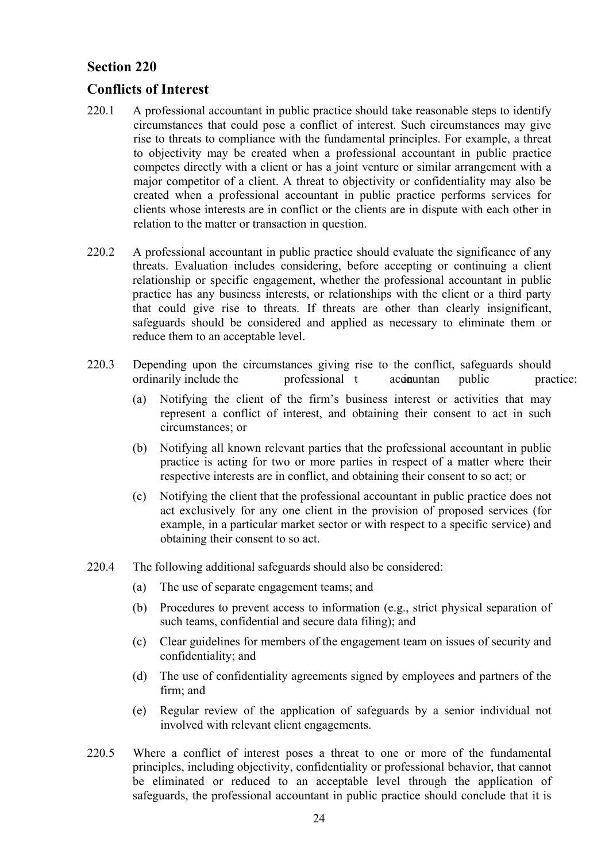### **Conflicts of Interest**

- 220.1 A professional accountant in public practice should take reasonable steps to identify circumstances that could pose a conflict of interest. Such circumstances may give rise to threats to compliance with the fundamental principles. For example, a threat to objectivity may be created when a professional accountant in public practice competes directly with a client or has a joint venture or similar arrangement with a major competitor of a client. A threat to objectivity or confidentiality may also be created when a professional accountant in public practice performs services for clients whose interests are in conflict or the clients are in dispute with each other in relation to the matter or transaction in question.
- 220.2 A professional accountant in public practice should evaluate the significance of any threats. Evaluation includes considering, before accepting or continuing a client relationship or specific engagement, whether the professional accountant in public practice has any business interests, or relationships with the client or a third party that could give rise to threats. If threats are other than clearly insignificant, safeguards should be considered and applied as necessary to eliminate them or reduce them to an acceptable level.
- 220.3 Depending upon the circumstances giving rise to the conflict, safeguards should ordinarily include the professional t accountan public practice:
	- (a) Notifying the client of the firm's business interest or activities that may represent a conflict of interest, and obtaining their consent to act in such circumstances; or
	- (b) Notifying all known relevant parties that the professional accountant in public practice is acting for two or more parties in respect of a matter where their respective interests are in conflict, and obtaining their consent to so act; or
	- (c) Notifying the client that the professional accountant in public practice does not act exclusively for any one client in the provision of proposed services (for example, in a particular market sector or with respect to a specific service) and obtaining their consent to so act.
- 220.4 The following additional safeguards should also be considered:
	- (a) The use of separate engagement teams; and
	- (b) Procedures to prevent access to information (e.g., strict physical separation of such teams, confidential and secure data filing); and
	- (c) Clear guidelines for members of the engagement team on issues of security and confidentiality; and
	- (d) The use of confidentiality agreements signed by employees and partners of the firm; and
	- (e) Regular review of the application of safeguards by a senior individual not involved with relevant client engagements.
- 220.5 Where a conflict of interest poses a threat to one or more of the fundamental principles, including objectivity, confidentiality or professional behavior, that cannot be eliminated or reduced to an acceptable level through the application of safeguards, the professional accountant in public practice should conclude that it is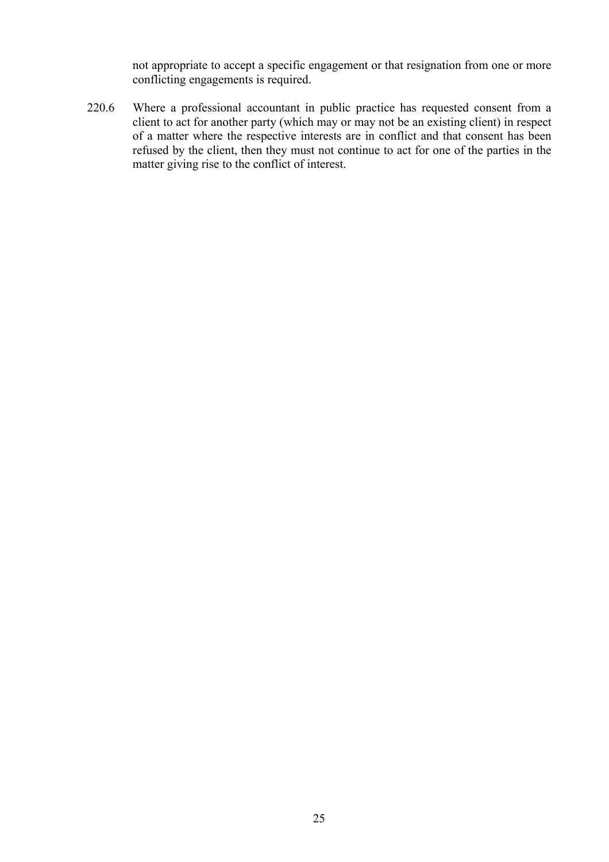not appropriate to accept a specific engagement or that resignation from one or more conflicting engagements is required.

220.6 Where a professional accountant in public practice has requested consent from a client to act for another party (which may or may not be an existing client) in respect of a matter where the respective interests are in conflict and that consent has been refused by the client, then they must not continue to act for one of the parties in the matter giving rise to the conflict of interest.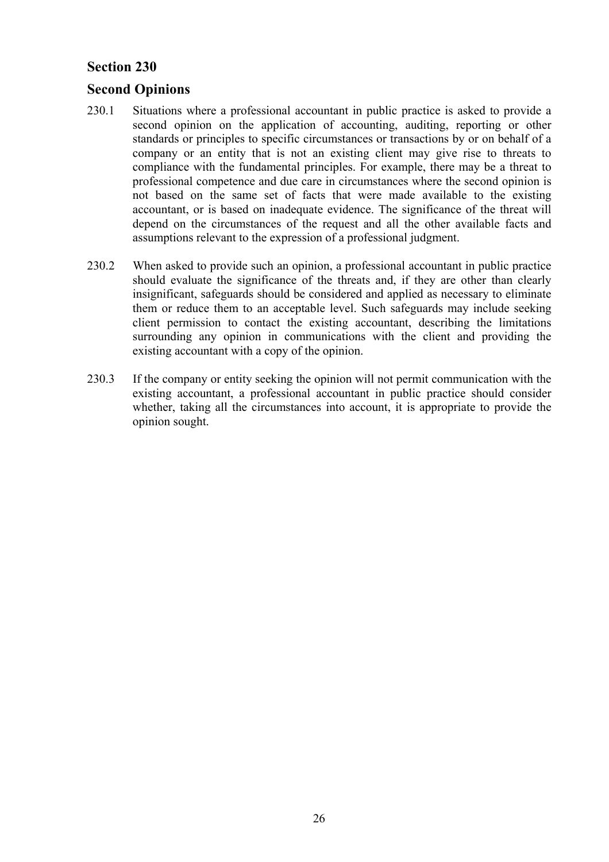### **Second Opinions**

- 230.1 Situations where a professional accountant in public practice is asked to provide a second opinion on the application of accounting, auditing, reporting or other standards or principles to specific circumstances or transactions by or on behalf of a company or an entity that is not an existing client may give rise to threats to compliance with the fundamental principles. For example, there may be a threat to professional competence and due care in circumstances where the second opinion is not based on the same set of facts that were made available to the existing accountant, or is based on inadequate evidence. The significance of the threat will depend on the circumstances of the request and all the other available facts and assumptions relevant to the expression of a professional judgment.
- 230.2 When asked to provide such an opinion, a professional accountant in public practice should evaluate the significance of the threats and, if they are other than clearly insignificant, safeguards should be considered and applied as necessary to eliminate them or reduce them to an acceptable level. Such safeguards may include seeking client permission to contact the existing accountant, describing the limitations surrounding any opinion in communications with the client and providing the existing accountant with a copy of the opinion.
- 230.3 If the company or entity seeking the opinion will not permit communication with the existing accountant, a professional accountant in public practice should consider whether, taking all the circumstances into account, it is appropriate to provide the opinion sought.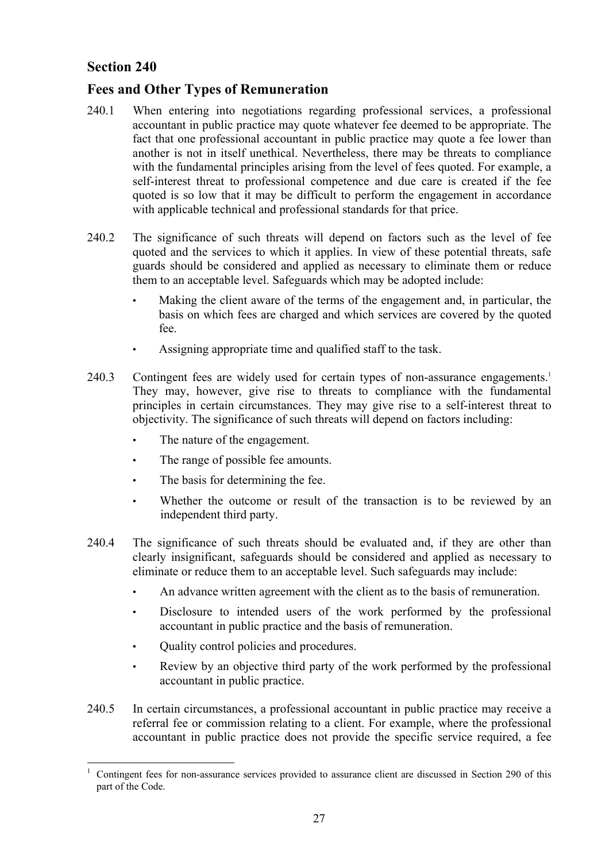$\overline{a}$ 

### **Fees and Other Types of Remuneration**

- 240.1 When entering into negotiations regarding professional services, a professional accountant in public practice may quote whatever fee deemed to be appropriate. The fact that one professional accountant in public practice may quote a fee lower than another is not in itself unethical. Nevertheless, there may be threats to compliance with the fundamental principles arising from the level of fees quoted. For example, a self-interest threat to professional competence and due care is created if the fee quoted is so low that it may be difficult to perform the engagement in accordance with applicable technical and professional standards for that price.
- 240.2 The significance of such threats will depend on factors such as the level of fee quoted and the services to which it applies. In view of these potential threats, safe guards should be considered and applied as necessary to eliminate them or reduce them to an acceptable level. Safeguards which may be adopted include:
	- Making the client aware of the terms of the engagement and, in particular, the basis on which fees are charged and which services are covered by the quoted fee.
	- Assigning appropriate time and qualified staff to the task.
- 240.3 Contingent fees are widely used for certain types of non-assurance engagements.<sup>1</sup> They may, however, give rise to threats to compliance with the fundamental principles in certain circumstances. They may give rise to a self-interest threat to objectivity. The significance of such threats will depend on factors including:
	- The nature of the engagement.
	- The range of possible fee amounts.
	- The basis for determining the fee.
	- Whether the outcome or result of the transaction is to be reviewed by an independent third party.
- 240.4 The significance of such threats should be evaluated and, if they are other than clearly insignificant, safeguards should be considered and applied as necessary to eliminate or reduce them to an acceptable level. Such safeguards may include:
	- An advance written agreement with the client as to the basis of remuneration.
	- Disclosure to intended users of the work performed by the professional accountant in public practice and the basis of remuneration.
	- Quality control policies and procedures.
	- Review by an objective third party of the work performed by the professional accountant in public practice.
- 240.5 In certain circumstances, a professional accountant in public practice may receive a referral fee or commission relating to a client. For example, where the professional accountant in public practice does not provide the specific service required, a fee

<sup>1</sup> Contingent fees for non-assurance services provided to assurance client are discussed in Section 290 of this part of the Code.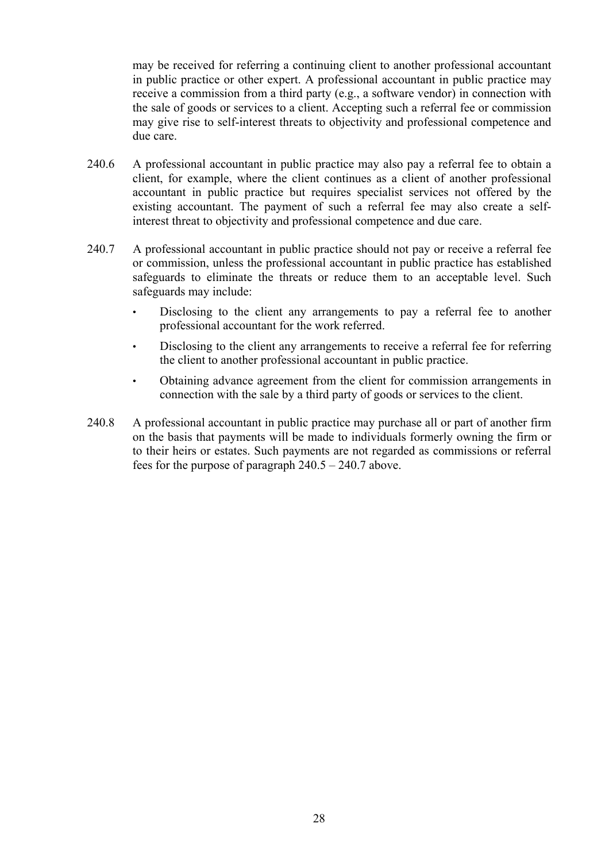may be received for referring a continuing client to another professional accountant in public practice or other expert. A professional accountant in public practice may receive a commission from a third party (e.g., a software vendor) in connection with the sale of goods or services to a client. Accepting such a referral fee or commission may give rise to self-interest threats to objectivity and professional competence and due care.

- 240.6 A professional accountant in public practice may also pay a referral fee to obtain a client, for example, where the client continues as a client of another professional accountant in public practice but requires specialist services not offered by the existing accountant. The payment of such a referral fee may also create a self interest threat to objectivity and professional competence and due care.
- 240.7 A professional accountant in public practice should not pay or receive a referral fee or commission, unless the professional accountant in public practice has established safeguards to eliminate the threats or reduce them to an acceptable level. Such safeguards may include:
	- Disclosing to the client any arrangements to pay a referral fee to another professional accountant for the work referred.
	- Disclosing to the client any arrangements to receive a referral fee for referring the client to another professional accountant in public practice.
	- Obtaining advance agreement from the client for commission arrangements in connection with the sale by a third party of goods or services to the client.
- 240.8 A professional accountant in public practice may purchase all or part of another firm on the basis that payments will be made to individuals formerly owning the firm or to their heirs or estates. Such payments are not regarded as commissions or referral fees for the purpose of paragraph 240.5 – 240.7 above.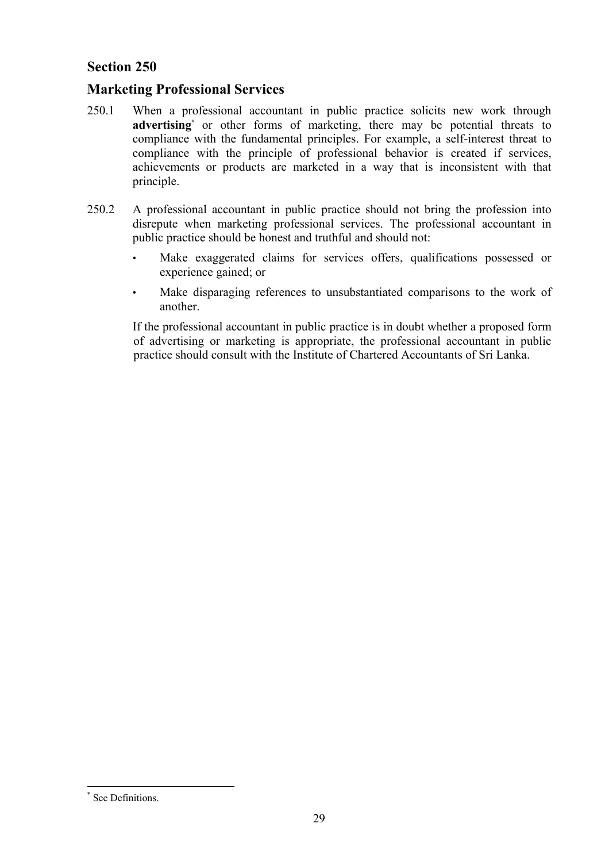### **Marketing Professional Services**

- 250.1 When a professional accountant in public practice solicits new work through **advertising\*** or other forms of marketing, there may be potential threats to compliance with the fundamental principles. For example, a self-interest threat to compliance with the principle of professional behavior is created if services, achievements or products are marketed in a way that is inconsistent with that principle.
- 250.2 A professional accountant in public practice should not bring the profession into disrepute when marketing professional services. The professional accountant in public practice should be honest and truthful and should not:
	- Make exaggerated claims for services offers, qualifications possessed or experience gained; or
	- Make disparaging references to unsubstantiated comparisons to the work of another.

 If the professional accountant in public practice is in doubt whether a proposed form of advertising or marketing is appropriate, the professional accountant in public practice should consult with the Institute of Chartered Accountants of Sri Lanka.

 $\overline{a}$ \* See Definitions.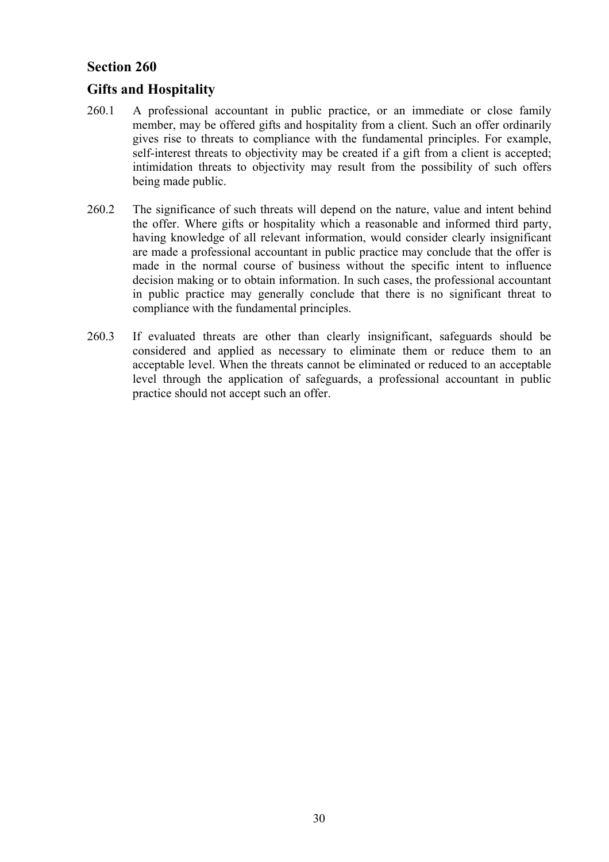## **Gifts and Hospitality**

- 260.1 A professional accountant in public practice, or an immediate or close family member, may be offered gifts and hospitality from a client. Such an offer ordinarily gives rise to threats to compliance with the fundamental principles. For example, self-interest threats to objectivity may be created if a gift from a client is accepted; intimidation threats to objectivity may result from the possibility of such offers being made public.
- 260.2 The significance of such threats will depend on the nature, value and intent behind the offer. Where gifts or hospitality which a reasonable and informed third party, having knowledge of all relevant information, would consider clearly insignificant are made a professional accountant in public practice may conclude that the offer is made in the normal course of business without the specific intent to influence decision making or to obtain information. In such cases, the professional accountant in public practice may generally conclude that there is no significant threat to compliance with the fundamental principles.
- 260.3 If evaluated threats are other than clearly insignificant, safeguards should be considered and applied as necessary to eliminate them or reduce them to an acceptable level. When the threats cannot be eliminated or reduced to an acceptable level through the application of safeguards, a professional accountant in public practice should not accept such an offer.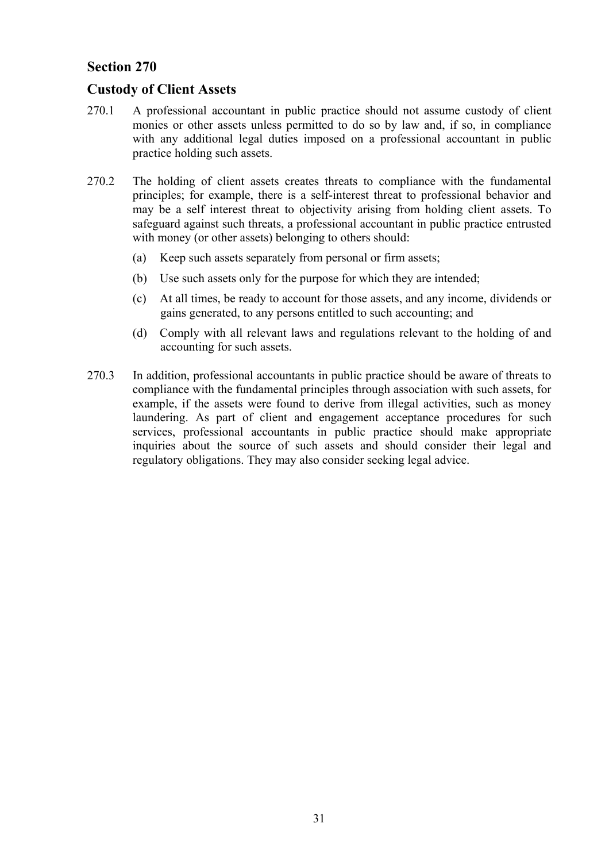### **Custody of Client Assets**

- 270.1 A professional accountant in public practice should not assume custody of client monies or other assets unless permitted to do so by law and, if so, in compliance with any additional legal duties imposed on a professional accountant in public practice holding such assets.
- 270.2 The holding of client assets creates threats to compliance with the fundamental principles; for example, there is a self-interest threat to professional behavior and may be a self interest threat to objectivity arising from holding client assets. To safeguard against such threats, a professional accountant in public practice entrusted with money (or other assets) belonging to others should:
	- (a) Keep such assets separately from personal or firm assets;
	- (b) Use such assets only for the purpose for which they are intended;
	- (c) At all times, be ready to account for those assets, and any income, dividends or gains generated, to any persons entitled to such accounting; and
	- (d) Comply with all relevant laws and regulations relevant to the holding of and accounting for such assets.
- 270.3 In addition, professional accountants in public practice should be aware of threats to compliance with the fundamental principles through association with such assets, for example, if the assets were found to derive from illegal activities, such as money laundering. As part of client and engagement acceptance procedures for such services, professional accountants in public practice should make appropriate inquiries about the source of such assets and should consider their legal and regulatory obligations. They may also consider seeking legal advice.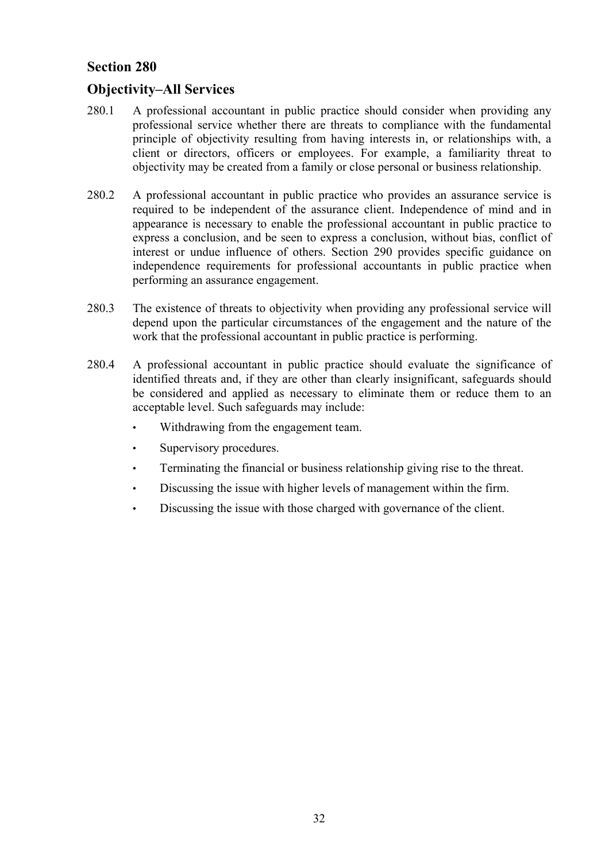### **Objectivity–All Services**

- 280.1 A professional accountant in public practice should consider when providing any professional service whether there are threats to compliance with the fundamental principle of objectivity resulting from having interests in, or relationships with, a client or directors, officers or employees. For example, a familiarity threat to objectivity may be created from a family or close personal or business relationship.
- 280.2 A professional accountant in public practice who provides an assurance service is required to be independent of the assurance client. Independence of mind and in appearance is necessary to enable the professional accountant in public practice to express a conclusion, and be seen to express a conclusion, without bias, conflict of interest or undue influence of others. Section 290 provides specific guidance on independence requirements for professional accountants in public practice when performing an assurance engagement.
- 280.3 The existence of threats to objectivity when providing any professional service will depend upon the particular circumstances of the engagement and the nature of the work that the professional accountant in public practice is performing.
- 280.4 A professional accountant in public practice should evaluate the significance of identified threats and, if they are other than clearly insignificant, safeguards should be considered and applied as necessary to eliminate them or reduce them to an acceptable level. Such safeguards may include:
	- Withdrawing from the engagement team.
	- Supervisory procedures.
	- Terminating the financial or business relationship giving rise to the threat.
	- Discussing the issue with higher levels of management within the firm.
	- Discussing the issue with those charged with governance of the client.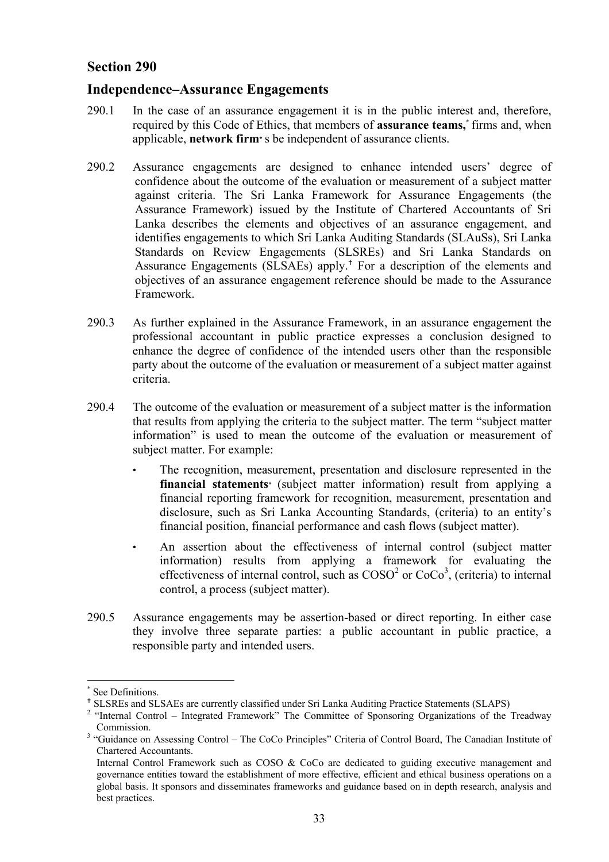#### **Independence–Assurance Engagements**

- 290.1 In the case of an assurance engagement it is in the public interest and, therefore, required by this Code of Ethics, that members of **assurance teams,\*** firms and, when applicable, **network firm**\* s be independent of assurance clients.
- 290.2 Assurance engagements are designed to enhance intended users' degree of confidence about the outcome of the evaluation or measurement of a subject matter against criteria. The Sri Lanka Framework for Assurance Engagements (the Assurance Framework) issued by the Institute of Chartered Accountants of Sri Lanka describes the elements and objectives of an assurance engagement, and identifies engagements to which Sri Lanka Auditing Standards (SLAuSs), Sri Lanka Standards on Review Engagements (SLSREs) and Sri Lanka Standards on Assurance Engagements (SLSAEs) apply.<sup>†</sup> For a description of the elements and objectives of an assurance engagement reference should be made to the Assurance Framework.
- 290.3 As further explained in the Assurance Framework, in an assurance engagement the professional accountant in public practice expresses a conclusion designed to enhance the degree of confidence of the intended users other than the responsible party about the outcome of the evaluation or measurement of a subject matter against criteria.
- 290.4 The outcome of the evaluation or measurement of a subject matter is the information that results from applying the criteria to the subject matter. The term "subject matter information" is used to mean the outcome of the evaluation or measurement of subject matter. For example:
	- The recognition, measurement, presentation and disclosure represented in the **financial statements**\* (subject matter information) result from applying a financial reporting framework for recognition, measurement, presentation and disclosure, such as Sri Lanka Accounting Standards, (criteria) to an entity's financial position, financial performance and cash flows (subject matter).
	- An assertion about the effectiveness of internal control (subject matter information) results from applying a framework for evaluating the effectiveness of internal control, such as  $COSO<sup>2</sup>$  or  $CoCo<sup>3</sup>$ , (criteria) to internal control, a process (subject matter).
- 290.5 Assurance engagements may be assertion-based or direct reporting. In either case they involve three separate parties: a public accountant in public practice, a responsible party and intended users.

<sup>\*</sup> See Definitions.

<sup>&</sup>lt;sup>†</sup> SLSREs and SLSAEs are currently classified under Sri Lanka Auditing Practice Statements (SLAPS)<sup>2</sup> "Integrated Literated Framework". The Committee of Sponsoring Organizations of the 1

<sup>&</sup>lt;sup>2</sup> "Internal Control – Integrated Framework" The Committee of Sponsoring Organizations of the Treadway Commission. 3 "Guidance on Assessing Control – The CoCo Principles" Criteria of Control Board, The Canadian Institute of

Chartered Accountants.

Internal Control Framework such as COSO & CoCo are dedicated to guiding executive management and governance entities toward the establishment of more effective, efficient and ethical business operations on a global basis. It sponsors and disseminates frameworks and guidance based on in depth research, analysis and best practices.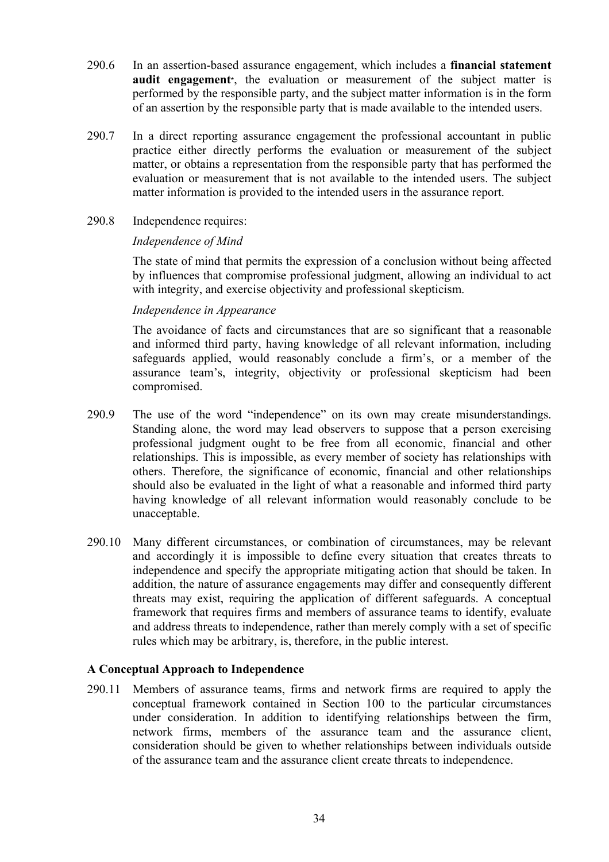- 290.6 In an assertion-based assurance engagement, which includes a **financial statement audit engagement**\*, the evaluation or measurement of the subject matter is performed by the responsible party, and the subject matter information is in the form of an assertion by the responsible party that is made available to the intended users.
- 290.7 In a direct reporting assurance engagement the professional accountant in public practice either directly performs the evaluation or measurement of the subject matter, or obtains a representation from the responsible party that has performed the evaluation or measurement that is not available to the intended users. The subject matter information is provided to the intended users in the assurance report.
- 290.8 Independence requires:

#### *Independence of Mind*

 The state of mind that permits the expression of a conclusion without being affected by influences that compromise professional judgment, allowing an individual to act with integrity, and exercise objectivity and professional skepticism.

#### *Independence in Appearance*

 The avoidance of facts and circumstances that are so significant that a reasonable and informed third party, having knowledge of all relevant information, including safeguards applied, would reasonably conclude a firm's, or a member of the assurance team's, integrity, objectivity or professional skepticism had been compromised.

- 290.9 The use of the word "independence" on its own may create misunderstandings. Standing alone, the word may lead observers to suppose that a person exercising professional judgment ought to be free from all economic, financial and other relationships. This is impossible, as every member of society has relationships with others. Therefore, the significance of economic, financial and other relationships should also be evaluated in the light of what a reasonable and informed third party having knowledge of all relevant information would reasonably conclude to be unacceptable.
- 290.10 Many different circumstances, or combination of circumstances, may be relevant and accordingly it is impossible to define every situation that creates threats to independence and specify the appropriate mitigating action that should be taken. In addition, the nature of assurance engagements may differ and consequently different threats may exist, requiring the application of different safeguards. A conceptual framework that requires firms and members of assurance teams to identify, evaluate and address threats to independence, rather than merely comply with a set of specific rules which may be arbitrary, is, therefore, in the public interest.

#### **A Conceptual Approach to Independence**

290.11 Members of assurance teams, firms and network firms are required to apply the conceptual framework contained in Section 100 to the particular circumstances under consideration. In addition to identifying relationships between the firm, network firms, members of the assurance team and the assurance client, consideration should be given to whether relationships between individuals outside of the assurance team and the assurance client create threats to independence.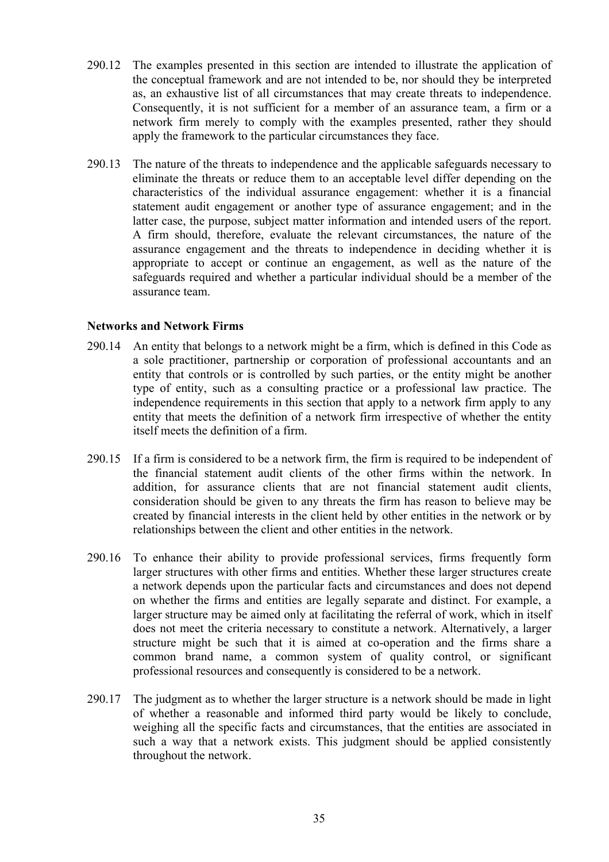- 290.12 The examples presented in this section are intended to illustrate the application of the conceptual framework and are not intended to be, nor should they be interpreted as, an exhaustive list of all circumstances that may create threats to independence. Consequently, it is not sufficient for a member of an assurance team, a firm or a network firm merely to comply with the examples presented, rather they should apply the framework to the particular circumstances they face.
- 290.13 The nature of the threats to independence and the applicable safeguards necessary to eliminate the threats or reduce them to an acceptable level differ depending on the characteristics of the individual assurance engagement: whether it is a financial statement audit engagement or another type of assurance engagement; and in the latter case, the purpose, subject matter information and intended users of the report. A firm should, therefore, evaluate the relevant circumstances, the nature of the assurance engagement and the threats to independence in deciding whether it is appropriate to accept or continue an engagement, as well as the nature of the safeguards required and whether a particular individual should be a member of the assurance team.

#### **Networks and Network Firms**

- 290.14 An entity that belongs to a network might be a firm, which is defined in this Code as a sole practitioner, partnership or corporation of professional accountants and an entity that controls or is controlled by such parties, or the entity might be another type of entity, such as a consulting practice or a professional law practice. The independence requirements in this section that apply to a network firm apply to any entity that meets the definition of a network firm irrespective of whether the entity itself meets the definition of a firm.
- 290.15 If a firm is considered to be a network firm, the firm is required to be independent of the financial statement audit clients of the other firms within the network. In addition, for assurance clients that are not financial statement audit clients, consideration should be given to any threats the firm has reason to believe may be created by financial interests in the client held by other entities in the network or by relationships between the client and other entities in the network.
- 290.16 To enhance their ability to provide professional services, firms frequently form larger structures with other firms and entities. Whether these larger structures create a network depends upon the particular facts and circumstances and does not depend on whether the firms and entities are legally separate and distinct. For example, a larger structure may be aimed only at facilitating the referral of work, which in itself does not meet the criteria necessary to constitute a network. Alternatively, a larger structure might be such that it is aimed at co-operation and the firms share a common brand name, a common system of quality control, or significant professional resources and consequently is considered to be a network.
- 290.17 The judgment as to whether the larger structure is a network should be made in light of whether a reasonable and informed third party would be likely to conclude, weighing all the specific facts and circumstances, that the entities are associated in such a way that a network exists. This judgment should be applied consistently throughout the network.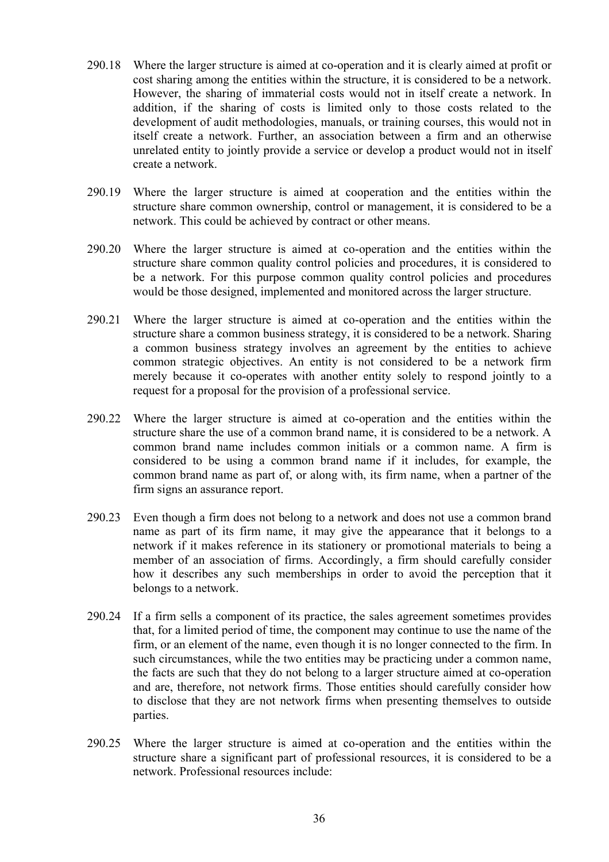- 290.18 Where the larger structure is aimed at co-operation and it is clearly aimed at profit or cost sharing among the entities within the structure, it is considered to be a network. However, the sharing of immaterial costs would not in itself create a network. In addition, if the sharing of costs is limited only to those costs related to the development of audit methodologies, manuals, or training courses, this would not in itself create a network. Further, an association between a firm and an otherwise unrelated entity to jointly provide a service or develop a product would not in itself create a network.
- 290.19 Where the larger structure is aimed at cooperation and the entities within the structure share common ownership, control or management, it is considered to be a network. This could be achieved by contract or other means.
- 290.20 Where the larger structure is aimed at co-operation and the entities within the structure share common quality control policies and procedures, it is considered to be a network. For this purpose common quality control policies and procedures would be those designed, implemented and monitored across the larger structure.
- 290.21 Where the larger structure is aimed at co-operation and the entities within the structure share a common business strategy, it is considered to be a network. Sharing a common business strategy involves an agreement by the entities to achieve common strategic objectives. An entity is not considered to be a network firm merely because it co-operates with another entity solely to respond jointly to a request for a proposal for the provision of a professional service.
- 290.22 Where the larger structure is aimed at co-operation and the entities within the structure share the use of a common brand name, it is considered to be a network. A common brand name includes common initials or a common name. A firm is considered to be using a common brand name if it includes, for example, the common brand name as part of, or along with, its firm name, when a partner of the firm signs an assurance report.
- 290.23 Even though a firm does not belong to a network and does not use a common brand name as part of its firm name, it may give the appearance that it belongs to a network if it makes reference in its stationery or promotional materials to being a member of an association of firms. Accordingly, a firm should carefully consider how it describes any such memberships in order to avoid the perception that it belongs to a network.
- 290.24 If a firm sells a component of its practice, the sales agreement sometimes provides that, for a limited period of time, the component may continue to use the name of the firm, or an element of the name, even though it is no longer connected to the firm. In such circumstances, while the two entities may be practicing under a common name, the facts are such that they do not belong to a larger structure aimed at co-operation and are, therefore, not network firms. Those entities should carefully consider how to disclose that they are not network firms when presenting themselves to outside parties.
- 290.25 Where the larger structure is aimed at co-operation and the entities within the structure share a significant part of professional resources, it is considered to be a network. Professional resources include: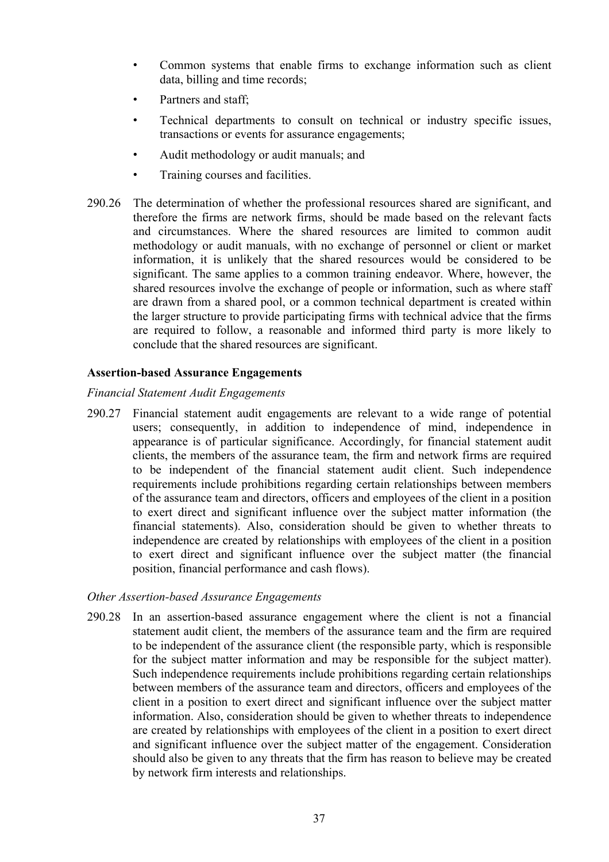- Common systems that enable firms to exchange information such as client data, billing and time records;
- Partners and staff:
- Technical departments to consult on technical or industry specific issues, transactions or events for assurance engagements;
- Audit methodology or audit manuals; and
- Training courses and facilities.
- 290.26 The determination of whether the professional resources shared are significant, and therefore the firms are network firms, should be made based on the relevant facts and circumstances. Where the shared resources are limited to common audit methodology or audit manuals, with no exchange of personnel or client or market information, it is unlikely that the shared resources would be considered to be significant. The same applies to a common training endeavor. Where, however, the shared resources involve the exchange of people or information, such as where staff are drawn from a shared pool, or a common technical department is created within the larger structure to provide participating firms with technical advice that the firms are required to follow, a reasonable and informed third party is more likely to conclude that the shared resources are significant.

#### **Assertion-based Assurance Engagements**

#### *Financial Statement Audit Engagements*

290.27 Financial statement audit engagements are relevant to a wide range of potential users; consequently, in addition to independence of mind, independence in appearance is of particular significance. Accordingly, for financial statement audit clients, the members of the assurance team, the firm and network firms are required to be independent of the financial statement audit client. Such independence requirements include prohibitions regarding certain relationships between members of the assurance team and directors, officers and employees of the client in a position to exert direct and significant influence over the subject matter information (the financial statements). Also, consideration should be given to whether threats to independence are created by relationships with employees of the client in a position to exert direct and significant influence over the subject matter (the financial position, financial performance and cash flows).

#### *Other Assertion-based Assurance Engagements*

290.28 In an assertion-based assurance engagement where the client is not a financial statement audit client, the members of the assurance team and the firm are required to be independent of the assurance client (the responsible party, which is responsible for the subject matter information and may be responsible for the subject matter). Such independence requirements include prohibitions regarding certain relationships between members of the assurance team and directors, officers and employees of the client in a position to exert direct and significant influence over the subject matter information. Also, consideration should be given to whether threats to independence are created by relationships with employees of the client in a position to exert direct and significant influence over the subject matter of the engagement. Consideration should also be given to any threats that the firm has reason to believe may be created by network firm interests and relationships.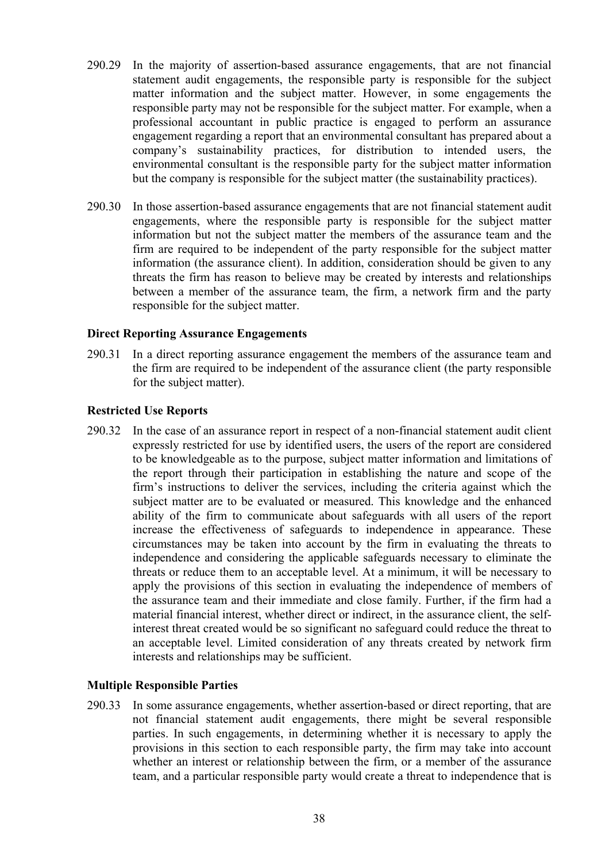- 290.29 In the majority of assertion-based assurance engagements, that are not financial statement audit engagements, the responsible party is responsible for the subject matter information and the subject matter. However, in some engagements the responsible party may not be responsible for the subject matter. For example, when a professional accountant in public practice is engaged to perform an assurance engagement regarding a report that an environmental consultant has prepared about a company's sustainability practices, for distribution to intended users, the environmental consultant is the responsible party for the subject matter information but the company is responsible for the subject matter (the sustainability practices).
- 290.30 In those assertion-based assurance engagements that are not financial statement audit engagements, where the responsible party is responsible for the subject matter information but not the subject matter the members of the assurance team and the firm are required to be independent of the party responsible for the subject matter information (the assurance client). In addition, consideration should be given to any threats the firm has reason to believe may be created by interests and relationships between a member of the assurance team, the firm, a network firm and the party responsible for the subject matter.

#### **Direct Reporting Assurance Engagements**

290.31 In a direct reporting assurance engagement the members of the assurance team and the firm are required to be independent of the assurance client (the party responsible for the subject matter).

#### **Restricted Use Reports**

290.32 In the case of an assurance report in respect of a non-financial statement audit client expressly restricted for use by identified users, the users of the report are considered to be knowledgeable as to the purpose, subject matter information and limitations of the report through their participation in establishing the nature and scope of the firm's instructions to deliver the services, including the criteria against which the subject matter are to be evaluated or measured. This knowledge and the enhanced ability of the firm to communicate about safeguards with all users of the report increase the effectiveness of safeguards to independence in appearance. These circumstances may be taken into account by the firm in evaluating the threats to independence and considering the applicable safeguards necessary to eliminate the threats or reduce them to an acceptable level. At a minimum, it will be necessary to apply the provisions of this section in evaluating the independence of members of the assurance team and their immediate and close family. Further, if the firm had a material financial interest, whether direct or indirect, in the assurance client, the self interest threat created would be so significant no safeguard could reduce the threat to an acceptable level. Limited consideration of any threats created by network firm interests and relationships may be sufficient.

## **Multiple Responsible Parties**

290.33 In some assurance engagements, whether assertion-based or direct reporting, that are not financial statement audit engagements, there might be several responsible parties. In such engagements, in determining whether it is necessary to apply the provisions in this section to each responsible party, the firm may take into account whether an interest or relationship between the firm, or a member of the assurance team, and a particular responsible party would create a threat to independence that is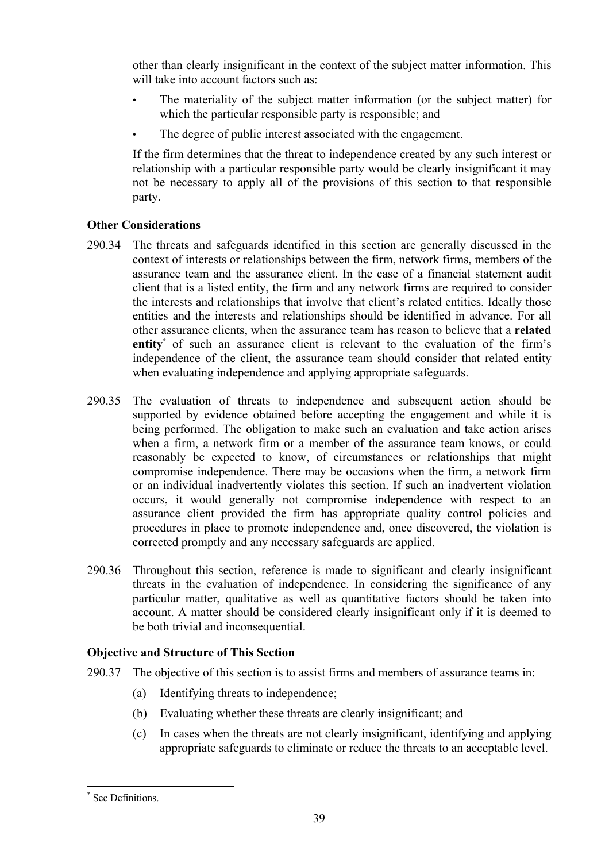other than clearly insignificant in the context of the subject matter information. This will take into account factors such as:

- The materiality of the subject matter information (or the subject matter) for which the particular responsible party is responsible; and
- The degree of public interest associated with the engagement.

 If the firm determines that the threat to independence created by any such interest or relationship with a particular responsible party would be clearly insignificant it may not be necessary to apply all of the provisions of this section to that responsible party.

## **Other Considerations**

- 290.34 The threats and safeguards identified in this section are generally discussed in the context of interests or relationships between the firm, network firms, members of the assurance team and the assurance client. In the case of a financial statement audit client that is a listed entity, the firm and any network firms are required to consider the interests and relationships that involve that client's related entities. Ideally those entities and the interests and relationships should be identified in advance. For all other assurance clients, when the assurance team has reason to believe that a **related entity\*** of such an assurance client is relevant to the evaluation of the firm's independence of the client, the assurance team should consider that related entity when evaluating independence and applying appropriate safeguards.
- 290.35 The evaluation of threats to independence and subsequent action should be supported by evidence obtained before accepting the engagement and while it is being performed. The obligation to make such an evaluation and take action arises when a firm, a network firm or a member of the assurance team knows, or could reasonably be expected to know, of circumstances or relationships that might compromise independence. There may be occasions when the firm, a network firm or an individual inadvertently violates this section. If such an inadvertent violation occurs, it would generally not compromise independence with respect to an assurance client provided the firm has appropriate quality control policies and procedures in place to promote independence and, once discovered, the violation is corrected promptly and any necessary safeguards are applied.
- 290.36 Throughout this section, reference is made to significant and clearly insignificant threats in the evaluation of independence. In considering the significance of any particular matter, qualitative as well as quantitative factors should be taken into account. A matter should be considered clearly insignificant only if it is deemed to be both trivial and inconsequential.

## **Objective and Structure of This Section**

- 290.37 The objective of this section is to assist firms and members of assurance teams in:
	- (a) Identifying threats to independence;
	- (b) Evaluating whether these threats are clearly insignificant; and
	- (c) In cases when the threats are not clearly insignificant, identifying and applying appropriate safeguards to eliminate or reduce the threats to an acceptable level.

 $\overline{a}$ 

<sup>\*</sup> See Definitions.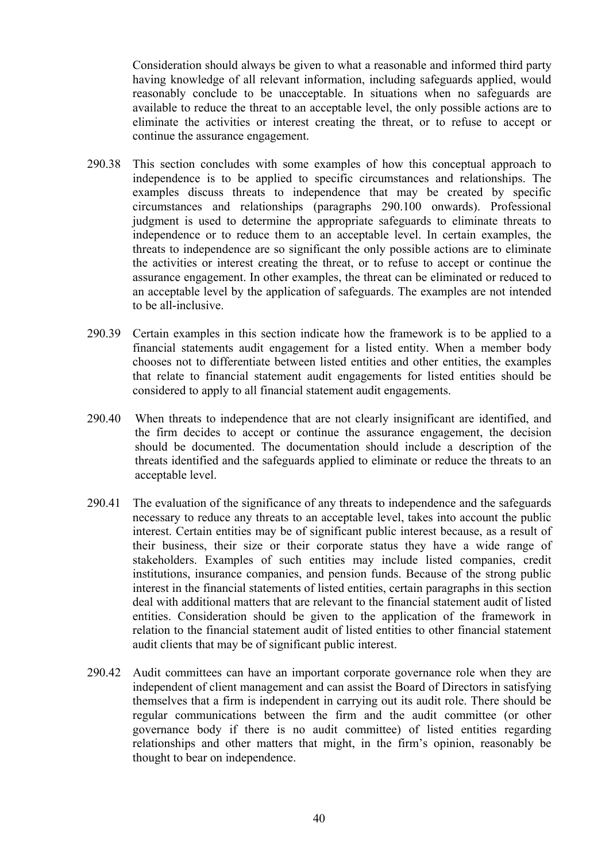Consideration should always be given to what a reasonable and informed third party having knowledge of all relevant information, including safeguards applied, would reasonably conclude to be unacceptable. In situations when no safeguards are available to reduce the threat to an acceptable level, the only possible actions are to eliminate the activities or interest creating the threat, or to refuse to accept or continue the assurance engagement.

- 290.38 This section concludes with some examples of how this conceptual approach to independence is to be applied to specific circumstances and relationships. The examples discuss threats to independence that may be created by specific circumstances and relationships (paragraphs 290.100 onwards). Professional judgment is used to determine the appropriate safeguards to eliminate threats to independence or to reduce them to an acceptable level. In certain examples, the threats to independence are so significant the only possible actions are to eliminate the activities or interest creating the threat, or to refuse to accept or continue the assurance engagement. In other examples, the threat can be eliminated or reduced to an acceptable level by the application of safeguards. The examples are not intended to be all-inclusive.
- 290.39 Certain examples in this section indicate how the framework is to be applied to a financial statements audit engagement for a listed entity. When a member body chooses not to differentiate between listed entities and other entities, the examples that relate to financial statement audit engagements for listed entities should be considered to apply to all financial statement audit engagements.
- 290.40 When threats to independence that are not clearly insignificant are identified, and the firm decides to accept or continue the assurance engagement, the decision should be documented. The documentation should include a description of the threats identified and the safeguards applied to eliminate or reduce the threats to an acceptable level.
- 290.41 The evaluation of the significance of any threats to independence and the safeguards necessary to reduce any threats to an acceptable level, takes into account the public interest. Certain entities may be of significant public interest because, as a result of their business, their size or their corporate status they have a wide range of stakeholders. Examples of such entities may include listed companies, credit institutions, insurance companies, and pension funds. Because of the strong public interest in the financial statements of listed entities, certain paragraphs in this section deal with additional matters that are relevant to the financial statement audit of listed entities. Consideration should be given to the application of the framework in relation to the financial statement audit of listed entities to other financial statement audit clients that may be of significant public interest.
- 290.42 Audit committees can have an important corporate governance role when they are independent of client management and can assist the Board of Directors in satisfying themselves that a firm is independent in carrying out its audit role. There should be regular communications between the firm and the audit committee (or other governance body if there is no audit committee) of listed entities regarding relationships and other matters that might, in the firm's opinion, reasonably be thought to bear on independence.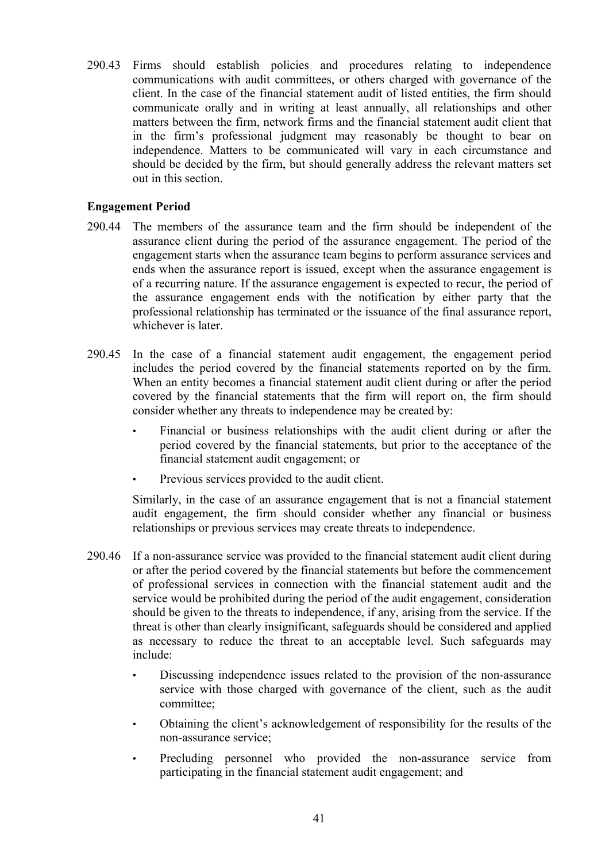290.43 Firms should establish policies and procedures relating to independence communications with audit committees, or others charged with governance of the client. In the case of the financial statement audit of listed entities, the firm should communicate orally and in writing at least annually, all relationships and other matters between the firm, network firms and the financial statement audit client that in the firm's professional judgment may reasonably be thought to bear on independence. Matters to be communicated will vary in each circumstance and should be decided by the firm, but should generally address the relevant matters set out in this section.

#### **Engagement Period**

- 290.44 The members of the assurance team and the firm should be independent of the assurance client during the period of the assurance engagement. The period of the engagement starts when the assurance team begins to perform assurance services and ends when the assurance report is issued, except when the assurance engagement is of a recurring nature. If the assurance engagement is expected to recur, the period of the assurance engagement ends with the notification by either party that the professional relationship has terminated or the issuance of the final assurance report, whichever is later.
- 290.45 In the case of a financial statement audit engagement, the engagement period includes the period covered by the financial statements reported on by the firm. When an entity becomes a financial statement audit client during or after the period covered by the financial statements that the firm will report on, the firm should consider whether any threats to independence may be created by:
	- Financial or business relationships with the audit client during or after the period covered by the financial statements, but prior to the acceptance of the financial statement audit engagement; or
	- Previous services provided to the audit client.

 Similarly, in the case of an assurance engagement that is not a financial statement audit engagement, the firm should consider whether any financial or business relationships or previous services may create threats to independence.

- 290.46 If a non-assurance service was provided to the financial statement audit client during or after the period covered by the financial statements but before the commencement of professional services in connection with the financial statement audit and the service would be prohibited during the period of the audit engagement, consideration should be given to the threats to independence, if any, arising from the service. If the threat is other than clearly insignificant, safeguards should be considered and applied as necessary to reduce the threat to an acceptable level. Such safeguards may include:
	- Discussing independence issues related to the provision of the non-assurance service with those charged with governance of the client, such as the audit committee;
	- Obtaining the client's acknowledgement of responsibility for the results of the non-assurance service;
	- Precluding personnel who provided the non-assurance service from participating in the financial statement audit engagement; and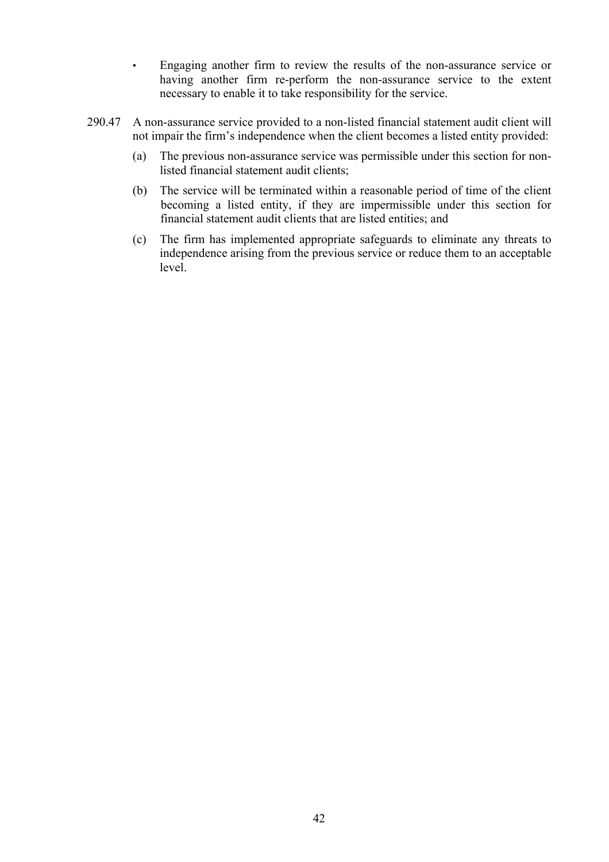- Engaging another firm to review the results of the non-assurance service or having another firm re-perform the non-assurance service to the extent necessary to enable it to take responsibility for the service.
- 290.47 A non-assurance service provided to a non-listed financial statement audit client will not impair the firm's independence when the client becomes a listed entity provided:
	- (a) The previous non-assurance service was permissible under this section for non listed financial statement audit clients;
	- (b) The service will be terminated within a reasonable period of time of the client becoming a listed entity, if they are impermissible under this section for financial statement audit clients that are listed entities; and
	- (c) The firm has implemented appropriate safeguards to eliminate any threats to independence arising from the previous service or reduce them to an acceptable level.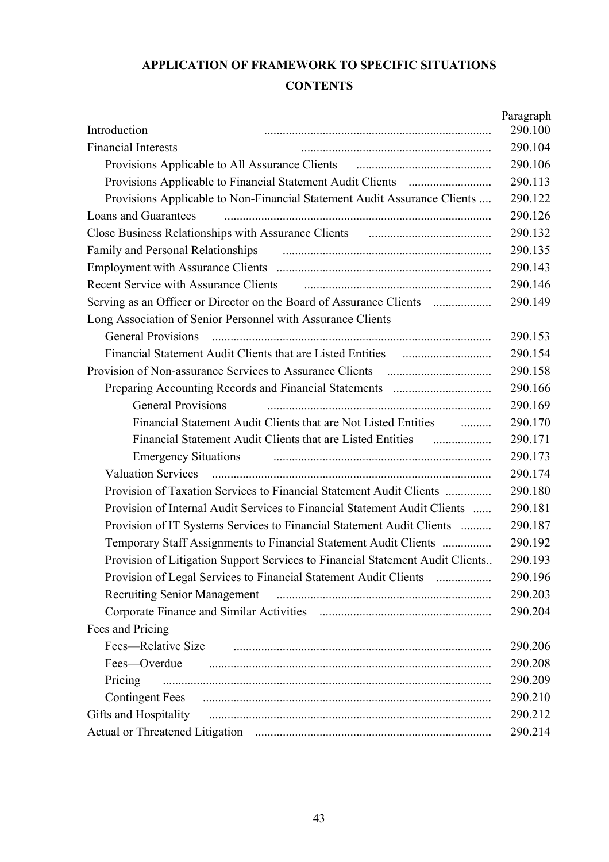## **APPLICATION OF FRAMEWORK TO SPECIFIC SITUATIONS CONTENTS**

| Introduction                                                                                                                                                                                       | Paragraph<br>290.100 |
|----------------------------------------------------------------------------------------------------------------------------------------------------------------------------------------------------|----------------------|
| <b>Financial Interests</b>                                                                                                                                                                         | 290.104              |
|                                                                                                                                                                                                    | 290.106              |
|                                                                                                                                                                                                    | 290.113              |
| Provisions Applicable to Non-Financial Statement Audit Assurance Clients                                                                                                                           | 290.122              |
| Loans and Guarantees                                                                                                                                                                               | 290.126              |
| Close Business Relationships with Assurance Clients <b>Clients Clients Clients Clients Clients Clients Clients Clients Clients Clients Clients Clients Clients Clients Clients Clients Clients</b> | 290.132              |
| Family and Personal Relationships <b>Family and Personal Relationships Family and Personal Relationships</b>                                                                                       | 290.135              |
|                                                                                                                                                                                                    | 290.143              |
|                                                                                                                                                                                                    | 290.146              |
| Serving as an Officer or Director on the Board of Assurance Clients                                                                                                                                | 290.149              |
| Long Association of Senior Personnel with Assurance Clients                                                                                                                                        |                      |
| <b>General Provisions</b>                                                                                                                                                                          | 290.153              |
|                                                                                                                                                                                                    | 290.154              |
|                                                                                                                                                                                                    | 290.158              |
|                                                                                                                                                                                                    | 290.166              |
| <b>General Provisions</b>                                                                                                                                                                          | 290.169              |
|                                                                                                                                                                                                    | 290.170              |
| Financial Statement Audit Clients that are Listed Entities <b>Financial Statement Audit Clients</b> that are Listed Entities                                                                       | 290.171              |
| <b>Emergency Situations</b>                                                                                                                                                                        | 290.173              |
|                                                                                                                                                                                                    | 290.174              |
| Provision of Taxation Services to Financial Statement Audit Clients                                                                                                                                | 290.180              |
| Provision of Internal Audit Services to Financial Statement Audit Clients                                                                                                                          | 290.181              |
| Provision of IT Systems Services to Financial Statement Audit Clients                                                                                                                              | 290.187              |
| Temporary Staff Assignments to Financial Statement Audit Clients                                                                                                                                   | 290.192              |
| Provision of Litigation Support Services to Financial Statement Audit Clients                                                                                                                      | 290.193              |
|                                                                                                                                                                                                    | 290.196              |
| <b>Recruiting Senior Management</b>                                                                                                                                                                | 290.203              |
|                                                                                                                                                                                                    | 290.204              |
| Fees and Pricing                                                                                                                                                                                   |                      |
| Fees—Relative Size                                                                                                                                                                                 | 290.206              |
| Fees-Overdue                                                                                                                                                                                       | 290.208              |
| Pricing                                                                                                                                                                                            | 290.209              |
|                                                                                                                                                                                                    | 290.210              |
|                                                                                                                                                                                                    | 290.212              |
|                                                                                                                                                                                                    | 290.214              |

#### 43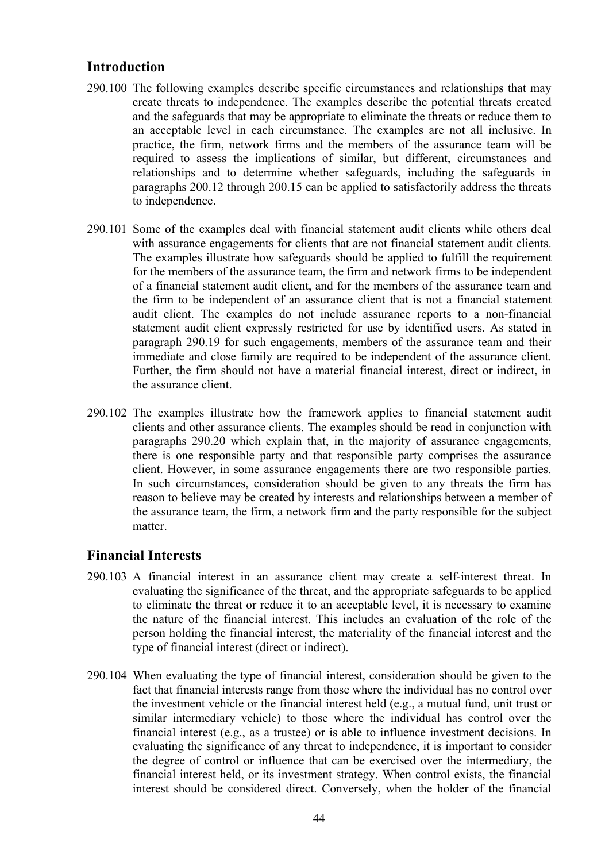## **Introduction**

- 290.100 The following examples describe specific circumstances and relationships that may create threats to independence. The examples describe the potential threats created and the safeguards that may be appropriate to eliminate the threats or reduce them to an acceptable level in each circumstance. The examples are not all inclusive. In practice, the firm, network firms and the members of the assurance team will be required to assess the implications of similar, but different, circumstances and relationships and to determine whether safeguards, including the safeguards in paragraphs 200.12 through 200.15 can be applied to satisfactorily address the threats to independence.
- 290.101 Some of the examples deal with financial statement audit clients while others deal with assurance engagements for clients that are not financial statement audit clients. The examples illustrate how safeguards should be applied to fulfill the requirement for the members of the assurance team, the firm and network firms to be independent of a financial statement audit client, and for the members of the assurance team and the firm to be independent of an assurance client that is not a financial statement audit client. The examples do not include assurance reports to a non-financial statement audit client expressly restricted for use by identified users. As stated in paragraph 290.19 for such engagements, members of the assurance team and their immediate and close family are required to be independent of the assurance client. Further, the firm should not have a material financial interest, direct or indirect, in the assurance client.
- 290.102 The examples illustrate how the framework applies to financial statement audit clients and other assurance clients. The examples should be read in conjunction with paragraphs 290.20 which explain that, in the majority of assurance engagements, there is one responsible party and that responsible party comprises the assurance client. However, in some assurance engagements there are two responsible parties. In such circumstances, consideration should be given to any threats the firm has reason to believe may be created by interests and relationships between a member of the assurance team, the firm, a network firm and the party responsible for the subject matter.

## **Financial Interests**

- 290.103 A financial interest in an assurance client may create a self-interest threat. In evaluating the significance of the threat, and the appropriate safeguards to be applied to eliminate the threat or reduce it to an acceptable level, it is necessary to examine the nature of the financial interest. This includes an evaluation of the role of the person holding the financial interest, the materiality of the financial interest and the type of financial interest (direct or indirect).
- 290.104 When evaluating the type of financial interest, consideration should be given to the fact that financial interests range from those where the individual has no control over the investment vehicle or the financial interest held (e.g., a mutual fund, unit trust or similar intermediary vehicle) to those where the individual has control over the financial interest (e.g., as a trustee) or is able to influence investment decisions. In evaluating the significance of any threat to independence, it is important to consider the degree of control or influence that can be exercised over the intermediary, the financial interest held, or its investment strategy. When control exists, the financial interest should be considered direct. Conversely, when the holder of the financial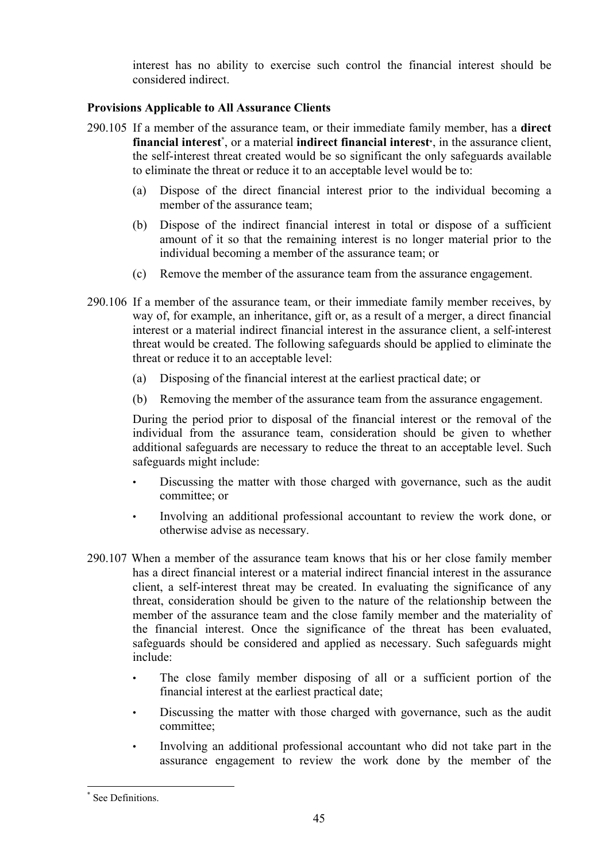interest has no ability to exercise such control the financial interest should be considered indirect.

## **Provisions Applicable to All Assurance Clients**

- 290.105 If a member of the assurance team, or their immediate family member, has a **direct**  financial interest<sup>\*</sup>, or a material indirect financial interest<sup>\*</sup>, in the assurance client, the self-interest threat created would be so significant the only safeguards available to eliminate the threat or reduce it to an acceptable level would be to:
	- (a) Dispose of the direct financial interest prior to the individual becoming a member of the assurance team;
	- (b) Dispose of the indirect financial interest in total or dispose of a sufficient amount of it so that the remaining interest is no longer material prior to the individual becoming a member of the assurance team; or
	- (c) Remove the member of the assurance team from the assurance engagement.
- 290.106 If a member of the assurance team, or their immediate family member receives, by way of, for example, an inheritance, gift or, as a result of a merger, a direct financial interest or a material indirect financial interest in the assurance client, a self-interest threat would be created. The following safeguards should be applied to eliminate the threat or reduce it to an acceptable level:
	- (a) Disposing of the financial interest at the earliest practical date; or
	- (b) Removing the member of the assurance team from the assurance engagement.

 During the period prior to disposal of the financial interest or the removal of the individual from the assurance team, consideration should be given to whether additional safeguards are necessary to reduce the threat to an acceptable level. Such safeguards might include:

- Discussing the matter with those charged with governance, such as the audit committee; or
- Involving an additional professional accountant to review the work done, or otherwise advise as necessary.
- 290.107 When a member of the assurance team knows that his or her close family member has a direct financial interest or a material indirect financial interest in the assurance client, a self-interest threat may be created. In evaluating the significance of any threat, consideration should be given to the nature of the relationship between the member of the assurance team and the close family member and the materiality of the financial interest. Once the significance of the threat has been evaluated, safeguards should be considered and applied as necessary. Such safeguards might include:
	- The close family member disposing of all or a sufficient portion of the financial interest at the earliest practical date;
	- Discussing the matter with those charged with governance, such as the audit committee;
	- Involving an additional professional accountant who did not take part in the assurance engagement to review the work done by the member of the

 $\overline{a}$ 

<sup>\*</sup> See Definitions.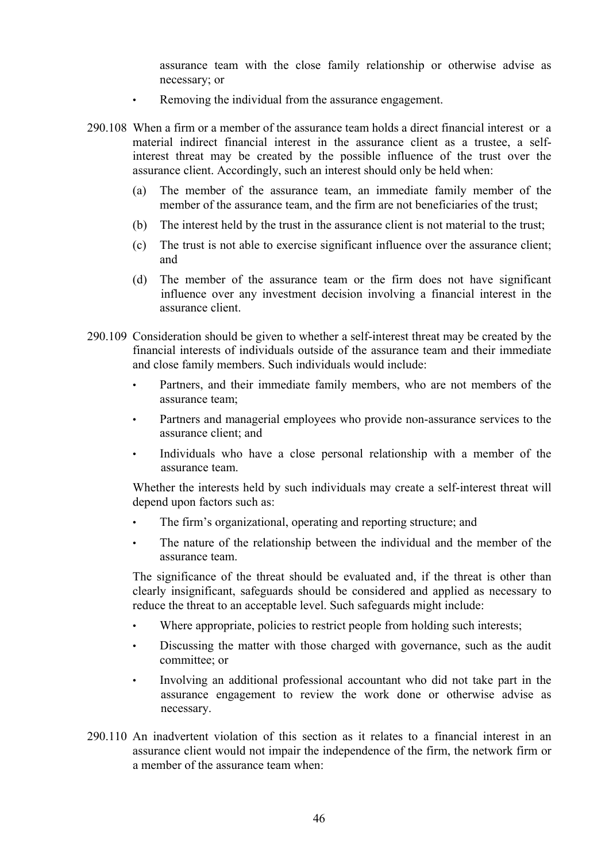assurance team with the close family relationship or otherwise advise as necessary; or

- Removing the individual from the assurance engagement.
- 290.108 When a firm or a member of the assurance team holds a direct financial interest or a material indirect financial interest in the assurance client as a trustee, a self interest threat may be created by the possible influence of the trust over the assurance client. Accordingly, such an interest should only be held when:
	- (a) The member of the assurance team, an immediate family member of the member of the assurance team, and the firm are not beneficiaries of the trust;
	- (b) The interest held by the trust in the assurance client is not material to the trust;
	- (c) The trust is not able to exercise significant influence over the assurance client; and
	- (d) The member of the assurance team or the firm does not have significant influence over any investment decision involving a financial interest in the assurance client.
- 290.109 Consideration should be given to whether a self-interest threat may be created by the financial interests of individuals outside of the assurance team and their immediate and close family members. Such individuals would include:
	- Partners, and their immediate family members, who are not members of the assurance team;
	- Partners and managerial employees who provide non-assurance services to the assurance client; and
	- Individuals who have a close personal relationship with a member of the assurance team.

 Whether the interests held by such individuals may create a self-interest threat will depend upon factors such as:

- The firm's organizational, operating and reporting structure; and
- The nature of the relationship between the individual and the member of the assurance team.

 The significance of the threat should be evaluated and, if the threat is other than clearly insignificant, safeguards should be considered and applied as necessary to reduce the threat to an acceptable level. Such safeguards might include:

- Where appropriate, policies to restrict people from holding such interests;
- Discussing the matter with those charged with governance, such as the audit committee; or
- Involving an additional professional accountant who did not take part in the assurance engagement to review the work done or otherwise advise as necessary.
- 290.110 An inadvertent violation of this section as it relates to a financial interest in an assurance client would not impair the independence of the firm, the network firm or a member of the assurance team when: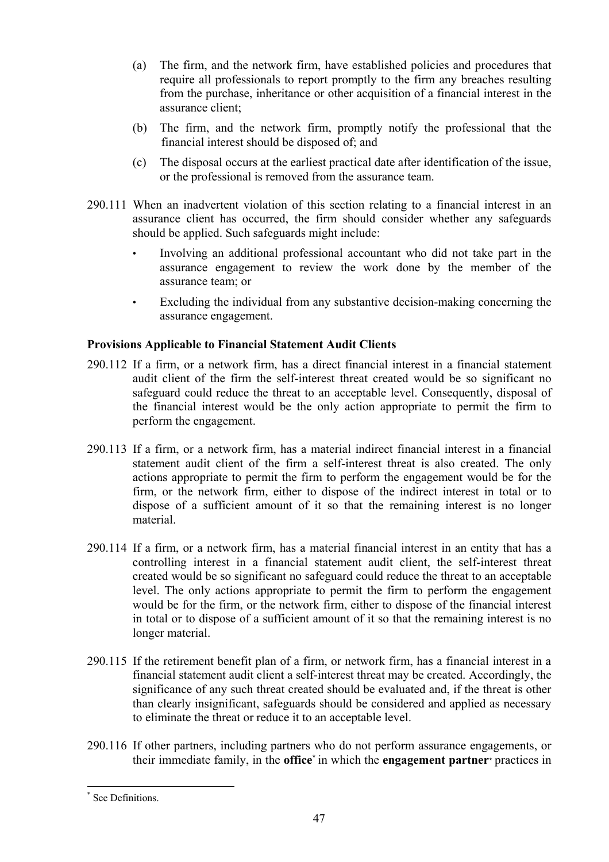- (a) The firm, and the network firm, have established policies and procedures that require all professionals to report promptly to the firm any breaches resulting from the purchase, inheritance or other acquisition of a financial interest in the assurance client;
- (b) The firm, and the network firm, promptly notify the professional that the financial interest should be disposed of; and
- (c) The disposal occurs at the earliest practical date after identification of the issue, or the professional is removed from the assurance team.
- 290.111 When an inadvertent violation of this section relating to a financial interest in an assurance client has occurred, the firm should consider whether any safeguards should be applied. Such safeguards might include:
	- Involving an additional professional accountant who did not take part in the assurance engagement to review the work done by the member of the assurance team; or
	- Excluding the individual from any substantive decision-making concerning the assurance engagement.

## **Provisions Applicable to Financial Statement Audit Clients**

- 290.112 If a firm, or a network firm, has a direct financial interest in a financial statement audit client of the firm the self-interest threat created would be so significant no safeguard could reduce the threat to an acceptable level. Consequently, disposal of the financial interest would be the only action appropriate to permit the firm to perform the engagement.
- 290.113 If a firm, or a network firm, has a material indirect financial interest in a financial statement audit client of the firm a self-interest threat is also created. The only actions appropriate to permit the firm to perform the engagement would be for the firm, or the network firm, either to dispose of the indirect interest in total or to dispose of a sufficient amount of it so that the remaining interest is no longer material.
- 290.114 If a firm, or a network firm, has a material financial interest in an entity that has a controlling interest in a financial statement audit client, the self-interest threat created would be so significant no safeguard could reduce the threat to an acceptable level. The only actions appropriate to permit the firm to perform the engagement would be for the firm, or the network firm, either to dispose of the financial interest in total or to dispose of a sufficient amount of it so that the remaining interest is no longer material.
- 290.115 If the retirement benefit plan of a firm, or network firm, has a financial interest in a financial statement audit client a self-interest threat may be created. Accordingly, the significance of any such threat created should be evaluated and, if the threat is other than clearly insignificant, safeguards should be considered and applied as necessary to eliminate the threat or reduce it to an acceptable level.
- 290.116 If other partners, including partners who do not perform assurance engagements, or their immediate family, in the **office\*** in which the **engagement partner**\* practices in

 $\overline{a}$ 

<sup>\*</sup> See Definitions.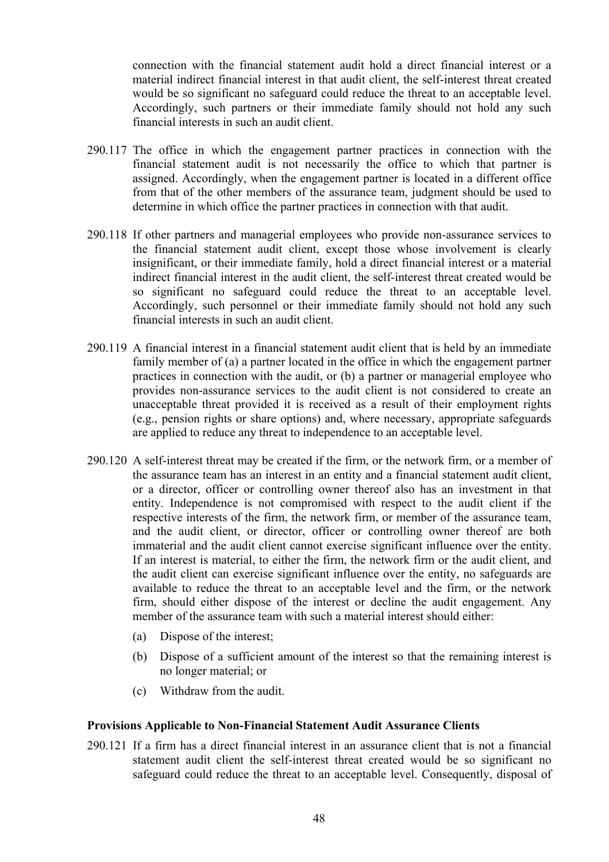connection with the financial statement audit hold a direct financial interest or a material indirect financial interest in that audit client, the self-interest threat created would be so significant no safeguard could reduce the threat to an acceptable level. Accordingly, such partners or their immediate family should not hold any such financial interests in such an audit client.

- 290.117 The office in which the engagement partner practices in connection with the financial statement audit is not necessarily the office to which that partner is assigned. Accordingly, when the engagement partner is located in a different office from that of the other members of the assurance team, judgment should be used to determine in which office the partner practices in connection with that audit.
- 290.118 If other partners and managerial employees who provide non-assurance services to the financial statement audit client, except those whose involvement is clearly insignificant, or their immediate family, hold a direct financial interest or a material indirect financial interest in the audit client, the self-interest threat created would be so significant no safeguard could reduce the threat to an acceptable level. Accordingly, such personnel or their immediate family should not hold any such financial interests in such an audit client.
- 290.119 A financial interest in a financial statement audit client that is held by an immediate family member of (a) a partner located in the office in which the engagement partner practices in connection with the audit, or (b) a partner or managerial employee who provides non-assurance services to the audit client is not considered to create an unacceptable threat provided it is received as a result of their employment rights (e.g., pension rights or share options) and, where necessary, appropriate safeguards are applied to reduce any threat to independence to an acceptable level.
- 290.120 A self-interest threat may be created if the firm, or the network firm, or a member of the assurance team has an interest in an entity and a financial statement audit client, or a director, officer or controlling owner thereof also has an investment in that entity. Independence is not compromised with respect to the audit client if the respective interests of the firm, the network firm, or member of the assurance team, and the audit client, or director, officer or controlling owner thereof are both immaterial and the audit client cannot exercise significant influence over the entity. If an interest is material, to either the firm, the network firm or the audit client, and the audit client can exercise significant influence over the entity, no safeguards are available to reduce the threat to an acceptable level and the firm, or the network firm, should either dispose of the interest or decline the audit engagement. Any member of the assurance team with such a material interest should either:
	- (a) Dispose of the interest;
	- (b) Dispose of a sufficient amount of the interest so that the remaining interest is no longer material; or
	- (c) Withdraw from the audit.

#### **Provisions Applicable to Non-Financial Statement Audit Assurance Clients**

290.121 If a firm has a direct financial interest in an assurance client that is not a financial statement audit client the self-interest threat created would be so significant no safeguard could reduce the threat to an acceptable level. Consequently, disposal of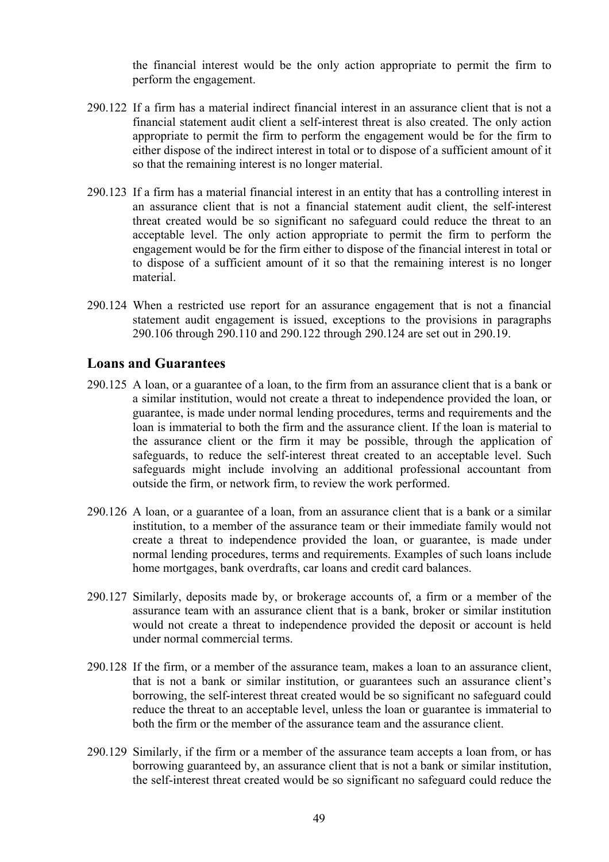the financial interest would be the only action appropriate to permit the firm to perform the engagement.

- 290.122 If a firm has a material indirect financial interest in an assurance client that is not a financial statement audit client a self-interest threat is also created. The only action appropriate to permit the firm to perform the engagement would be for the firm to either dispose of the indirect interest in total or to dispose of a sufficient amount of it so that the remaining interest is no longer material.
- 290.123 If a firm has a material financial interest in an entity that has a controlling interest in an assurance client that is not a financial statement audit client, the self-interest threat created would be so significant no safeguard could reduce the threat to an acceptable level. The only action appropriate to permit the firm to perform the engagement would be for the firm either to dispose of the financial interest in total or to dispose of a sufficient amount of it so that the remaining interest is no longer material.
- 290.124 When a restricted use report for an assurance engagement that is not a financial statement audit engagement is issued, exceptions to the provisions in paragraphs 290.106 through 290.110 and 290.122 through 290.124 are set out in 290.19.

## **Loans and Guarantees**

- 290.125 A loan, or a guarantee of a loan, to the firm from an assurance client that is a bank or a similar institution, would not create a threat to independence provided the loan, or guarantee, is made under normal lending procedures, terms and requirements and the loan is immaterial to both the firm and the assurance client. If the loan is material to the assurance client or the firm it may be possible, through the application of safeguards, to reduce the self-interest threat created to an acceptable level. Such safeguards might include involving an additional professional accountant from outside the firm, or network firm, to review the work performed.
- 290.126 A loan, or a guarantee of a loan, from an assurance client that is a bank or a similar institution, to a member of the assurance team or their immediate family would not create a threat to independence provided the loan, or guarantee, is made under normal lending procedures, terms and requirements. Examples of such loans include home mortgages, bank overdrafts, car loans and credit card balances.
- 290.127 Similarly, deposits made by, or brokerage accounts of, a firm or a member of the assurance team with an assurance client that is a bank, broker or similar institution would not create a threat to independence provided the deposit or account is held under normal commercial terms.
- 290.128 If the firm, or a member of the assurance team, makes a loan to an assurance client, that is not a bank or similar institution, or guarantees such an assurance client's borrowing, the self-interest threat created would be so significant no safeguard could reduce the threat to an acceptable level, unless the loan or guarantee is immaterial to both the firm or the member of the assurance team and the assurance client.
- 290.129 Similarly, if the firm or a member of the assurance team accepts a loan from, or has borrowing guaranteed by, an assurance client that is not a bank or similar institution, the self-interest threat created would be so significant no safeguard could reduce the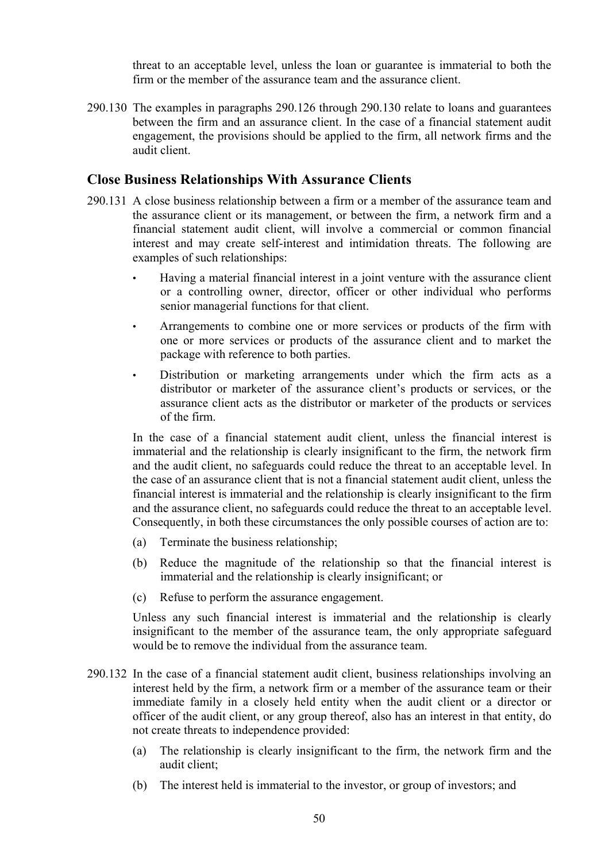threat to an acceptable level, unless the loan or guarantee is immaterial to both the firm or the member of the assurance team and the assurance client.

290.130 The examples in paragraphs 290.126 through 290.130 relate to loans and guarantees between the firm and an assurance client. In the case of a financial statement audit engagement, the provisions should be applied to the firm, all network firms and the audit client.

## **Close Business Relationships With Assurance Clients**

- 290.131 A close business relationship between a firm or a member of the assurance team and the assurance client or its management, or between the firm, a network firm and a financial statement audit client, will involve a commercial or common financial interest and may create self-interest and intimidation threats. The following are examples of such relationships:
	- Having a material financial interest in a joint venture with the assurance client or a controlling owner, director, officer or other individual who performs senior managerial functions for that client.
	- Arrangements to combine one or more services or products of the firm with one or more services or products of the assurance client and to market the package with reference to both parties.
	- Distribution or marketing arrangements under which the firm acts as a distributor or marketer of the assurance client's products or services, or the assurance client acts as the distributor or marketer of the products or services of the firm.

 In the case of a financial statement audit client, unless the financial interest is immaterial and the relationship is clearly insignificant to the firm, the network firm and the audit client, no safeguards could reduce the threat to an acceptable level. In the case of an assurance client that is not a financial statement audit client, unless the financial interest is immaterial and the relationship is clearly insignificant to the firm and the assurance client, no safeguards could reduce the threat to an acceptable level. Consequently, in both these circumstances the only possible courses of action are to:

- (a) Terminate the business relationship;
- (b) Reduce the magnitude of the relationship so that the financial interest is immaterial and the relationship is clearly insignificant; or
- (c) Refuse to perform the assurance engagement.

Unless any such financial interest is immaterial and the relationship is clearly insignificant to the member of the assurance team, the only appropriate safeguard would be to remove the individual from the assurance team.

- 290.132 In the case of a financial statement audit client, business relationships involving an interest held by the firm, a network firm or a member of the assurance team or their immediate family in a closely held entity when the audit client or a director or officer of the audit client, or any group thereof, also has an interest in that entity, do not create threats to independence provided:
	- (a) The relationship is clearly insignificant to the firm, the network firm and the audit client;
	- (b) The interest held is immaterial to the investor, or group of investors; and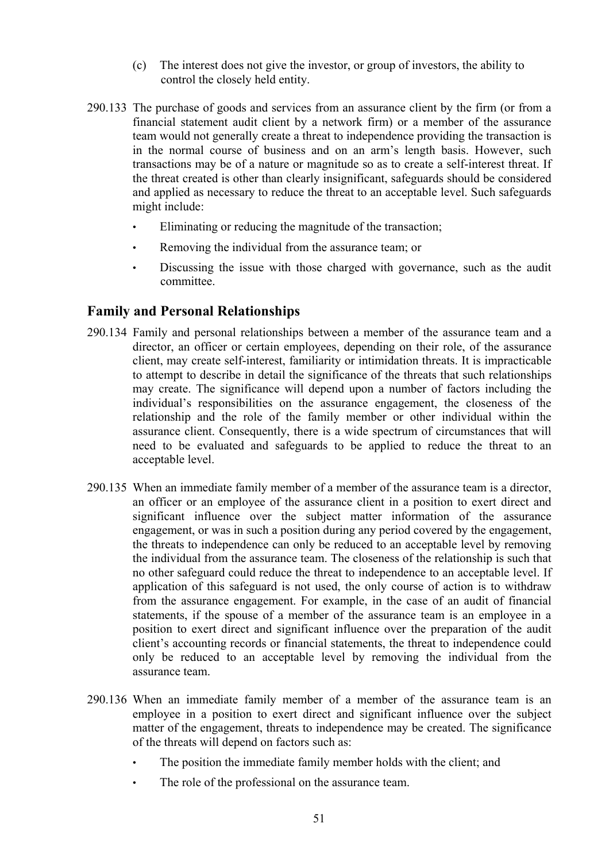- (c) The interest does not give the investor, or group of investors, the ability to control the closely held entity.
- 290.133 The purchase of goods and services from an assurance client by the firm (or from a financial statement audit client by a network firm) or a member of the assurance team would not generally create a threat to independence providing the transaction is in the normal course of business and on an arm's length basis. However, such transactions may be of a nature or magnitude so as to create a self-interest threat. If the threat created is other than clearly insignificant, safeguards should be considered and applied as necessary to reduce the threat to an acceptable level. Such safeguards might include:
	- Eliminating or reducing the magnitude of the transaction;
	- Removing the individual from the assurance team; or
	- Discussing the issue with those charged with governance, such as the audit committee.

## **Family and Personal Relationships**

- 290.134 Family and personal relationships between a member of the assurance team and a director, an officer or certain employees, depending on their role, of the assurance client, may create self-interest, familiarity or intimidation threats. It is impracticable to attempt to describe in detail the significance of the threats that such relationships may create. The significance will depend upon a number of factors including the individual's responsibilities on the assurance engagement, the closeness of the relationship and the role of the family member or other individual within the assurance client. Consequently, there is a wide spectrum of circumstances that will need to be evaluated and safeguards to be applied to reduce the threat to an acceptable level.
- 290.135 When an immediate family member of a member of the assurance team is a director, an officer or an employee of the assurance client in a position to exert direct and significant influence over the subject matter information of the assurance engagement, or was in such a position during any period covered by the engagement, the threats to independence can only be reduced to an acceptable level by removing the individual from the assurance team. The closeness of the relationship is such that no other safeguard could reduce the threat to independence to an acceptable level. If application of this safeguard is not used, the only course of action is to withdraw from the assurance engagement. For example, in the case of an audit of financial statements, if the spouse of a member of the assurance team is an employee in a position to exert direct and significant influence over the preparation of the audit client's accounting records or financial statements, the threat to independence could only be reduced to an acceptable level by removing the individual from the assurance team.
- 290.136 When an immediate family member of a member of the assurance team is an employee in a position to exert direct and significant influence over the subject matter of the engagement, threats to independence may be created. The significance of the threats will depend on factors such as:
	- The position the immediate family member holds with the client; and
	- The role of the professional on the assurance team.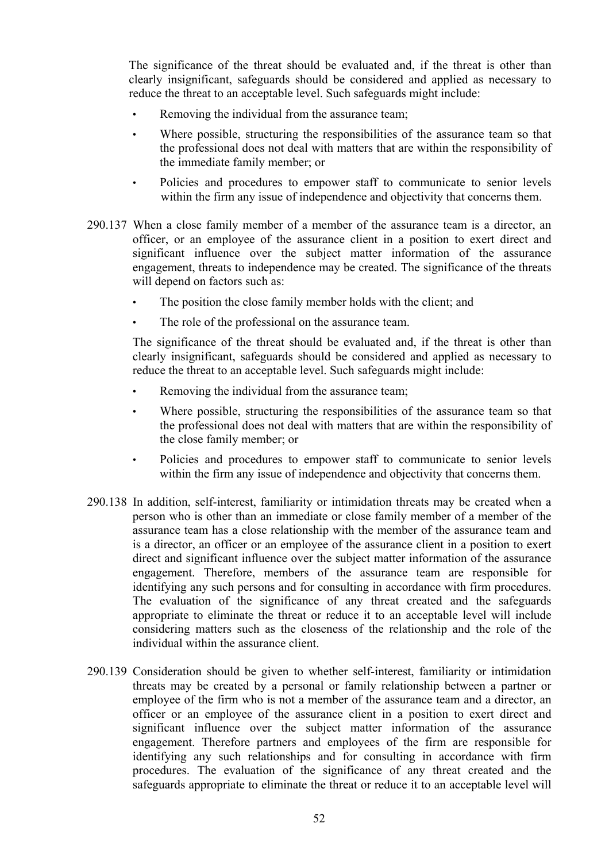The significance of the threat should be evaluated and, if the threat is other than clearly insignificant, safeguards should be considered and applied as necessary to reduce the threat to an acceptable level. Such safeguards might include:

- Removing the individual from the assurance team;
- Where possible, structuring the responsibilities of the assurance team so that the professional does not deal with matters that are within the responsibility of the immediate family member; or
- Policies and procedures to empower staff to communicate to senior levels within the firm any issue of independence and objectivity that concerns them.
- 290.137 When a close family member of a member of the assurance team is a director, an officer, or an employee of the assurance client in a position to exert direct and significant influence over the subject matter information of the assurance engagement, threats to independence may be created. The significance of the threats will depend on factors such as:
	- The position the close family member holds with the client; and
	- The role of the professional on the assurance team.

 The significance of the threat should be evaluated and, if the threat is other than clearly insignificant, safeguards should be considered and applied as necessary to reduce the threat to an acceptable level. Such safeguards might include:

- Removing the individual from the assurance team:
- Where possible, structuring the responsibilities of the assurance team so that the professional does not deal with matters that are within the responsibility of the close family member; or
- Policies and procedures to empower staff to communicate to senior levels within the firm any issue of independence and objectivity that concerns them.
- 290.138 In addition, self-interest, familiarity or intimidation threats may be created when a person who is other than an immediate or close family member of a member of the assurance team has a close relationship with the member of the assurance team and is a director, an officer or an employee of the assurance client in a position to exert direct and significant influence over the subject matter information of the assurance engagement. Therefore, members of the assurance team are responsible for identifying any such persons and for consulting in accordance with firm procedures. The evaluation of the significance of any threat created and the safeguards appropriate to eliminate the threat or reduce it to an acceptable level will include considering matters such as the closeness of the relationship and the role of the individual within the assurance client.
- 290.139 Consideration should be given to whether self-interest, familiarity or intimidation threats may be created by a personal or family relationship between a partner or employee of the firm who is not a member of the assurance team and a director, an officer or an employee of the assurance client in a position to exert direct and significant influence over the subject matter information of the assurance engagement. Therefore partners and employees of the firm are responsible for identifying any such relationships and for consulting in accordance with firm procedures. The evaluation of the significance of any threat created and the safeguards appropriate to eliminate the threat or reduce it to an acceptable level will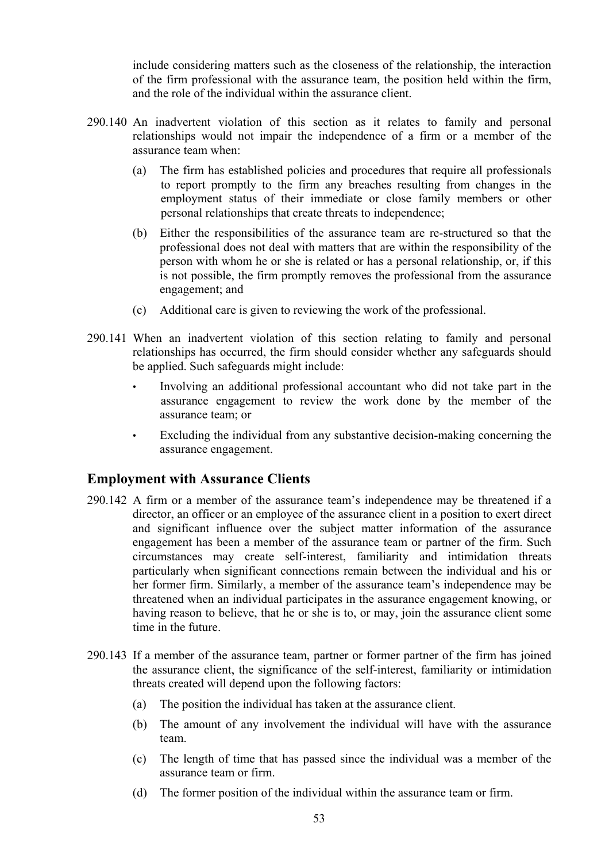include considering matters such as the closeness of the relationship, the interaction of the firm professional with the assurance team, the position held within the firm, and the role of the individual within the assurance client.

- 290.140 An inadvertent violation of this section as it relates to family and personal relationships would not impair the independence of a firm or a member of the assurance team when:
	- (a) The firm has established policies and procedures that require all professionals to report promptly to the firm any breaches resulting from changes in the employment status of their immediate or close family members or other personal relationships that create threats to independence;
	- (b) Either the responsibilities of the assurance team are re-structured so that the professional does not deal with matters that are within the responsibility of the person with whom he or she is related or has a personal relationship, or, if this is not possible, the firm promptly removes the professional from the assurance engagement; and
	- (c) Additional care is given to reviewing the work of the professional.
- 290.141 When an inadvertent violation of this section relating to family and personal relationships has occurred, the firm should consider whether any safeguards should be applied. Such safeguards might include:
	- Involving an additional professional accountant who did not take part in the assurance engagement to review the work done by the member of the assurance team; or
	- Excluding the individual from any substantive decision-making concerning the assurance engagement.

## **Employment with Assurance Clients**

- 290.142 A firm or a member of the assurance team's independence may be threatened if a director, an officer or an employee of the assurance client in a position to exert direct and significant influence over the subject matter information of the assurance engagement has been a member of the assurance team or partner of the firm. Such circumstances may create self-interest, familiarity and intimidation threats particularly when significant connections remain between the individual and his or her former firm. Similarly, a member of the assurance team's independence may be threatened when an individual participates in the assurance engagement knowing, or having reason to believe, that he or she is to, or may, join the assurance client some time in the future.
- 290.143 If a member of the assurance team, partner or former partner of the firm has joined the assurance client, the significance of the self-interest, familiarity or intimidation threats created will depend upon the following factors:
	- (a) The position the individual has taken at the assurance client.
	- (b) The amount of any involvement the individual will have with the assurance team.
	- (c) The length of time that has passed since the individual was a member of the assurance team or firm.
	- (d) The former position of the individual within the assurance team or firm.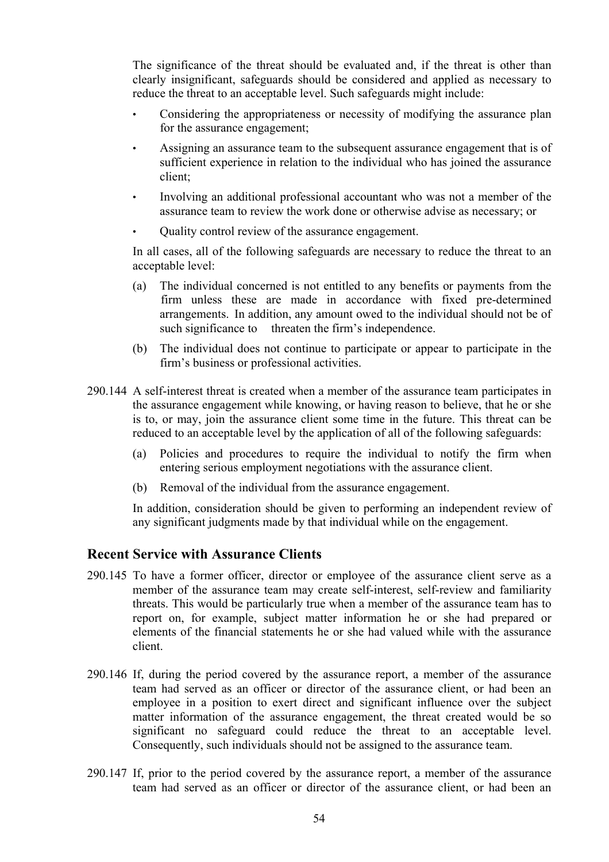The significance of the threat should be evaluated and, if the threat is other than clearly insignificant, safeguards should be considered and applied as necessary to reduce the threat to an acceptable level. Such safeguards might include:

- Considering the appropriateness or necessity of modifying the assurance plan for the assurance engagement;
- Assigning an assurance team to the subsequent assurance engagement that is of sufficient experience in relation to the individual who has joined the assurance client;
- Involving an additional professional accountant who was not a member of the assurance team to review the work done or otherwise advise as necessary; or
- Quality control review of the assurance engagement.

 In all cases, all of the following safeguards are necessary to reduce the threat to an acceptable level:

- (a) The individual concerned is not entitled to any benefits or payments from the firm unless these are made in accordance with fixed pre-determined arrangements. In addition, any amount owed to the individual should not be of such significance to threaten the firm's independence.
- (b) The individual does not continue to participate or appear to participate in the firm's business or professional activities.
- 290.144 A self-interest threat is created when a member of the assurance team participates in the assurance engagement while knowing, or having reason to believe, that he or she is to, or may, join the assurance client some time in the future. This threat can be reduced to an acceptable level by the application of all of the following safeguards:
	- (a) Policies and procedures to require the individual to notify the firm when entering serious employment negotiations with the assurance client.
	- (b) Removal of the individual from the assurance engagement.

 In addition, consideration should be given to performing an independent review of any significant judgments made by that individual while on the engagement.

## **Recent Service with Assurance Clients**

- 290.145 To have a former officer, director or employee of the assurance client serve as a member of the assurance team may create self-interest, self-review and familiarity threats. This would be particularly true when a member of the assurance team has to report on, for example, subject matter information he or she had prepared or elements of the financial statements he or she had valued while with the assurance client.
- 290.146 If, during the period covered by the assurance report, a member of the assurance team had served as an officer or director of the assurance client, or had been an employee in a position to exert direct and significant influence over the subject matter information of the assurance engagement, the threat created would be so significant no safeguard could reduce the threat to an acceptable level. Consequently, such individuals should not be assigned to the assurance team.
- 290.147 If, prior to the period covered by the assurance report, a member of the assurance team had served as an officer or director of the assurance client, or had been an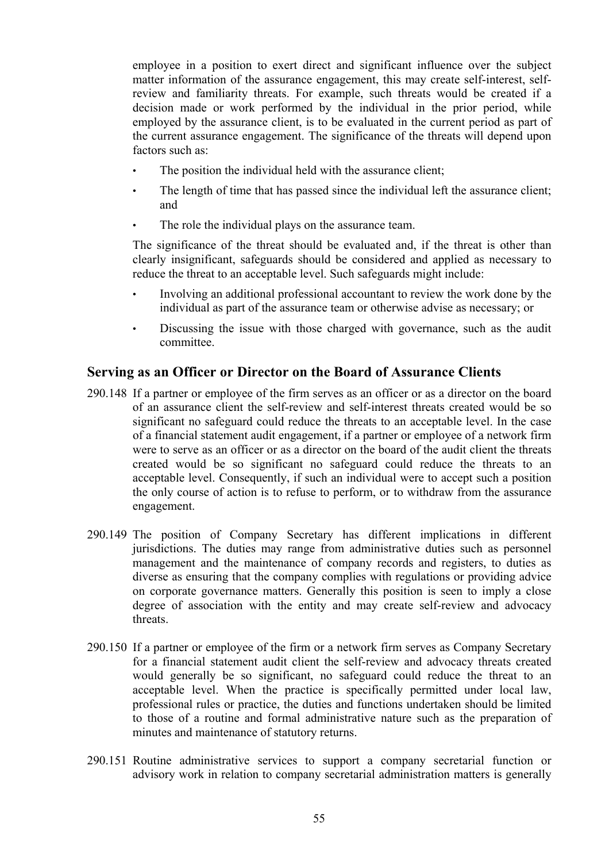employee in a position to exert direct and significant influence over the subject matter information of the assurance engagement, this may create self-interest, self review and familiarity threats. For example, such threats would be created if a decision made or work performed by the individual in the prior period, while employed by the assurance client, is to be evaluated in the current period as part of the current assurance engagement. The significance of the threats will depend upon factors such as:

- The position the individual held with the assurance client;
- The length of time that has passed since the individual left the assurance client; and
- The role the individual plays on the assurance team.

 The significance of the threat should be evaluated and, if the threat is other than clearly insignificant, safeguards should be considered and applied as necessary to reduce the threat to an acceptable level. Such safeguards might include:

- Involving an additional professional accountant to review the work done by the individual as part of the assurance team or otherwise advise as necessary; or
- Discussing the issue with those charged with governance, such as the audit committee.

## **Serving as an Officer or Director on the Board of Assurance Clients**

- 290.148 If a partner or employee of the firm serves as an officer or as a director on the board of an assurance client the self-review and self-interest threats created would be so significant no safeguard could reduce the threats to an acceptable level. In the case of a financial statement audit engagement, if a partner or employee of a network firm were to serve as an officer or as a director on the board of the audit client the threats created would be so significant no safeguard could reduce the threats to an acceptable level. Consequently, if such an individual were to accept such a position the only course of action is to refuse to perform, or to withdraw from the assurance engagement.
- 290.149 The position of Company Secretary has different implications in different jurisdictions. The duties may range from administrative duties such as personnel management and the maintenance of company records and registers, to duties as diverse as ensuring that the company complies with regulations or providing advice on corporate governance matters. Generally this position is seen to imply a close degree of association with the entity and may create self-review and advocacy threats.
- 290.150 If a partner or employee of the firm or a network firm serves as Company Secretary for a financial statement audit client the self-review and advocacy threats created would generally be so significant, no safeguard could reduce the threat to an acceptable level. When the practice is specifically permitted under local law, professional rules or practice, the duties and functions undertaken should be limited to those of a routine and formal administrative nature such as the preparation of minutes and maintenance of statutory returns.
- 290.151 Routine administrative services to support a company secretarial function or advisory work in relation to company secretarial administration matters is generally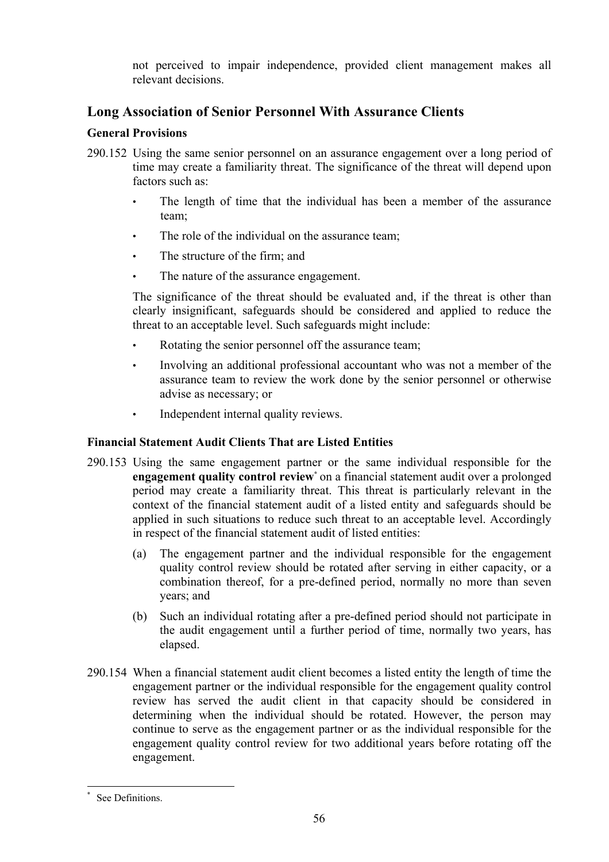not perceived to impair independence, provided client management makes all relevant decisions.

## **Long Association of Senior Personnel With Assurance Clients**

## **General Provisions**

- 290.152 Using the same senior personnel on an assurance engagement over a long period of time may create a familiarity threat. The significance of the threat will depend upon factors such as:
	- The length of time that the individual has been a member of the assurance team;
	- The role of the individual on the assurance team;
	- The structure of the firm; and
	- The nature of the assurance engagement.

 The significance of the threat should be evaluated and, if the threat is other than clearly insignificant, safeguards should be considered and applied to reduce the threat to an acceptable level. Such safeguards might include:

- Rotating the senior personnel off the assurance team;
- Involving an additional professional accountant who was not a member of the assurance team to review the work done by the senior personnel or otherwise advise as necessary; or
- Independent internal quality reviews.

## **Financial Statement Audit Clients That are Listed Entities**

- 290.153 Using the same engagement partner or the same individual responsible for the **engagement quality control review\*** on a financial statement audit over a prolonged period may create a familiarity threat. This threat is particularly relevant in the context of the financial statement audit of a listed entity and safeguards should be applied in such situations to reduce such threat to an acceptable level. Accordingly in respect of the financial statement audit of listed entities:
	- (a) The engagement partner and the individual responsible for the engagement quality control review should be rotated after serving in either capacity, or a combination thereof, for a pre-defined period, normally no more than seven years; and
	- (b) Such an individual rotating after a pre-defined period should not participate in the audit engagement until a further period of time, normally two years, has elapsed.
- 290.154 When a financial statement audit client becomes a listed entity the length of time the engagement partner or the individual responsible for the engagement quality control review has served the audit client in that capacity should be considered in determining when the individual should be rotated. However, the person may continue to serve as the engagement partner or as the individual responsible for the engagement quality control review for two additional years before rotating off the engagement.

 $\overline{a}$ \* See Definitions.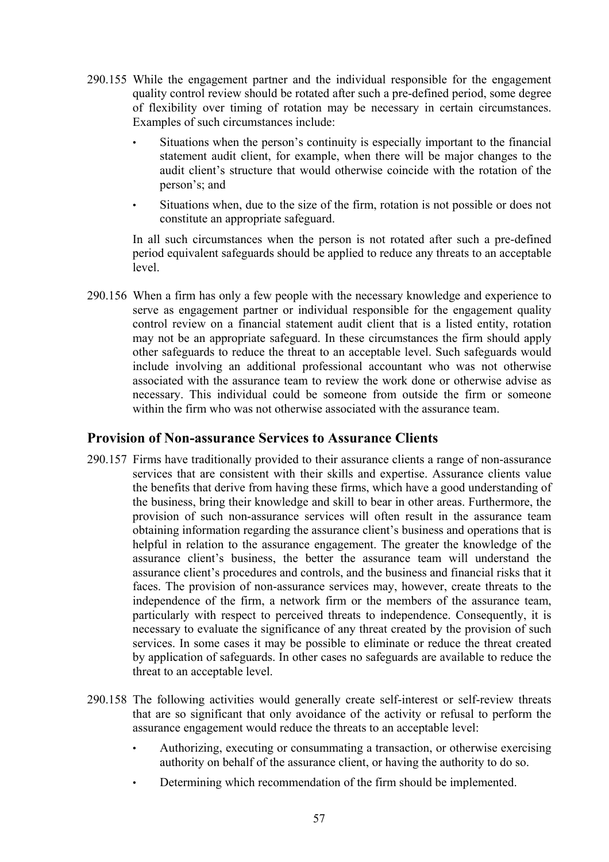- 290.155 While the engagement partner and the individual responsible for the engagement quality control review should be rotated after such a pre-defined period, some degree of flexibility over timing of rotation may be necessary in certain circumstances. Examples of such circumstances include:
	- Situations when the person's continuity is especially important to the financial statement audit client, for example, when there will be major changes to the audit client's structure that would otherwise coincide with the rotation of the person's; and
	- Situations when, due to the size of the firm, rotation is not possible or does not constitute an appropriate safeguard.

 In all such circumstances when the person is not rotated after such a pre-defined period equivalent safeguards should be applied to reduce any threats to an acceptable level.

290.156 When a firm has only a few people with the necessary knowledge and experience to serve as engagement partner or individual responsible for the engagement quality control review on a financial statement audit client that is a listed entity, rotation may not be an appropriate safeguard. In these circumstances the firm should apply other safeguards to reduce the threat to an acceptable level. Such safeguards would include involving an additional professional accountant who was not otherwise associated with the assurance team to review the work done or otherwise advise as necessary. This individual could be someone from outside the firm or someone within the firm who was not otherwise associated with the assurance team.

## **Provision of Non-assurance Services to Assurance Clients**

- 290.157 Firms have traditionally provided to their assurance clients a range of non-assurance services that are consistent with their skills and expertise. Assurance clients value the benefits that derive from having these firms, which have a good understanding of the business, bring their knowledge and skill to bear in other areas. Furthermore, the provision of such non-assurance services will often result in the assurance team obtaining information regarding the assurance client's business and operations that is helpful in relation to the assurance engagement. The greater the knowledge of the assurance client's business, the better the assurance team will understand the assurance client's procedures and controls, and the business and financial risks that it faces. The provision of non-assurance services may, however, create threats to the independence of the firm, a network firm or the members of the assurance team, particularly with respect to perceived threats to independence. Consequently, it is necessary to evaluate the significance of any threat created by the provision of such services. In some cases it may be possible to eliminate or reduce the threat created by application of safeguards. In other cases no safeguards are available to reduce the threat to an acceptable level.
- 290.158 The following activities would generally create self-interest or self-review threats that are so significant that only avoidance of the activity or refusal to perform the assurance engagement would reduce the threats to an acceptable level:
	- Authorizing, executing or consummating a transaction, or otherwise exercising authority on behalf of the assurance client, or having the authority to do so.
	- Determining which recommendation of the firm should be implemented.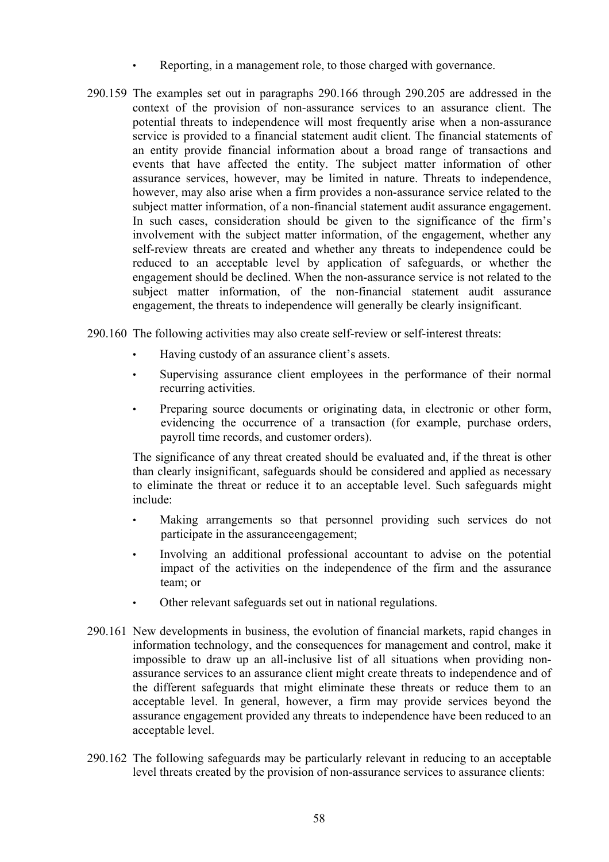- Reporting, in a management role, to those charged with governance.
- 290.159 The examples set out in paragraphs 290.166 through 290.205 are addressed in the context of the provision of non-assurance services to an assurance client. The potential threats to independence will most frequently arise when a non-assurance service is provided to a financial statement audit client. The financial statements of an entity provide financial information about a broad range of transactions and events that have affected the entity. The subject matter information of other assurance services, however, may be limited in nature. Threats to independence, however, may also arise when a firm provides a non-assurance service related to the subject matter information, of a non-financial statement audit assurance engagement. In such cases, consideration should be given to the significance of the firm's involvement with the subject matter information, of the engagement, whether any self-review threats are created and whether any threats to independence could be reduced to an acceptable level by application of safeguards, or whether the engagement should be declined. When the non-assurance service is not related to the subject matter information, of the non-financial statement audit assurance engagement, the threats to independence will generally be clearly insignificant.

290.160 The following activities may also create self-review or self-interest threats:

- Having custody of an assurance client's assets.
- Supervising assurance client employees in the performance of their normal recurring activities.
- Preparing source documents or originating data, in electronic or other form, evidencing the occurrence of a transaction (for example, purchase orders, payroll time records, and customer orders).

 The significance of any threat created should be evaluated and, if the threat is other than clearly insignificant, safeguards should be considered and applied as necessary to eliminate the threat or reduce it to an acceptable level. Such safeguards might include:

- Making arrangements so that personnel providing such services do not participate in the assurance engagement;
- Involving an additional professional accountant to advise on the potential impact of the activities on the independence of the firm and the assurance team; or
- Other relevant safeguards set out in national regulations.
- 290.161 New developments in business, the evolution of financial markets, rapid changes in information technology, and the consequences for management and control, make it impossible to draw up an all-inclusive list of all situations when providing non assurance services to an assurance client might create threats to independence and of the different safeguards that might eliminate these threats or reduce them to an acceptable level. In general, however, a firm may provide services beyond the assurance engagement provided any threats to independence have been reduced to an acceptable level.
- 290.162 The following safeguards may be particularly relevant in reducing to an acceptable level threats created by the provision of non-assurance services to assurance clients: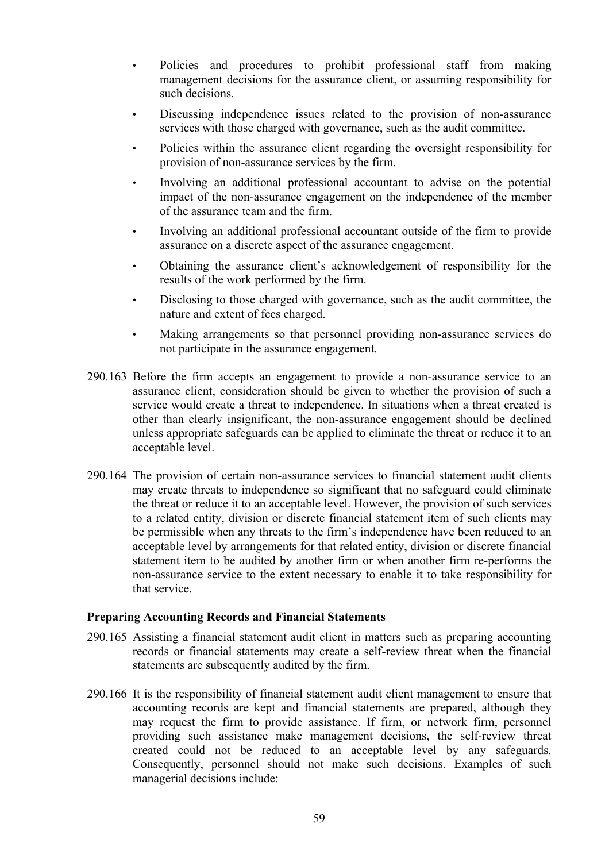- Policies and procedures to prohibit professional staff from making management decisions for the assurance client, or assuming responsibility for such decisions.
- Discussing independence issues related to the provision of non-assurance services with those charged with governance, such as the audit committee.
- Policies within the assurance client regarding the oversight responsibility for provision of non-assurance services by the firm.
- Involving an additional professional accountant to advise on the potential impact of the non-assurance engagement on the independence of the member of the assurance team and the firm.
- Involving an additional professional accountant outside of the firm to provide assurance on a discrete aspect of the assurance engagement.
- Obtaining the assurance client's acknowledgement of responsibility for the results of the work performed by the firm.
- Disclosing to those charged with governance, such as the audit committee, the nature and extent of fees charged.
- Making arrangements so that personnel providing non-assurance services do not participate in the assurance engagement.
- 290.163 Before the firm accepts an engagement to provide a non-assurance service to an assurance client, consideration should be given to whether the provision of such a service would create a threat to independence. In situations when a threat created is other than clearly insignificant, the non-assurance engagement should be declined unless appropriate safeguards can be applied to eliminate the threat or reduce it to an acceptable level.
- 290.164 The provision of certain non-assurance services to financial statement audit clients may create threats to independence so significant that no safeguard could eliminate the threat or reduce it to an acceptable level. However, the provision of such services to a related entity, division or discrete financial statement item of such clients may be permissible when any threats to the firm's independence have been reduced to an acceptable level by arrangements for that related entity, division or discrete financial statement item to be audited by another firm or when another firm re-performs the non-assurance service to the extent necessary to enable it to take responsibility for that service.

#### **Preparing Accounting Records and Financial Statements**

- 290.165 Assisting a financial statement audit client in matters such as preparing accounting records or financial statements may create a self-review threat when the financial statements are subsequently audited by the firm.
- 290.166 It is the responsibility of financial statement audit client management to ensure that accounting records are kept and financial statements are prepared, although they may request the firm to provide assistance. If firm, or network firm, personnel providing such assistance make management decisions, the self-review threat created could not be reduced to an acceptable level by any safeguards. Consequently, personnel should not make such decisions. Examples of such managerial decisions include: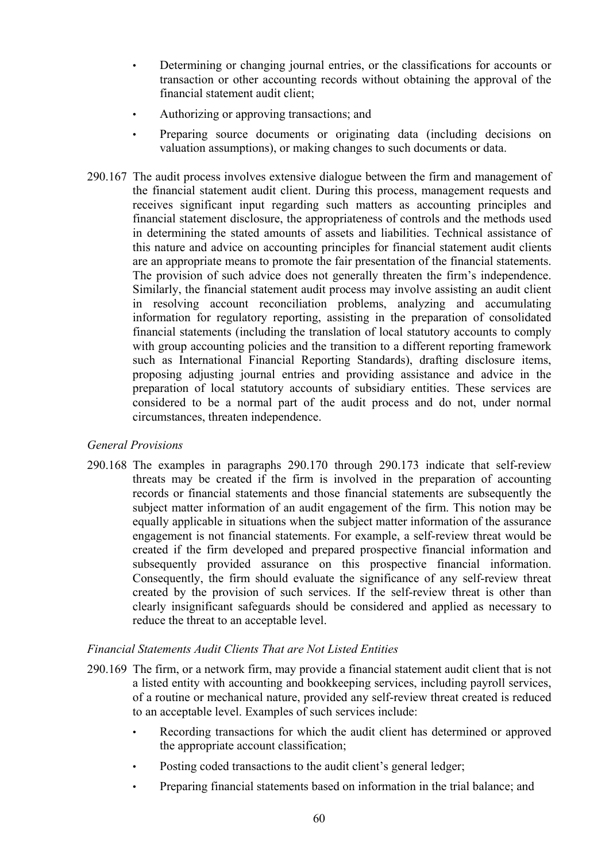- Determining or changing journal entries, or the classifications for accounts or transaction or other accounting records without obtaining the approval of the financial statement audit client;
- Authorizing or approving transactions; and
- Preparing source documents or originating data (including decisions on valuation assumptions), or making changes to such documents or data.
- 290.167 The audit process involves extensive dialogue between the firm and management of the financial statement audit client. During this process, management requests and receives significant input regarding such matters as accounting principles and financial statement disclosure, the appropriateness of controls and the methods used in determining the stated amounts of assets and liabilities. Technical assistance of this nature and advice on accounting principles for financial statement audit clients are an appropriate means to promote the fair presentation of the financial statements. The provision of such advice does not generally threaten the firm's independence. Similarly, the financial statement audit process may involve assisting an audit client in resolving account reconciliation problems, analyzing and accumulating information for regulatory reporting, assisting in the preparation of consolidated financial statements (including the translation of local statutory accounts to comply with group accounting policies and the transition to a different reporting framework such as International Financial Reporting Standards), drafting disclosure items, proposing adjusting journal entries and providing assistance and advice in the preparation of local statutory accounts of subsidiary entities. These services are considered to be a normal part of the audit process and do not, under normal circumstances, threaten independence.

## *General Provisions*

290.168 The examples in paragraphs 290.170 through 290.173 indicate that self-review threats may be created if the firm is involved in the preparation of accounting records or financial statements and those financial statements are subsequently the subject matter information of an audit engagement of the firm. This notion may be equally applicable in situations when the subject matter information of the assurance engagement is not financial statements. For example, a self-review threat would be created if the firm developed and prepared prospective financial information and subsequently provided assurance on this prospective financial information. Consequently, the firm should evaluate the significance of any self-review threat created by the provision of such services. If the self-review threat is other than clearly insignificant safeguards should be considered and applied as necessary to reduce the threat to an acceptable level.

## *Financial Statements Audit Clients That are Not Listed Entities*

- 290.169 The firm, or a network firm, may provide a financial statement audit client that is not a listed entity with accounting and bookkeeping services, including payroll services, of a routine or mechanical nature, provided any self-review threat created is reduced to an acceptable level. Examples of such services include:
	- Recording transactions for which the audit client has determined or approved the appropriate account classification;
	- Posting coded transactions to the audit client's general ledger;
	- Preparing financial statements based on information in the trial balance; and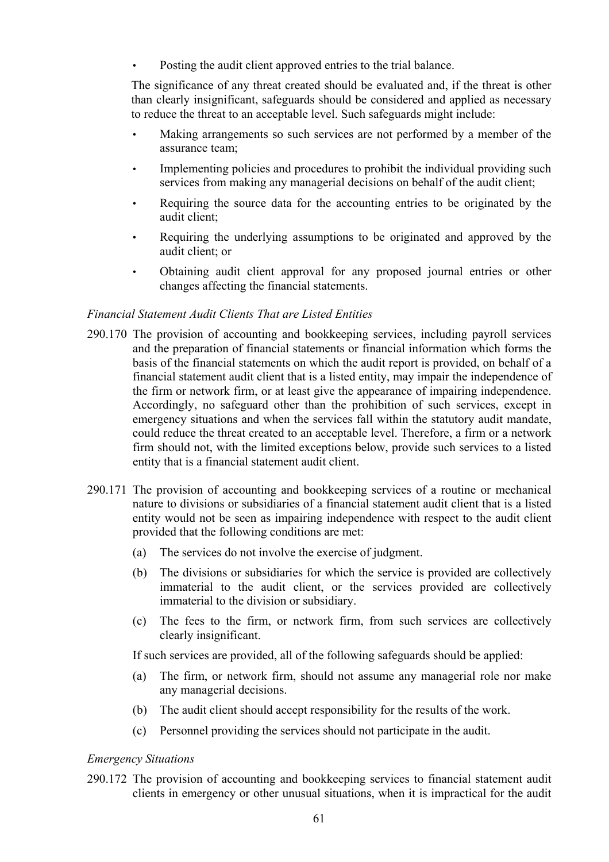Posting the audit client approved entries to the trial balance.

 The significance of any threat created should be evaluated and, if the threat is other than clearly insignificant, safeguards should be considered and applied as necessary to reduce the threat to an acceptable level. Such safeguards might include:

- Making arrangements so such services are not performed by a member of the assurance team;
- Implementing policies and procedures to prohibit the individual providing such services from making any managerial decisions on behalf of the audit client;
- Requiring the source data for the accounting entries to be originated by the audit client;
- Requiring the underlying assumptions to be originated and approved by the audit client; or
- Obtaining audit client approval for any proposed journal entries or other changes affecting the financial statements.

## *Financial Statement Audit Clients That are Listed Entities*

- 290.170 The provision of accounting and bookkeeping services, including payroll services and the preparation of financial statements or financial information which forms the basis of the financial statements on which the audit report is provided, on behalf of a financial statement audit client that is a listed entity, may impair the independence of the firm or network firm, or at least give the appearance of impairing independence. Accordingly, no safeguard other than the prohibition of such services, except in emergency situations and when the services fall within the statutory audit mandate, could reduce the threat created to an acceptable level. Therefore, a firm or a network firm should not, with the limited exceptions below, provide such services to a listed entity that is a financial statement audit client.
- 290.171 The provision of accounting and bookkeeping services of a routine or mechanical nature to divisions or subsidiaries of a financial statement audit client that is a listed entity would not be seen as impairing independence with respect to the audit client provided that the following conditions are met:
	- (a) The services do not involve the exercise of judgment.
	- (b) The divisions or subsidiaries for which the service is provided are collectively immaterial to the audit client, or the services provided are collectively immaterial to the division or subsidiary.
	- (c) The fees to the firm, or network firm, from such services are collectively clearly insignificant.

If such services are provided, all of the following safeguards should be applied:

- (a) The firm, or network firm, should not assume any managerial role nor make any managerial decisions.
- (b) The audit client should accept responsibility for the results of the work.
- (c) Personnel providing the services should not participate in the audit.

## *Emergency Situations*

290.172 The provision of accounting and bookkeeping services to financial statement audit clients in emergency or other unusual situations, when it is impractical for the audit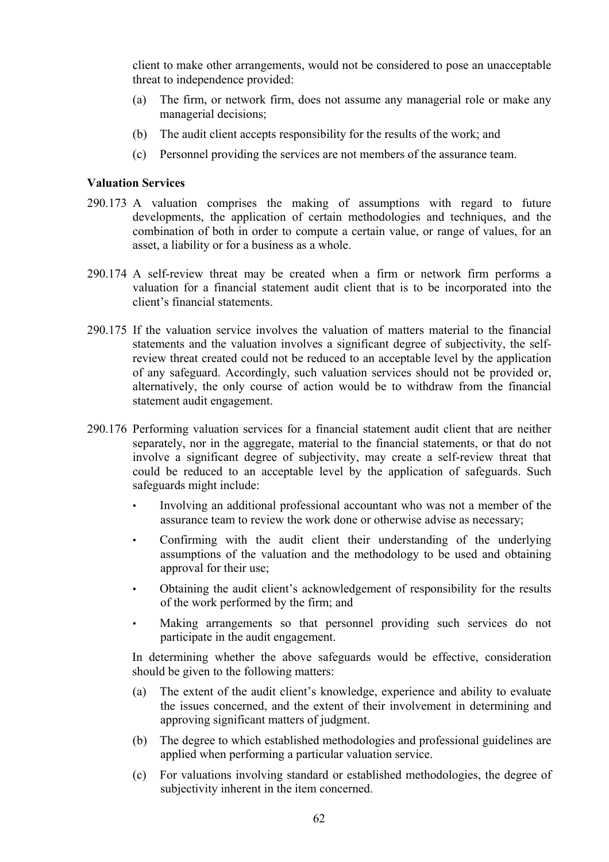client to make other arrangements, would not be considered to pose an unacceptable threat to independence provided:

- (a) The firm, or network firm, does not assume any managerial role or make any managerial decisions;
- (b) The audit client accepts responsibility for the results of the work; and
- (c) Personnel providing the services are not members of the assurance team.

#### **Valuation Services**

- 290.173 A valuation comprises the making of assumptions with regard to future developments, the application of certain methodologies and techniques, and the combination of both in order to compute a certain value, or range of values, for an asset, a liability or for a business as a whole.
- 290.174 A self-review threat may be created when a firm or network firm performs a valuation for a financial statement audit client that is to be incorporated into the client's financial statements.
- 290.175 If the valuation service involves the valuation of matters material to the financial statements and the valuation involves a significant degree of subjectivity, the self review threat created could not be reduced to an acceptable level by the application of any safeguard. Accordingly, such valuation services should not be provided or, alternatively, the only course of action would be to withdraw from the financial statement audit engagement.
- 290.176 Performing valuation services for a financial statement audit client that are neither separately, nor in the aggregate, material to the financial statements, or that do not involve a significant degree of subjectivity, may create a self-review threat that could be reduced to an acceptable level by the application of safeguards. Such safeguards might include:
	- Involving an additional professional accountant who was not a member of the assurance team to review the work done or otherwise advise as necessary;
	- Confirming with the audit client their understanding of the underlying assumptions of the valuation and the methodology to be used and obtaining approval for their use;
	- Obtaining the audit client's acknowledgement of responsibility for the results of the work performed by the firm; and
	- Making arrangements so that personnel providing such services do not participate in the audit engagement.

 In determining whether the above safeguards would be effective, consideration should be given to the following matters:

- (a) The extent of the audit client's knowledge, experience and ability to evaluate the issues concerned, and the extent of their involvement in determining and approving significant matters of judgment.
- (b) The degree to which established methodologies and professional guidelines are applied when performing a particular valuation service.
- (c) For valuations involving standard or established methodologies, the degree of subjectivity inherent in the item concerned.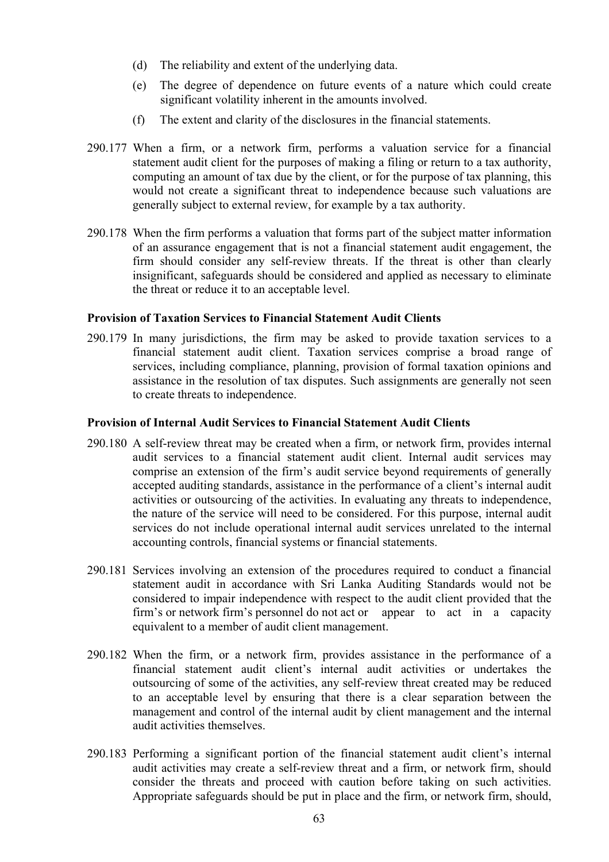- (d) The reliability and extent of the underlying data.
- (e) The degree of dependence on future events of a nature which could create significant volatility inherent in the amounts involved.
- (f) The extent and clarity of the disclosures in the financial statements.
- 290.177 When a firm, or a network firm, performs a valuation service for a financial statement audit client for the purposes of making a filing or return to a tax authority, computing an amount of tax due by the client, or for the purpose of tax planning, this would not create a significant threat to independence because such valuations are generally subject to external review, for example by a tax authority.
- 290.178 When the firm performs a valuation that forms part of the subject matter information of an assurance engagement that is not a financial statement audit engagement, the firm should consider any self-review threats. If the threat is other than clearly insignificant, safeguards should be considered and applied as necessary to eliminate the threat or reduce it to an acceptable level.

#### **Provision of Taxation Services to Financial Statement Audit Clients**

290.179 In many jurisdictions, the firm may be asked to provide taxation services to a financial statement audit client. Taxation services comprise a broad range of services, including compliance, planning, provision of formal taxation opinions and assistance in the resolution of tax disputes. Such assignments are generally not seen to create threats to independence.

#### **Provision of Internal Audit Services to Financial Statement Audit Clients**

- 290.180 A self-review threat may be created when a firm, or network firm, provides internal audit services to a financial statement audit client. Internal audit services may comprise an extension of the firm's audit service beyond requirements of generally accepted auditing standards, assistance in the performance of a client's internal audit activities or outsourcing of the activities. In evaluating any threats to independence, the nature of the service will need to be considered. For this purpose, internal audit services do not include operational internal audit services unrelated to the internal accounting controls, financial systems or financial statements.
- 290.181 Services involving an extension of the procedures required to conduct a financial statement audit in accordance with Sri Lanka Auditing Standards would not be considered to impair independence with respect to the audit client provided that the firm's or network firm's personnel do not act or appear to act in a capacity equivalent to a member of audit client management.
- 290.182 When the firm, or a network firm, provides assistance in the performance of a financial statement audit client's internal audit activities or undertakes the outsourcing of some of the activities, any self-review threat created may be reduced to an acceptable level by ensuring that there is a clear separation between the management and control of the internal audit by client management and the internal audit activities themselves.
- 290.183 Performing a significant portion of the financial statement audit client's internal audit activities may create a self-review threat and a firm, or network firm, should consider the threats and proceed with caution before taking on such activities. Appropriate safeguards should be put in place and the firm, or network firm, should,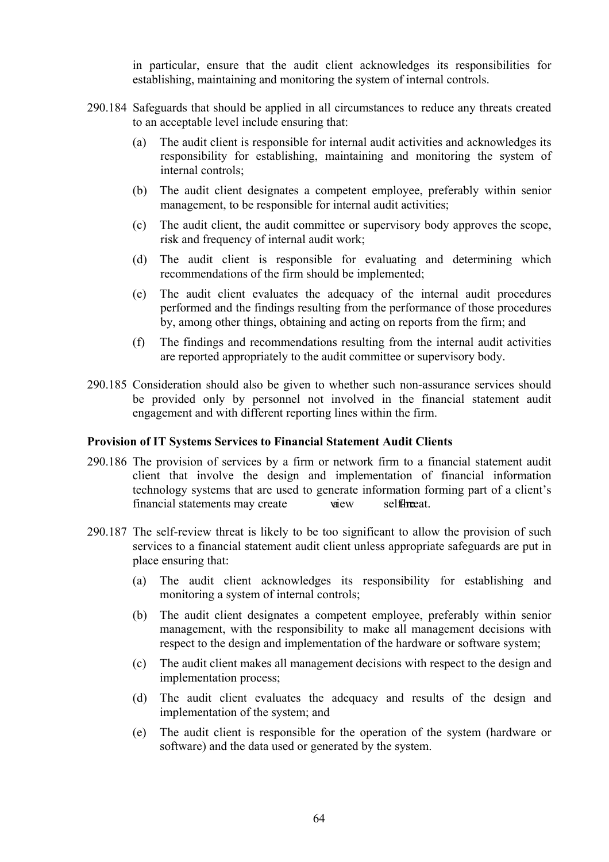in particular, ensure that the audit client acknowledges its responsibilities for establishing, maintaining and monitoring the system of internal controls.

- 290.184 Safeguards that should be applied in all circumstances to reduce any threats created to an acceptable level include ensuring that:
	- (a) The audit client is responsible for internal audit activities and acknowledges its responsibility for establishing, maintaining and monitoring the system of internal controls;
	- (b) The audit client designates a competent employee, preferably within senior management, to be responsible for internal audit activities;
	- (c) The audit client, the audit committee or supervisory body approves the scope, risk and frequency of internal audit work;
	- (d) The audit client is responsible for evaluating and determining which recommendations of the firm should be implemented;
	- (e) The audit client evaluates the adequacy of the internal audit procedures performed and the findings resulting from the performance of those procedures by, among other things, obtaining and acting on reports from the firm; and
	- (f) The findings and recommendations resulting from the internal audit activities are reported appropriately to the audit committee or supervisory body.
- 290.185 Consideration should also be given to whether such non-assurance services should be provided only by personnel not involved in the financial statement audit engagement and with different reporting lines within the firm.

#### **Provision of IT Systems Services to Financial Statement Audit Clients**

- 290.186 The provision of services by a firm or network firm to a financial statement audit client that involve the design and implementation of financial information technology systems that are used to generate information forming part of a client's financial statements may create view self-reat.
- 290.187 The self-review threat is likely to be too significant to allow the provision of such services to a financial statement audit client unless appropriate safeguards are put in place ensuring that:
	- (a) The audit client acknowledges its responsibility for establishing and monitoring a system of internal controls;
	- (b) The audit client designates a competent employee, preferably within senior management, with the responsibility to make all management decisions with respect to the design and implementation of the hardware or software system;
	- (c) The audit client makes all management decisions with respect to the design and implementation process;
	- (d) The audit client evaluates the adequacy and results of the design and implementation of the system; and
	- (e) The audit client is responsible for the operation of the system (hardware or software) and the data used or generated by the system.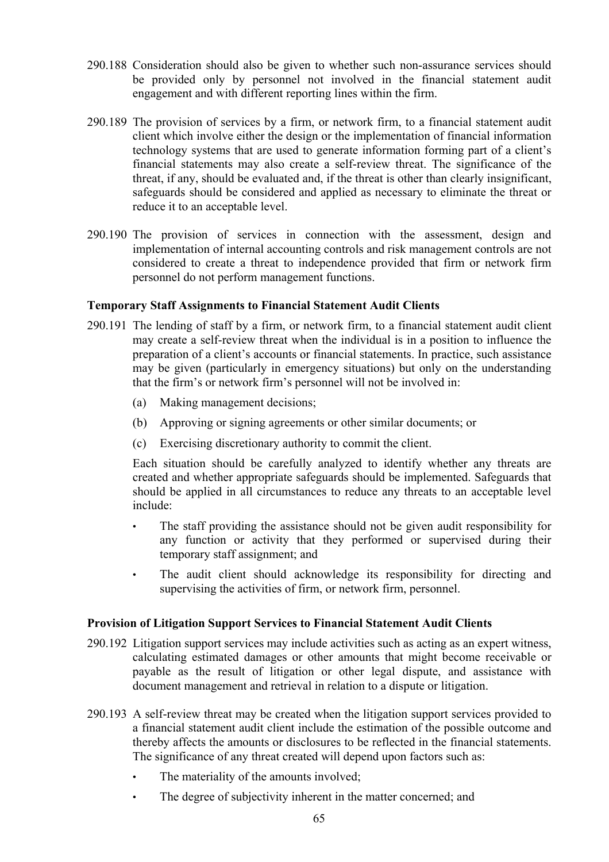- 290.188 Consideration should also be given to whether such non-assurance services should be provided only by personnel not involved in the financial statement audit engagement and with different reporting lines within the firm.
- 290.189 The provision of services by a firm, or network firm, to a financial statement audit client which involve either the design or the implementation of financial information technology systems that are used to generate information forming part of a client's financial statements may also create a self-review threat. The significance of the threat, if any, should be evaluated and, if the threat is other than clearly insignificant, safeguards should be considered and applied as necessary to eliminate the threat or reduce it to an acceptable level.
- 290.190 The provision of services in connection with the assessment, design and implementation of internal accounting controls and risk management controls are not considered to create a threat to independence provided that firm or network firm personnel do not perform management functions.

#### **Temporary Staff Assignments to Financial Statement Audit Clients**

- 290.191 The lending of staff by a firm, or network firm, to a financial statement audit client may create a self-review threat when the individual is in a position to influence the preparation of a client's accounts or financial statements. In practice, such assistance may be given (particularly in emergency situations) but only on the understanding that the firm's or network firm's personnel will not be involved in:
	- (a) Making management decisions;
	- (b) Approving or signing agreements or other similar documents; or
	- (c) Exercising discretionary authority to commit the client.

 Each situation should be carefully analyzed to identify whether any threats are created and whether appropriate safeguards should be implemented. Safeguards that should be applied in all circumstances to reduce any threats to an acceptable level include:

- The staff providing the assistance should not be given audit responsibility for any function or activity that they performed or supervised during their temporary staff assignment; and
- The audit client should acknowledge its responsibility for directing and supervising the activities of firm, or network firm, personnel.

#### **Provision of Litigation Support Services to Financial Statement Audit Clients**

- 290.192 Litigation support services may include activities such as acting as an expert witness, calculating estimated damages or other amounts that might become receivable or payable as the result of litigation or other legal dispute, and assistance with document management and retrieval in relation to a dispute or litigation.
- 290.193 A self-review threat may be created when the litigation support services provided to a financial statement audit client include the estimation of the possible outcome and thereby affects the amounts or disclosures to be reflected in the financial statements. The significance of any threat created will depend upon factors such as:
	- The materiality of the amounts involved;
	- The degree of subjectivity inherent in the matter concerned; and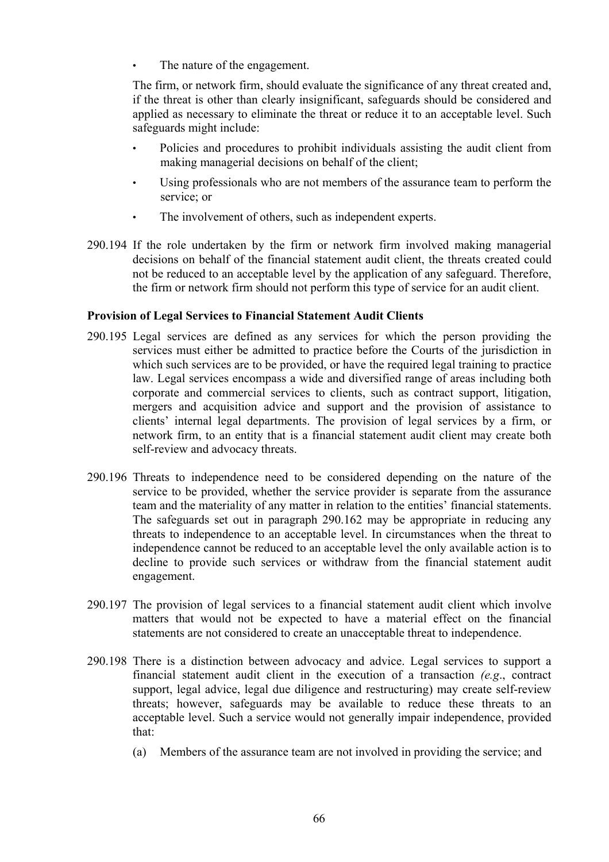The nature of the engagement.

 The firm, or network firm, should evaluate the significance of any threat created and, if the threat is other than clearly insignificant, safeguards should be considered and applied as necessary to eliminate the threat or reduce it to an acceptable level. Such safeguards might include:

- Policies and procedures to prohibit individuals assisting the audit client from making managerial decisions on behalf of the client;
- Using professionals who are not members of the assurance team to perform the service; or
- The involvement of others, such as independent experts.
- 290.194 If the role undertaken by the firm or network firm involved making managerial decisions on behalf of the financial statement audit client, the threats created could not be reduced to an acceptable level by the application of any safeguard. Therefore, the firm or network firm should not perform this type of service for an audit client.

#### **Provision of Legal Services to Financial Statement Audit Clients**

- 290.195 Legal services are defined as any services for which the person providing the services must either be admitted to practice before the Courts of the jurisdiction in which such services are to be provided, or have the required legal training to practice law. Legal services encompass a wide and diversified range of areas including both corporate and commercial services to clients, such as contract support, litigation, mergers and acquisition advice and support and the provision of assistance to clients' internal legal departments. The provision of legal services by a firm, or network firm, to an entity that is a financial statement audit client may create both self-review and advocacy threats.
- 290.196 Threats to independence need to be considered depending on the nature of the service to be provided, whether the service provider is separate from the assurance team and the materiality of any matter in relation to the entities' financial statements. The safeguards set out in paragraph 290.162 may be appropriate in reducing any threats to independence to an acceptable level. In circumstances when the threat to independence cannot be reduced to an acceptable level the only available action is to decline to provide such services or withdraw from the financial statement audit engagement.
- 290.197 The provision of legal services to a financial statement audit client which involve matters that would not be expected to have a material effect on the financial statements are not considered to create an unacceptable threat to independence.
- 290.198 There is a distinction between advocacy and advice. Legal services to support a financial statement audit client in the execution of a transaction *(e.g*., contract support, legal advice, legal due diligence and restructuring) may create self-review threats; however, safeguards may be available to reduce these threats to an acceptable level. Such a service would not generally impair independence, provided that:
	- (a) Members of the assurance team are not involved in providing the service; and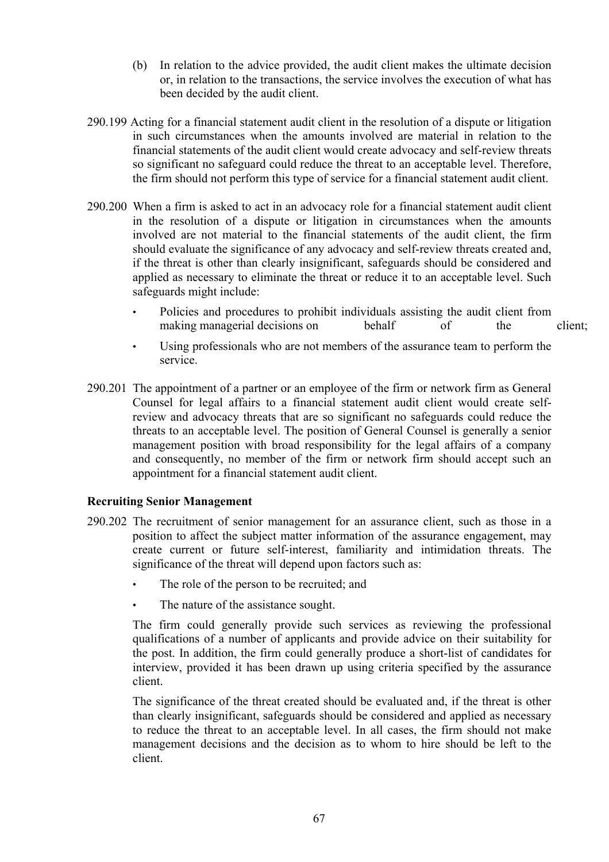- (b) In relation to the advice provided, the audit client makes the ultimate decision or, in relation to the transactions, the service involves the execution of what has been decided by the audit client.
- 290.199 Acting for a financial statement audit client in the resolution of a dispute or litigation in such circumstances when the amounts involved are material in relation to the financial statements of the audit client would create advocacy and self-review threats so significant no safeguard could reduce the threat to an acceptable level. Therefore, the firm should not perform this type of service for a financial statement audit client.
- 290.200 When a firm is asked to act in an advocacy role for a financial statement audit client in the resolution of a dispute or litigation in circumstances when the amounts involved are not material to the financial statements of the audit client, the firm should evaluate the significance of any advocacy and self-review threats created and, if the threat is other than clearly insignificant, safeguards should be considered and applied as necessary to eliminate the threat or reduce it to an acceptable level. Such safeguards might include:
	- Policies and procedures to prohibit individuals assisting the audit client from making managerial decisions on behalf of the client;
	- Using professionals who are not members of the assurance team to perform the service.
- 290.201 The appointment of a partner or an employee of the firm or network firm as General Counsel for legal affairs to a financial statement audit client would create self review and advocacy threats that are so significant no safeguards could reduce the threats to an acceptable level. The position of General Counsel is generally a senior management position with broad responsibility for the legal affairs of a company and consequently, no member of the firm or network firm should accept such an appointment for a financial statement audit client.

#### **Recruiting Senior Management**

- 290.202 The recruitment of senior management for an assurance client, such as those in a position to affect the subject matter information of the assurance engagement, may create current or future self-interest, familiarity and intimidation threats. The significance of the threat will depend upon factors such as:
	- The role of the person to be recruited; and
	- The nature of the assistance sought.

 The firm could generally provide such services as reviewing the professional qualifications of a number of applicants and provide advice on their suitability for the post. In addition, the firm could generally produce a short-list of candidates for interview, provided it has been drawn up using criteria specified by the assurance client.

 The significance of the threat created should be evaluated and, if the threat is other than clearly insignificant, safeguards should be considered and applied as necessary to reduce the threat to an acceptable level. In all cases, the firm should not make management decisions and the decision as to whom to hire should be left to the client.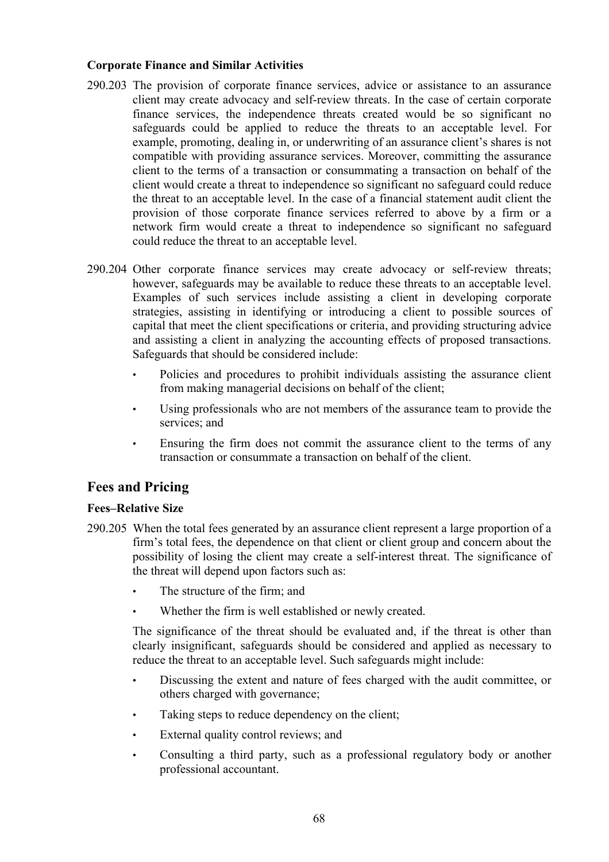#### **Corporate Finance and Similar Activities**

- 290.203 The provision of corporate finance services, advice or assistance to an assurance client may create advocacy and self-review threats. In the case of certain corporate finance services, the independence threats created would be so significant no safeguards could be applied to reduce the threats to an acceptable level. For example, promoting, dealing in, or underwriting of an assurance client's shares is not compatible with providing assurance services. Moreover, committing the assurance client to the terms of a transaction or consummating a transaction on behalf of the client would create a threat to independence so significant no safeguard could reduce the threat to an acceptable level. In the case of a financial statement audit client the provision of those corporate finance services referred to above by a firm or a network firm would create a threat to independence so significant no safeguard could reduce the threat to an acceptable level.
- 290.204 Other corporate finance services may create advocacy or self-review threats; however, safeguards may be available to reduce these threats to an acceptable level. Examples of such services include assisting a client in developing corporate strategies, assisting in identifying or introducing a client to possible sources of capital that meet the client specifications or criteria, and providing structuring advice and assisting a client in analyzing the accounting effects of proposed transactions. Safeguards that should be considered include:
	- Policies and procedures to prohibit individuals assisting the assurance client from making managerial decisions on behalf of the client;
	- Using professionals who are not members of the assurance team to provide the services; and
	- Ensuring the firm does not commit the assurance client to the terms of any transaction or consummate a transaction on behalf of the client.

## **Fees and Pricing**

## **Fees–Relative Size**

- 290.205 When the total fees generated by an assurance client represent a large proportion of a firm's total fees, the dependence on that client or client group and concern about the possibility of losing the client may create a self-interest threat. The significance of the threat will depend upon factors such as:
	- The structure of the firm; and
	- Whether the firm is well established or newly created.

 The significance of the threat should be evaluated and, if the threat is other than clearly insignificant, safeguards should be considered and applied as necessary to reduce the threat to an acceptable level. Such safeguards might include:

- Discussing the extent and nature of fees charged with the audit committee, or others charged with governance;
- Taking steps to reduce dependency on the client;
- External quality control reviews; and
- Consulting a third party, such as a professional regulatory body or another professional accountant.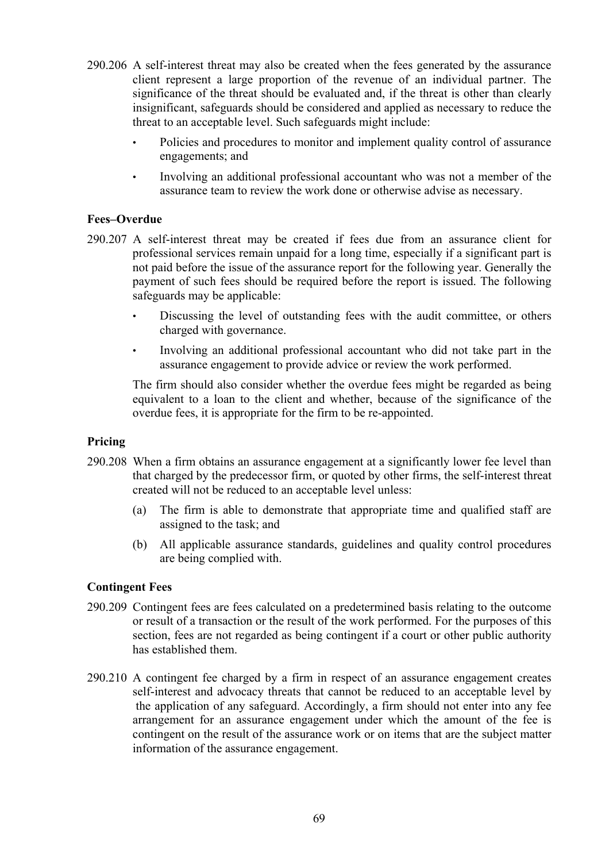- 290.206 A self-interest threat may also be created when the fees generated by the assurance client represent a large proportion of the revenue of an individual partner. The significance of the threat should be evaluated and, if the threat is other than clearly insignificant, safeguards should be considered and applied as necessary to reduce the threat to an acceptable level. Such safeguards might include:
	- Policies and procedures to monitor and implement quality control of assurance engagements; and
	- Involving an additional professional accountant who was not a member of the assurance team to review the work done or otherwise advise as necessary.

## **Fees–Overdue**

- 290.207 A self-interest threat may be created if fees due from an assurance client for professional services remain unpaid for a long time, especially if a significant part is not paid before the issue of the assurance report for the following year. Generally the payment of such fees should be required before the report is issued. The following safeguards may be applicable:
	- Discussing the level of outstanding fees with the audit committee, or others charged with governance.
	- Involving an additional professional accountant who did not take part in the assurance engagement to provide advice or review the work performed.

 The firm should also consider whether the overdue fees might be regarded as being equivalent to a loan to the client and whether, because of the significance of the overdue fees, it is appropriate for the firm to be re-appointed.

#### **Pricing**

- 290.208 When a firm obtains an assurance engagement at a significantly lower fee level than that charged by the predecessor firm, or quoted by other firms, the self-interest threat created will not be reduced to an acceptable level unless:
	- (a) The firm is able to demonstrate that appropriate time and qualified staff are assigned to the task; and
	- (b) All applicable assurance standards, guidelines and quality control procedures are being complied with.

#### **Contingent Fees**

- 290.209 Contingent fees are fees calculated on a predetermined basis relating to the outcome or result of a transaction or the result of the work performed. For the purposes of this section, fees are not regarded as being contingent if a court or other public authority has established them.
- 290.210 A contingent fee charged by a firm in respect of an assurance engagement creates self-interest and advocacy threats that cannot be reduced to an acceptable level by the application of any safeguard. Accordingly, a firm should not enter into any fee arrangement for an assurance engagement under which the amount of the fee is contingent on the result of the assurance work or on items that are the subject matter information of the assurance engagement.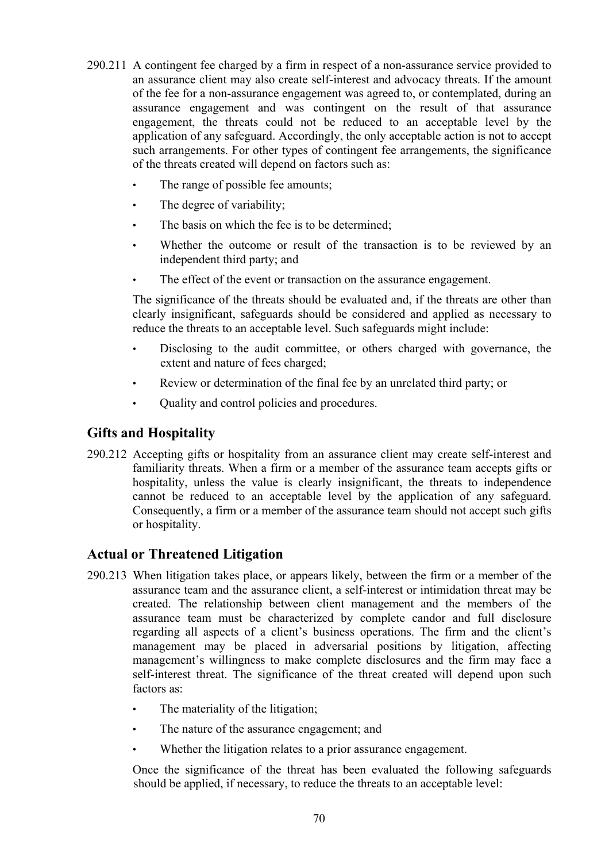- 290.211 A contingent fee charged by a firm in respect of a non-assurance service provided to an assurance client may also create self-interest and advocacy threats. If the amount of the fee for a non-assurance engagement was agreed to, or contemplated, during an assurance engagement and was contingent on the result of that assurance engagement, the threats could not be reduced to an acceptable level by the application of any safeguard. Accordingly, the only acceptable action is not to accept such arrangements. For other types of contingent fee arrangements, the significance of the threats created will depend on factors such as:
	- The range of possible fee amounts;
	- The degree of variability;
	- The basis on which the fee is to be determined:
	- Whether the outcome or result of the transaction is to be reviewed by an independent third party; and
	- The effect of the event or transaction on the assurance engagement.

 The significance of the threats should be evaluated and, if the threats are other than clearly insignificant, safeguards should be considered and applied as necessary to reduce the threats to an acceptable level. Such safeguards might include:

- Disclosing to the audit committee, or others charged with governance, the extent and nature of fees charged;
- Review or determination of the final fee by an unrelated third party; or
- Quality and control policies and procedures.

## **Gifts and Hospitality**

290.212 Accepting gifts or hospitality from an assurance client may create self-interest and familiarity threats. When a firm or a member of the assurance team accepts gifts or hospitality, unless the value is clearly insignificant, the threats to independence cannot be reduced to an acceptable level by the application of any safeguard. Consequently, a firm or a member of the assurance team should not accept such gifts or hospitality.

## **Actual or Threatened Litigation**

- 290.213 When litigation takes place, or appears likely, between the firm or a member of the assurance team and the assurance client, a self-interest or intimidation threat may be created. The relationship between client management and the members of the assurance team must be characterized by complete candor and full disclosure regarding all aspects of a client's business operations. The firm and the client's management may be placed in adversarial positions by litigation, affecting management's willingness to make complete disclosures and the firm may face a self-interest threat. The significance of the threat created will depend upon such factors as:
	- The materiality of the litigation;
	- The nature of the assurance engagement; and
	- Whether the litigation relates to a prior assurance engagement.

 Once the significance of the threat has been evaluated the following safeguards should be applied, if necessary, to reduce the threats to an acceptable level: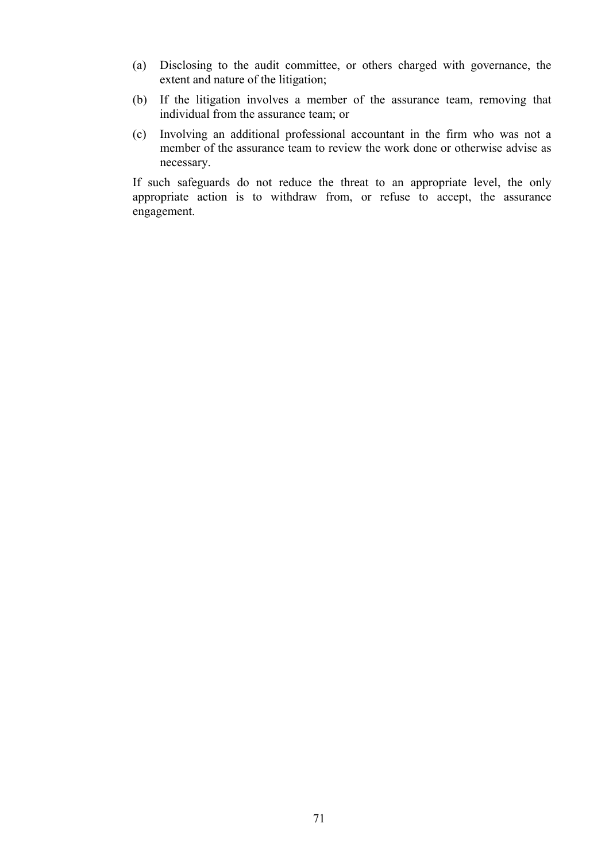- (a) Disclosing to the audit committee, or others charged with governance, the extent and nature of the litigation;
- (b) If the litigation involves a member of the assurance team, removing that individual from the assurance team; or
- (c) Involving an additional professional accountant in the firm who was not a member of the assurance team to review the work done or otherwise advise as necessary.

 If such safeguards do not reduce the threat to an appropriate level, the only appropriate action is to withdraw from, or refuse to accept, the assurance engagement.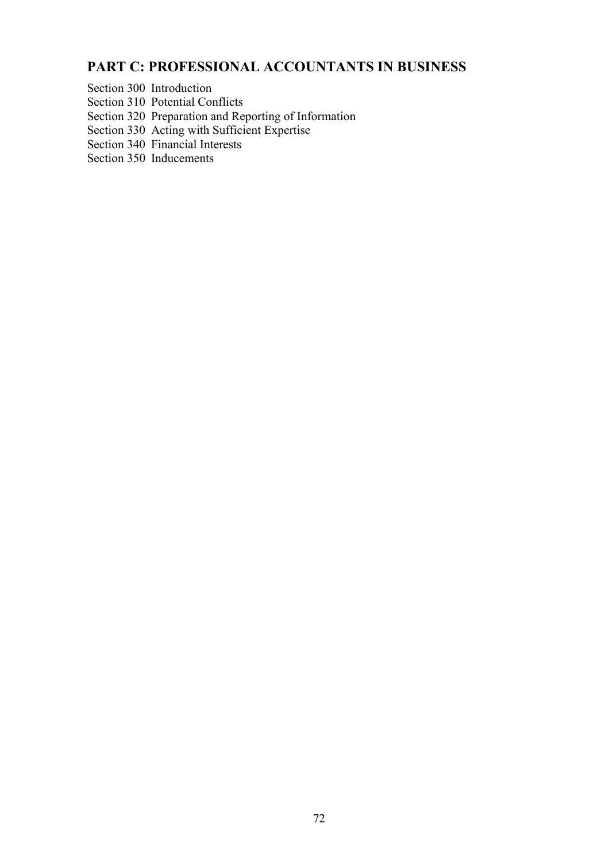# **PART C: PROFESSIONAL ACCOUNTANTS IN BUSINESS**

- Section 300 Introduction
- Section 310 Potential Conflicts
- Section 320 Preparation and Reporting of Information
- Section 330 Acting with Sufficient Expertise
- Section 340 Financial Interests
- Section 350 Inducements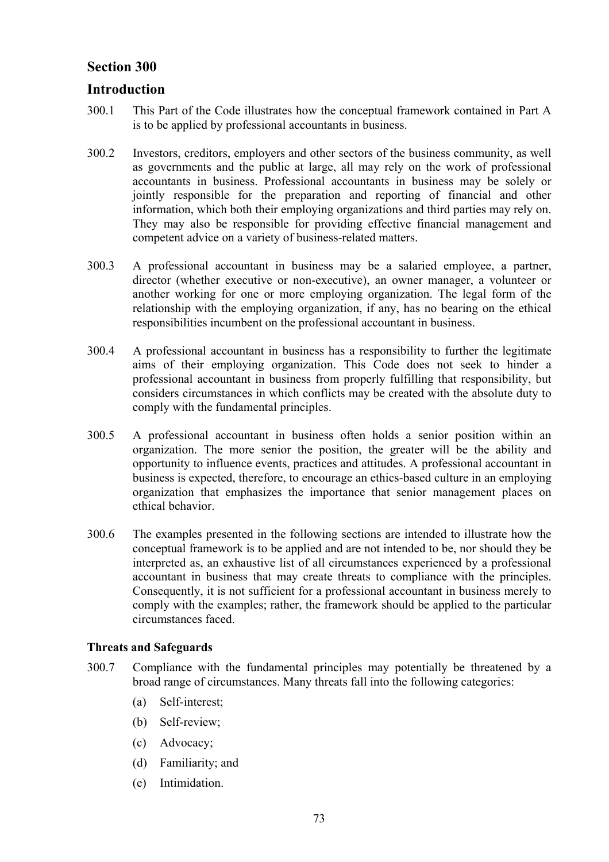## **Introduction**

- 300.1 This Part of the Code illustrates how the conceptual framework contained in Part A is to be applied by professional accountants in business.
- 300.2 Investors, creditors, employers and other sectors of the business community, as well as governments and the public at large, all may rely on the work of professional accountants in business. Professional accountants in business may be solely or jointly responsible for the preparation and reporting of financial and other information, which both their employing organizations and third parties may rely on. They may also be responsible for providing effective financial management and competent advice on a variety of business-related matters.
- 300.3 A professional accountant in business may be a salaried employee, a partner, director (whether executive or non-executive), an owner manager, a volunteer or another working for one or more employing organization. The legal form of the relationship with the employing organization, if any, has no bearing on the ethical responsibilities incumbent on the professional accountant in business.
- 300.4 A professional accountant in business has a responsibility to further the legitimate aims of their employing organization. This Code does not seek to hinder a professional accountant in business from properly fulfilling that responsibility, but considers circumstances in which conflicts may be created with the absolute duty to comply with the fundamental principles.
- 300.5 A professional accountant in business often holds a senior position within an organization. The more senior the position, the greater will be the ability and opportunity to influence events, practices and attitudes. A professional accountant in business is expected, therefore, to encourage an ethics-based culture in an employing organization that emphasizes the importance that senior management places on ethical behavior.
- 300.6 The examples presented in the following sections are intended to illustrate how the conceptual framework is to be applied and are not intended to be, nor should they be interpreted as, an exhaustive list of all circumstances experienced by a professional accountant in business that may create threats to compliance with the principles. Consequently, it is not sufficient for a professional accountant in business merely to comply with the examples; rather, the framework should be applied to the particular circumstances faced.

### **Threats and Safeguards**

- 300.7 Compliance with the fundamental principles may potentially be threatened by a broad range of circumstances. Many threats fall into the following categories:
	- (a) Self-interest;
	- (b) Self-review;
	- (c) Advocacy;
	- (d) Familiarity; and
	- (e) Intimidation.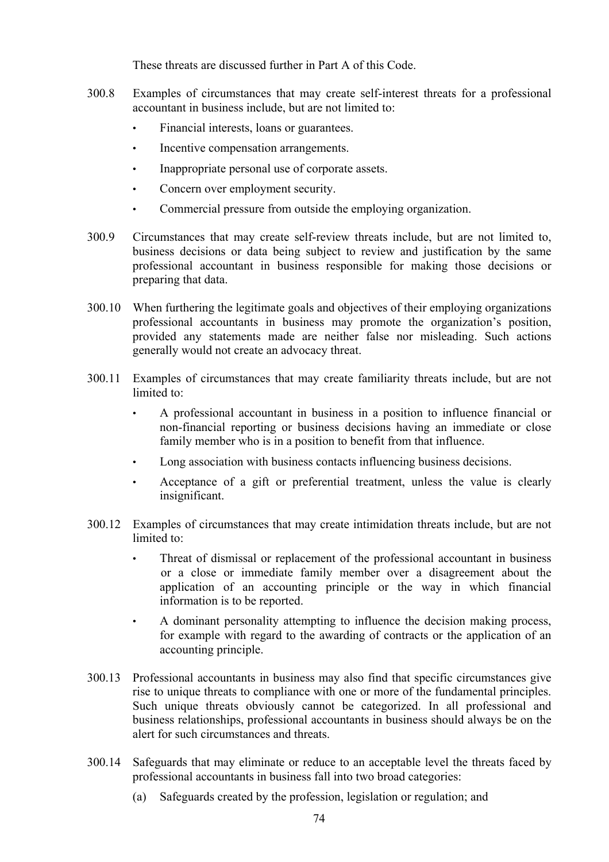These threats are discussed further in Part A of this Code.

- 300.8 Examples of circumstances that may create self-interest threats for a professional accountant in business include, but are not limited to:
	- Financial interests, loans or guarantees.
	- Incentive compensation arrangements.
	- Inappropriate personal use of corporate assets.
	- Concern over employment security.
	- Commercial pressure from outside the employing organization.
- 300.9 Circumstances that may create self-review threats include, but are not limited to, business decisions or data being subject to review and justification by the same professional accountant in business responsible for making those decisions or preparing that data.
- 300.10 When furthering the legitimate goals and objectives of their employing organizations professional accountants in business may promote the organization's position, provided any statements made are neither false nor misleading. Such actions generally would not create an advocacy threat.
- 300.11 Examples of circumstances that may create familiarity threats include, but are not limited to:
	- A professional accountant in business in a position to influence financial or non-financial reporting or business decisions having an immediate or close family member who is in a position to benefit from that influence.
	- Long association with business contacts influencing business decisions.
	- Acceptance of a gift or preferential treatment, unless the value is clearly insignificant.
- 300.12 Examples of circumstances that may create intimidation threats include, but are not limited to:
	- Threat of dismissal or replacement of the professional accountant in business or a close or immediate family member over a disagreement about the application of an accounting principle or the way in which financial information is to be reported.
	- A dominant personality attempting to influence the decision making process, for example with regard to the awarding of contracts or the application of an accounting principle.
- 300.13 Professional accountants in business may also find that specific circumstances give rise to unique threats to compliance with one or more of the fundamental principles. Such unique threats obviously cannot be categorized. In all professional and business relationships, professional accountants in business should always be on the alert for such circumstances and threats.
- 300.14 Safeguards that may eliminate or reduce to an acceptable level the threats faced by professional accountants in business fall into two broad categories:
	- (a) Safeguards created by the profession, legislation or regulation; and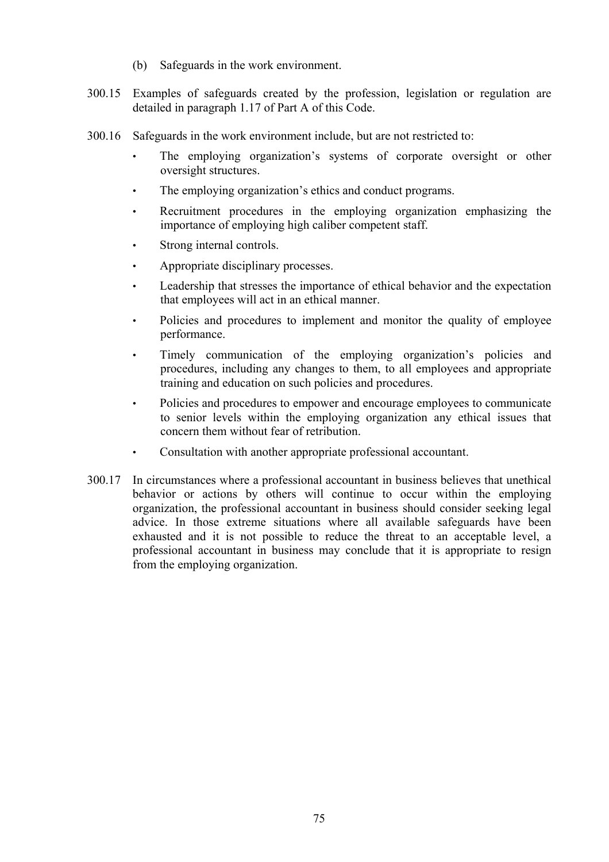- (b) Safeguards in the work environment.
- 300.15 Examples of safeguards created by the profession, legislation or regulation are detailed in paragraph 1.17 of Part A of this Code.
- 300.16 Safeguards in the work environment include, but are not restricted to:
	- The employing organization's systems of corporate oversight or other oversight structures.
	- The employing organization's ethics and conduct programs.
	- Recruitment procedures in the employing organization emphasizing the importance of employing high caliber competent staff.
	- Strong internal controls.
	- Appropriate disciplinary processes.
	- Leadership that stresses the importance of ethical behavior and the expectation that employees will act in an ethical manner.
	- Policies and procedures to implement and monitor the quality of employee performance.
	- Timely communication of the employing organization's policies and procedures, including any changes to them, to all employees and appropriate training and education on such policies and procedures.
	- Policies and procedures to empower and encourage employees to communicate to senior levels within the employing organization any ethical issues that concern them without fear of retribution.
	- Consultation with another appropriate professional accountant.
- 300.17 In circumstances where a professional accountant in business believes that unethical behavior or actions by others will continue to occur within the employing organization, the professional accountant in business should consider seeking legal advice. In those extreme situations where all available safeguards have been exhausted and it is not possible to reduce the threat to an acceptable level, a professional accountant in business may conclude that it is appropriate to resign from the employing organization.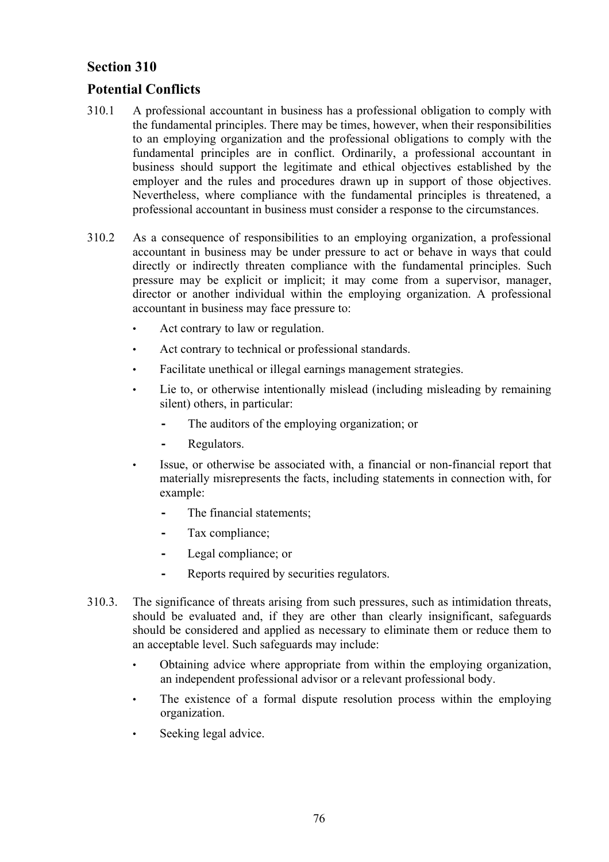# **Potential Conflicts**

- 310.1 A professional accountant in business has a professional obligation to comply with the fundamental principles. There may be times, however, when their responsibilities to an employing organization and the professional obligations to comply with the fundamental principles are in conflict. Ordinarily, a professional accountant in business should support the legitimate and ethical objectives established by the employer and the rules and procedures drawn up in support of those objectives. Nevertheless, where compliance with the fundamental principles is threatened, a professional accountant in business must consider a response to the circumstances.
- 310.2 As a consequence of responsibilities to an employing organization, a professional accountant in business may be under pressure to act or behave in ways that could directly or indirectly threaten compliance with the fundamental principles. Such pressure may be explicit or implicit; it may come from a supervisor, manager, director or another individual within the employing organization. A professional accountant in business may face pressure to:
	- Act contrary to law or regulation.
	- Act contrary to technical or professional standards.
	- Facilitate unethical or illegal earnings management strategies.
	- Lie to, or otherwise intentionally mislead (including misleading by remaining silent) others, in particular:
		- The auditors of the employing organization; or
		- Regulators.
	- Issue, or otherwise be associated with, a financial or non-financial report that materially misrepresents the facts, including statements in connection with, for example:
		- The financial statements;
		- Tax compliance;
		- Legal compliance; or
		- Reports required by securities regulators.
- 310.3. The significance of threats arising from such pressures, such as intimidation threats, should be evaluated and, if they are other than clearly insignificant, safeguards should be considered and applied as necessary to eliminate them or reduce them to an acceptable level. Such safeguards may include:
	- Obtaining advice where appropriate from within the employing organization, an independent professional advisor or a relevant professional body.
	- The existence of a formal dispute resolution process within the employing organization.
	- Seeking legal advice.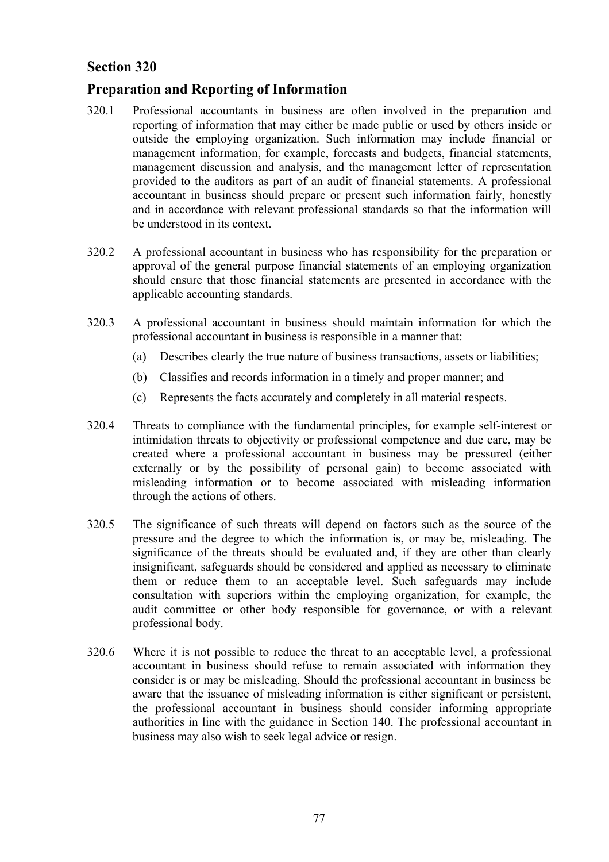# **Preparation and Reporting of Information**

- 320.1 Professional accountants in business are often involved in the preparation and reporting of information that may either be made public or used by others inside or outside the employing organization. Such information may include financial or management information, for example, forecasts and budgets, financial statements, management discussion and analysis, and the management letter of representation provided to the auditors as part of an audit of financial statements. A professional accountant in business should prepare or present such information fairly, honestly and in accordance with relevant professional standards so that the information will be understood in its context.
- 320.2 A professional accountant in business who has responsibility for the preparation or approval of the general purpose financial statements of an employing organization should ensure that those financial statements are presented in accordance with the applicable accounting standards.
- 320.3 A professional accountant in business should maintain information for which the professional accountant in business is responsible in a manner that:
	- (a) Describes clearly the true nature of business transactions, assets or liabilities;
	- (b) Classifies and records information in a timely and proper manner; and
	- (c) Represents the facts accurately and completely in all material respects.
- 320.4 Threats to compliance with the fundamental principles, for example self-interest or intimidation threats to objectivity or professional competence and due care, may be created where a professional accountant in business may be pressured (either externally or by the possibility of personal gain) to become associated with misleading information or to become associated with misleading information through the actions of others.
- 320.5 The significance of such threats will depend on factors such as the source of the pressure and the degree to which the information is, or may be, misleading. The significance of the threats should be evaluated and, if they are other than clearly insignificant, safeguards should be considered and applied as necessary to eliminate them or reduce them to an acceptable level. Such safeguards may include consultation with superiors within the employing organization, for example, the audit committee or other body responsible for governance, or with a relevant professional body.
- 320.6 Where it is not possible to reduce the threat to an acceptable level, a professional accountant in business should refuse to remain associated with information they consider is or may be misleading. Should the professional accountant in business be aware that the issuance of misleading information is either significant or persistent, the professional accountant in business should consider informing appropriate authorities in line with the guidance in Section 140. The professional accountant in business may also wish to seek legal advice or resign.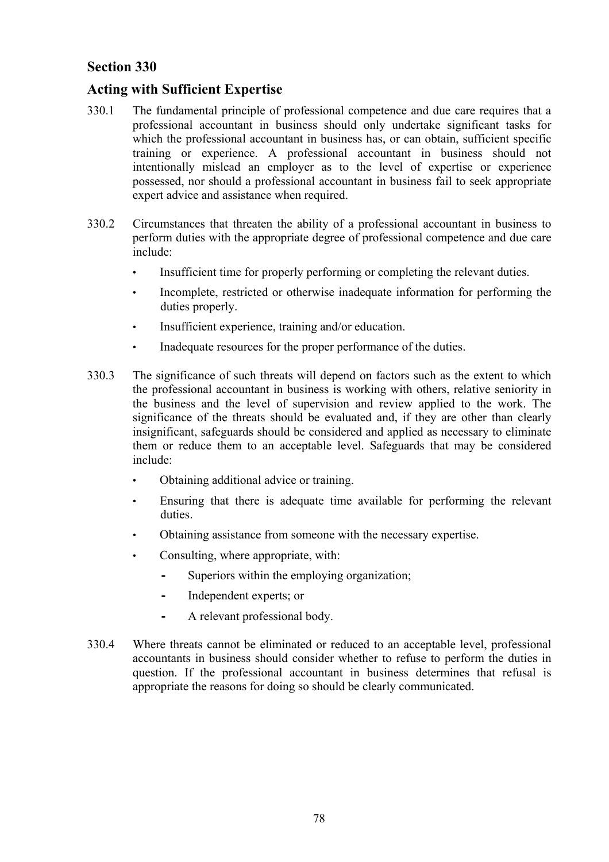# **Acting with Sufficient Expertise**

- 330.1 The fundamental principle of professional competence and due care requires that a professional accountant in business should only undertake significant tasks for which the professional accountant in business has, or can obtain, sufficient specific training or experience. A professional accountant in business should not intentionally mislead an employer as to the level of expertise or experience possessed, nor should a professional accountant in business fail to seek appropriate expert advice and assistance when required.
- 330.2 Circumstances that threaten the ability of a professional accountant in business to perform duties with the appropriate degree of professional competence and due care include:
	- Insufficient time for properly performing or completing the relevant duties.
	- Incomplete, restricted or otherwise inadequate information for performing the duties properly.
	- Insufficient experience, training and/or education.
	- Inadequate resources for the proper performance of the duties.
- 330.3 The significance of such threats will depend on factors such as the extent to which the professional accountant in business is working with others, relative seniority in the business and the level of supervision and review applied to the work. The significance of the threats should be evaluated and, if they are other than clearly insignificant, safeguards should be considered and applied as necessary to eliminate them or reduce them to an acceptable level. Safeguards that may be considered include:
	- Obtaining additional advice or training.
	- Ensuring that there is adequate time available for performing the relevant duties.
	- Obtaining assistance from someone with the necessary expertise.
	- Consulting, where appropriate, with:
		- Superiors within the employing organization;
		- Independent experts; or
		- A relevant professional body.
- 330.4 Where threats cannot be eliminated or reduced to an acceptable level, professional accountants in business should consider whether to refuse to perform the duties in question. If the professional accountant in business determines that refusal is appropriate the reasons for doing so should be clearly communicated.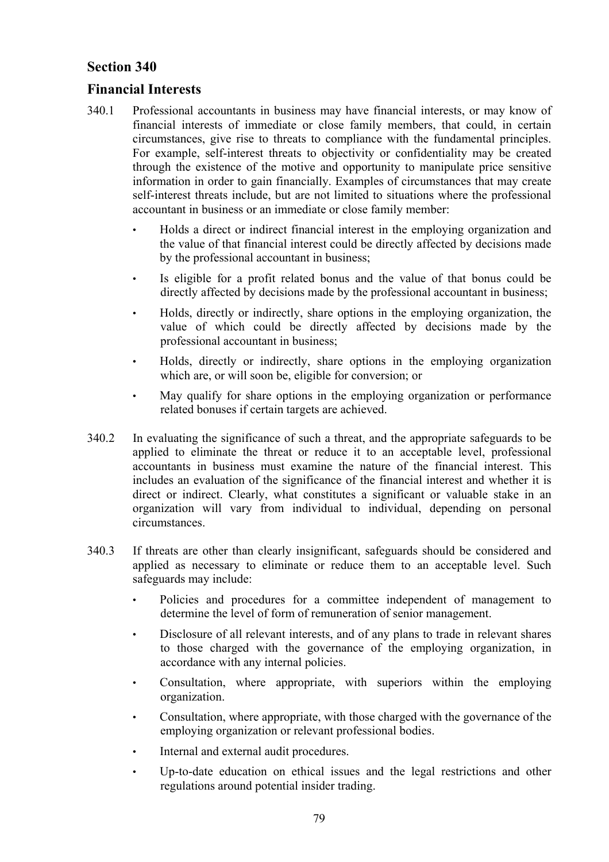## **Financial Interests**

- 340.1 Professional accountants in business may have financial interests, or may know of financial interests of immediate or close family members, that could, in certain circumstances, give rise to threats to compliance with the fundamental principles. For example, self-interest threats to objectivity or confidentiality may be created through the existence of the motive and opportunity to manipulate price sensitive information in order to gain financially. Examples of circumstances that may create self-interest threats include, but are not limited to situations where the professional accountant in business or an immediate or close family member:
	- Holds a direct or indirect financial interest in the employing organization and the value of that financial interest could be directly affected by decisions made by the professional accountant in business;
	- Is eligible for a profit related bonus and the value of that bonus could be directly affected by decisions made by the professional accountant in business;
	- Holds, directly or indirectly, share options in the employing organization, the value of which could be directly affected by decisions made by the professional accountant in business;
	- Holds, directly or indirectly, share options in the employing organization which are, or will soon be, eligible for conversion; or
	- May qualify for share options in the employing organization or performance related bonuses if certain targets are achieved.
- 340.2 In evaluating the significance of such a threat, and the appropriate safeguards to be applied to eliminate the threat or reduce it to an acceptable level, professional accountants in business must examine the nature of the financial interest. This includes an evaluation of the significance of the financial interest and whether it is direct or indirect. Clearly, what constitutes a significant or valuable stake in an organization will vary from individual to individual, depending on personal circumstances.
- 340.3 If threats are other than clearly insignificant, safeguards should be considered and applied as necessary to eliminate or reduce them to an acceptable level. Such safeguards may include:
	- Policies and procedures for a committee independent of management to determine the level of form of remuneration of senior management.
	- Disclosure of all relevant interests, and of any plans to trade in relevant shares to those charged with the governance of the employing organization, in accordance with any internal policies.
	- Consultation, where appropriate, with superiors within the employing organization.
	- Consultation, where appropriate, with those charged with the governance of the employing organization or relevant professional bodies.
	- Internal and external audit procedures.
	- Up-to-date education on ethical issues and the legal restrictions and other regulations around potential insider trading.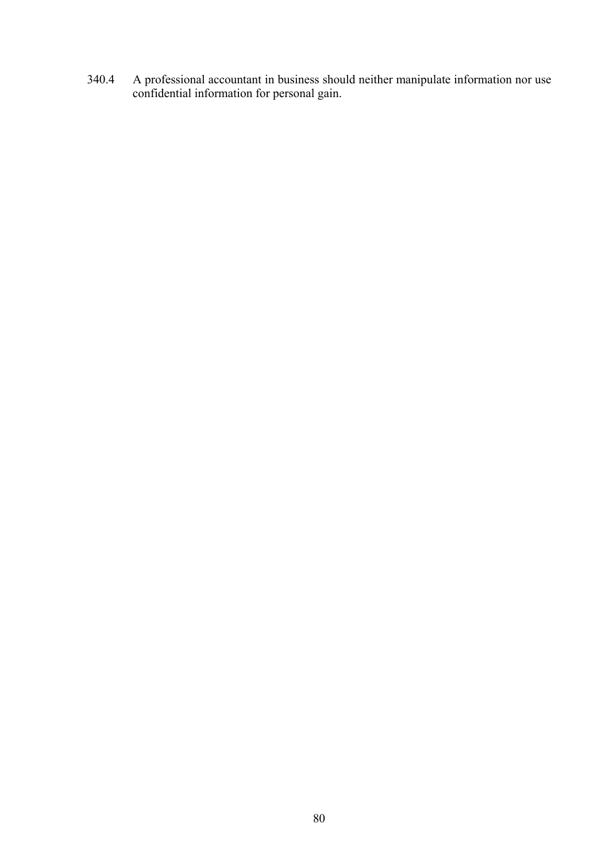340.4 A professional accountant in business should neither manipulate information nor use confidential information for personal gain.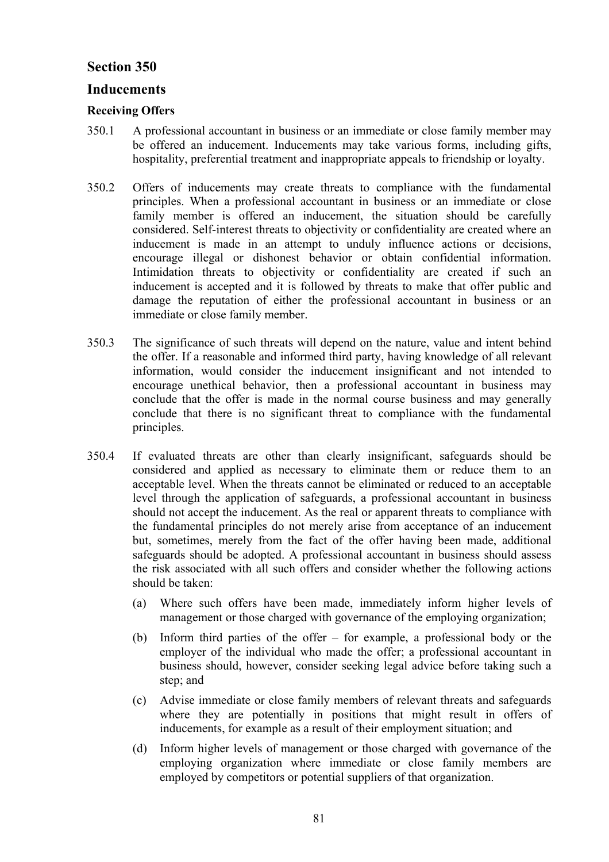## **Inducements**

## **Receiving Offers**

- 350.1 A professional accountant in business or an immediate or close family member may be offered an inducement. Inducements may take various forms, including gifts, hospitality, preferential treatment and inappropriate appeals to friendship or loyalty.
- 350.2 Offers of inducements may create threats to compliance with the fundamental principles. When a professional accountant in business or an immediate or close family member is offered an inducement, the situation should be carefully considered. Self-interest threats to objectivity or confidentiality are created where an inducement is made in an attempt to unduly influence actions or decisions, encourage illegal or dishonest behavior or obtain confidential information. Intimidation threats to objectivity or confidentiality are created if such an inducement is accepted and it is followed by threats to make that offer public and damage the reputation of either the professional accountant in business or an immediate or close family member.
- 350.3 The significance of such threats will depend on the nature, value and intent behind the offer. If a reasonable and informed third party, having knowledge of all relevant information, would consider the inducement insignificant and not intended to encourage unethical behavior, then a professional accountant in business may conclude that the offer is made in the normal course business and may generally conclude that there is no significant threat to compliance with the fundamental principles.
- 350.4 If evaluated threats are other than clearly insignificant, safeguards should be considered and applied as necessary to eliminate them or reduce them to an acceptable level. When the threats cannot be eliminated or reduced to an acceptable level through the application of safeguards, a professional accountant in business should not accept the inducement. As the real or apparent threats to compliance with the fundamental principles do not merely arise from acceptance of an inducement but, sometimes, merely from the fact of the offer having been made, additional safeguards should be adopted. A professional accountant in business should assess the risk associated with all such offers and consider whether the following actions should be taken:
	- (a) Where such offers have been made, immediately inform higher levels of management or those charged with governance of the employing organization;
	- (b) Inform third parties of the offer for example, a professional body or the employer of the individual who made the offer; a professional accountant in business should, however, consider seeking legal advice before taking such a step; and
	- (c) Advise immediate or close family members of relevant threats and safeguards where they are potentially in positions that might result in offers of inducements, for example as a result of their employment situation; and
	- (d) Inform higher levels of management or those charged with governance of the employing organization where immediate or close family members are employed by competitors or potential suppliers of that organization.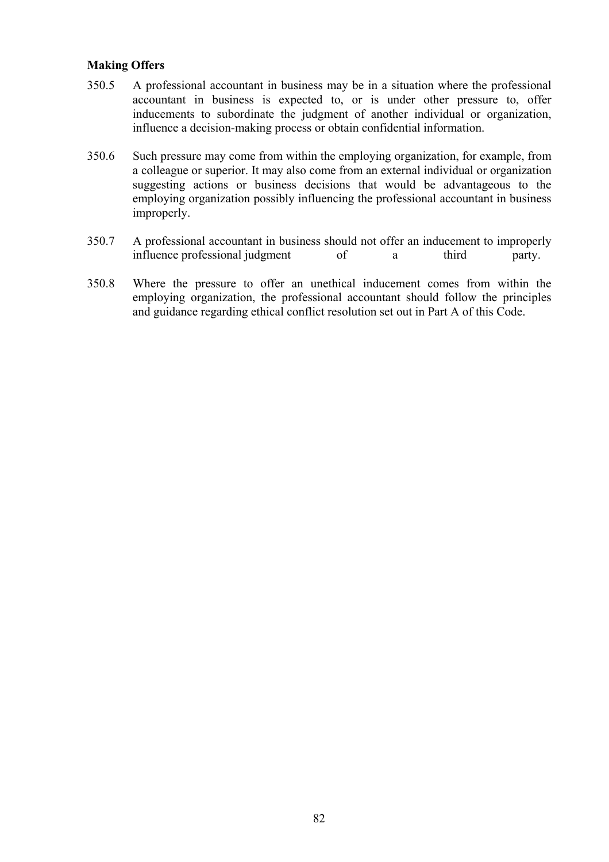### **Making Offers**

- 350.5 A professional accountant in business may be in a situation where the professional accountant in business is expected to, or is under other pressure to, offer inducements to subordinate the judgment of another individual or organization, influence a decision-making process or obtain confidential information.
- 350.6 Such pressure may come from within the employing organization, for example, from a colleague or superior. It may also come from an external individual or organization suggesting actions or business decisions that would be advantageous to the employing organization possibly influencing the professional accountant in business improperly.
- 350.7 A professional accountant in business should not offer an inducement to improperly influence professional judgment of a third party.
- 350.8 Where the pressure to offer an unethical inducement comes from within the employing organization, the professional accountant should follow the principles and guidance regarding ethical conflict resolution set out in Part A of this Code.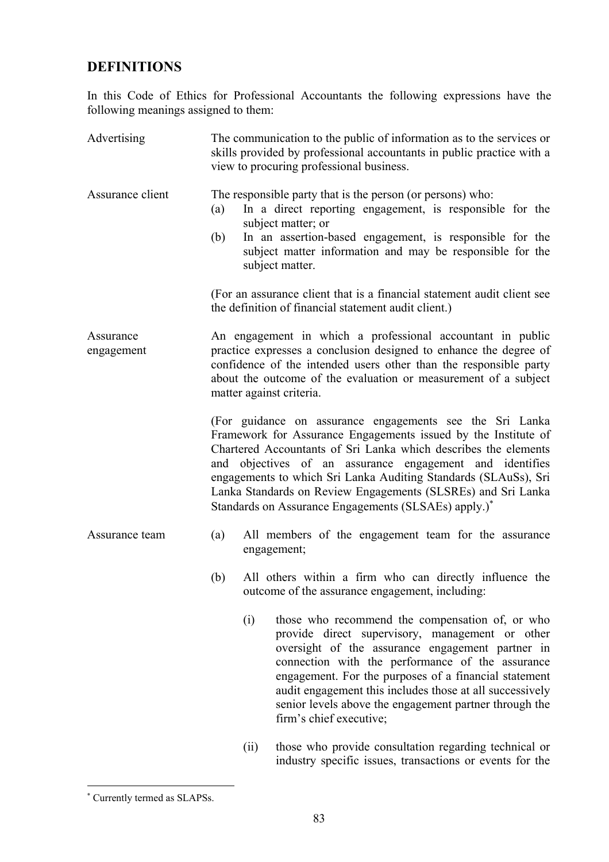# **DEFINITIONS**

In this Code of Ethics for Professional Accountants the following expressions have the following meanings assigned to them:

| Advertising             | The communication to the public of information as to the services or<br>skills provided by professional accountants in public practice with a<br>view to procuring professional business.                                                                                                                                                                                                                                                            |  |  |
|-------------------------|------------------------------------------------------------------------------------------------------------------------------------------------------------------------------------------------------------------------------------------------------------------------------------------------------------------------------------------------------------------------------------------------------------------------------------------------------|--|--|
| Assurance client        | The responsible party that is the person (or persons) who:<br>In a direct reporting engagement, is responsible for the<br>(a)<br>subject matter; or<br>In an assertion-based engagement, is responsible for the<br>(b)<br>subject matter information and may be responsible for the<br>subject matter.                                                                                                                                               |  |  |
|                         | (For an assurance client that is a financial statement audit client see<br>the definition of financial statement audit client.)                                                                                                                                                                                                                                                                                                                      |  |  |
| Assurance<br>engagement | An engagement in which a professional accountant in public<br>practice expresses a conclusion designed to enhance the degree of<br>confidence of the intended users other than the responsible party<br>about the outcome of the evaluation or measurement of a subject<br>matter against criteria.                                                                                                                                                  |  |  |
|                         | (For guidance on assurance engagements see the Sri Lanka<br>Framework for Assurance Engagements issued by the Institute of<br>Chartered Accountants of Sri Lanka which describes the elements<br>and objectives of an assurance engagement and identifies<br>engagements to which Sri Lanka Auditing Standards (SLAuSs), Sri<br>Lanka Standards on Review Engagements (SLSREs) and Sri Lanka<br>Standards on Assurance Engagements (SLSAEs) apply.)* |  |  |
| Assurance team          | All members of the engagement team for the assurance<br>(a)<br>engagement;                                                                                                                                                                                                                                                                                                                                                                           |  |  |
|                         | All others within a firm who can directly influence the<br>(b)<br>outcome of the assurance engagement, including:                                                                                                                                                                                                                                                                                                                                    |  |  |
|                         | (i)<br>those who recommend the compensation of, or who<br>provide direct supervisory, management or other<br>oversight of the assurance engagement partner in<br>connection with the performance of the assurance<br>engagement. For the purposes of a financial statement<br>audit engagement this includes those at all successively<br>senior levels above the engagement partner through the<br>firm's chief executive;                          |  |  |

 (ii) those who provide consultation regarding technical or industry specific issues, transactions or events for the

 $\overline{a}$ 

<sup>∗</sup> Currently termed as SLAPSs.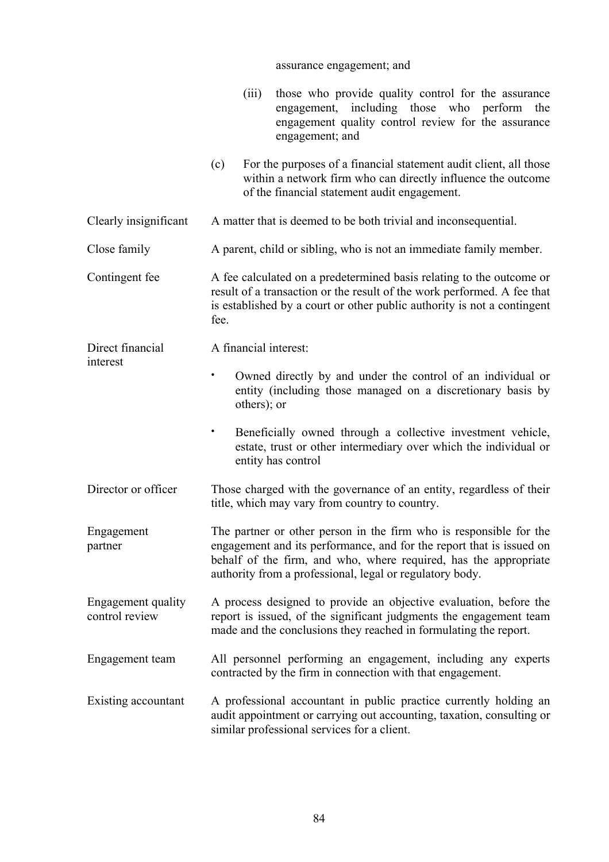## assurance engagement; and

|                                      | those who provide quality control for the assurance<br>(iii)<br>engagement, including those who perform the<br>engagement quality control review for the assurance<br>engagement; and                                                                                      |  |  |
|--------------------------------------|----------------------------------------------------------------------------------------------------------------------------------------------------------------------------------------------------------------------------------------------------------------------------|--|--|
|                                      | For the purposes of a financial statement audit client, all those<br>(c)<br>within a network firm who can directly influence the outcome<br>of the financial statement audit engagement.                                                                                   |  |  |
| Clearly insignificant                | A matter that is deemed to be both trivial and inconsequential.                                                                                                                                                                                                            |  |  |
| Close family                         | A parent, child or sibling, who is not an immediate family member.                                                                                                                                                                                                         |  |  |
| Contingent fee                       | A fee calculated on a predetermined basis relating to the outcome or<br>result of a transaction or the result of the work performed. A fee that<br>is established by a court or other public authority is not a contingent<br>fee.                                         |  |  |
| Direct financial<br>interest         | A financial interest:                                                                                                                                                                                                                                                      |  |  |
|                                      | Owned directly by and under the control of an individual or<br>٠<br>entity (including those managed on a discretionary basis by<br>others); or                                                                                                                             |  |  |
|                                      | Beneficially owned through a collective investment vehicle,<br>٠<br>estate, trust or other intermediary over which the individual or<br>entity has control                                                                                                                 |  |  |
| Director or officer                  | Those charged with the governance of an entity, regardless of their<br>title, which may vary from country to country.                                                                                                                                                      |  |  |
| Engagement<br>partner                | The partner or other person in the firm who is responsible for the<br>engagement and its performance, and for the report that is issued on<br>behalf of the firm, and who, where required, has the appropriate<br>authority from a professional, legal or regulatory body. |  |  |
| Engagement quality<br>control review | A process designed to provide an objective evaluation, before the<br>report is issued, of the significant judgments the engagement team<br>made and the conclusions they reached in formulating the report.                                                                |  |  |
| Engagement team                      | All personnel performing an engagement, including any experts<br>contracted by the firm in connection with that engagement.                                                                                                                                                |  |  |
| Existing accountant                  | A professional accountant in public practice currently holding an<br>audit appointment or carrying out accounting, taxation, consulting or<br>similar professional services for a client.                                                                                  |  |  |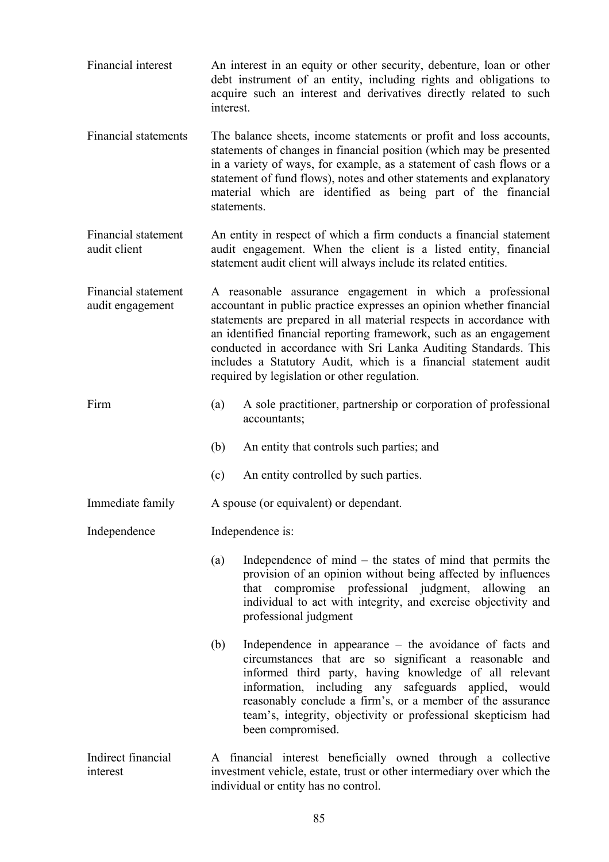- Financial interest An interest in an equity or other security, debenture, loan or other debt instrument of an entity, including rights and obligations to acquire such an interest and derivatives directly related to such interest.
- Financial statements The balance sheets, income statements or profit and loss accounts, statements of changes in financial position (which may be presented in a variety of ways, for example, as a statement of cash flows or a statement of fund flows), notes and other statements and explanatory material which are identified as being part of the financial statements.
- Financial statement audit client An entity in respect of which a firm conducts a financial statement audit engagement. When the client is a listed entity, financial statement audit client will always include its related entities.
- Financial statement audit engagement A reasonable assurance engagement in which a professional accountant in public practice expresses an opinion whether financial statements are prepared in all material respects in accordance with an identified financial reporting framework, such as an engagement conducted in accordance with Sri Lanka Auditing Standards. This includes a Statutory Audit, which is a financial statement audit required by legislation or other regulation.
- Firm (a) A sole practitioner, partnership or corporation of professional accountants;
	- (b) An entity that controls such parties; and
	- (c) An entity controlled by such parties.
- Immediate family A spouse (or equivalent) or dependant.
- Independence Independence is:
	- (a) Independence of mind the states of mind that permits the provision of an opinion without being affected by influences that compromise professional judgment, allowing an individual to act with integrity, and exercise objectivity and professional judgment
	- (b) Independence in appearance the avoidance of facts and circumstances that are so significant a reasonable and informed third party, having knowledge of all relevant information, including any safeguards applied, would reasonably conclude a firm's, or a member of the assurance team's, integrity, objectivity or professional skepticism had been compromised.
- Indirect financial interest A financial interest beneficially owned through a collective investment vehicle, estate, trust or other intermediary over which the individual or entity has no control.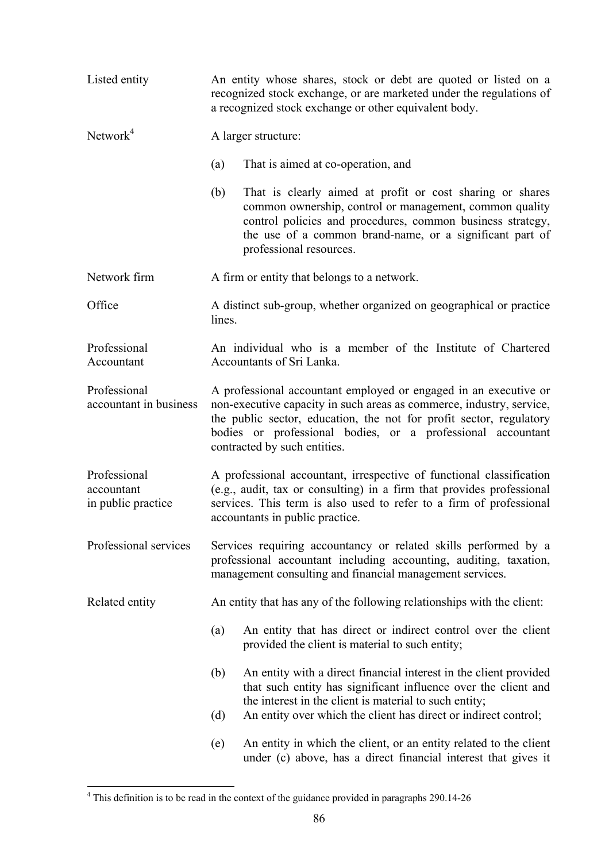| Listed entity                                    | An entity whose shares, stock or debt are quoted or listed on a<br>recognized stock exchange, or are marketed under the regulations of<br>a recognized stock exchange or other equivalent body.                                                                                                                |                                                                                                                                                                                                                                                                           |  |  |
|--------------------------------------------------|----------------------------------------------------------------------------------------------------------------------------------------------------------------------------------------------------------------------------------------------------------------------------------------------------------------|---------------------------------------------------------------------------------------------------------------------------------------------------------------------------------------------------------------------------------------------------------------------------|--|--|
| Network <sup>4</sup>                             | A larger structure:                                                                                                                                                                                                                                                                                            |                                                                                                                                                                                                                                                                           |  |  |
|                                                  | (a)                                                                                                                                                                                                                                                                                                            | That is aimed at co-operation, and                                                                                                                                                                                                                                        |  |  |
|                                                  | (b)                                                                                                                                                                                                                                                                                                            | That is clearly aimed at profit or cost sharing or shares<br>common ownership, control or management, common quality<br>control policies and procedures, common business strategy,<br>the use of a common brand-name, or a significant part of<br>professional resources. |  |  |
| Network firm                                     | A firm or entity that belongs to a network.                                                                                                                                                                                                                                                                    |                                                                                                                                                                                                                                                                           |  |  |
| Office                                           | A distinct sub-group, whether organized on geographical or practice<br>lines.                                                                                                                                                                                                                                  |                                                                                                                                                                                                                                                                           |  |  |
| Professional<br>Accountant                       | An individual who is a member of the Institute of Chartered<br>Accountants of Sri Lanka.                                                                                                                                                                                                                       |                                                                                                                                                                                                                                                                           |  |  |
| Professional<br>accountant in business           | A professional accountant employed or engaged in an executive or<br>non-executive capacity in such areas as commerce, industry, service,<br>the public sector, education, the not for profit sector, regulatory<br>bodies or professional bodies, or a professional accountant<br>contracted by such entities. |                                                                                                                                                                                                                                                                           |  |  |
| Professional<br>accountant<br>in public practice | A professional accountant, irrespective of functional classification<br>(e.g., audit, tax or consulting) in a firm that provides professional<br>services. This term is also used to refer to a firm of professional<br>accountants in public practice.                                                        |                                                                                                                                                                                                                                                                           |  |  |
| Professional services                            | Services requiring accountancy or related skills performed by a<br>professional accountant including accounting, auditing, taxation,<br>management consulting and financial management services.                                                                                                               |                                                                                                                                                                                                                                                                           |  |  |
| Related entity                                   | An entity that has any of the following relationships with the client:                                                                                                                                                                                                                                         |                                                                                                                                                                                                                                                                           |  |  |
|                                                  | (a)                                                                                                                                                                                                                                                                                                            | An entity that has direct or indirect control over the client<br>provided the client is material to such entity;                                                                                                                                                          |  |  |
|                                                  | (b)                                                                                                                                                                                                                                                                                                            | An entity with a direct financial interest in the client provided<br>that such entity has significant influence over the client and<br>the interest in the client is material to such entity;                                                                             |  |  |
|                                                  | (d)                                                                                                                                                                                                                                                                                                            | An entity over which the client has direct or indirect control;                                                                                                                                                                                                           |  |  |
|                                                  | (e)                                                                                                                                                                                                                                                                                                            | An entity in which the client, or an entity related to the client<br>under (c) above, has a direct financial interest that gives it                                                                                                                                       |  |  |

 4 This definition is to be read in the context of the guidance provided in paragraphs 290.14-26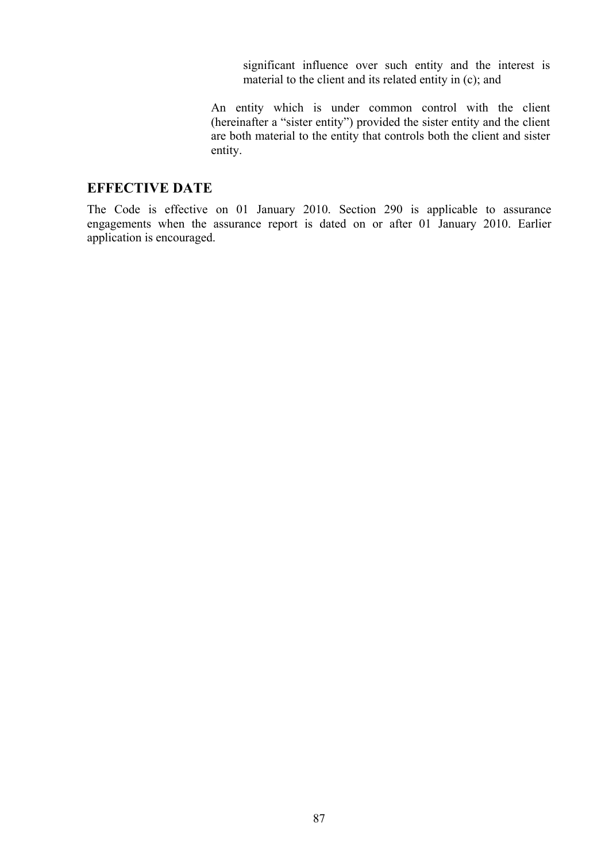significant influence over such entity and the interest is material to the client and its related entity in (c); and

 An entity which is under common control with the client (hereinafter a "sister entity") provided the sister entity and the client are both material to the entity that controls both the client and sister entity.

## **EFFECTIVE DATE**

The Code is effective on 01 January 2010. Section 290 is applicable to assurance engagements when the assurance report is dated on or after 01 January 2010. Earlier application is encouraged.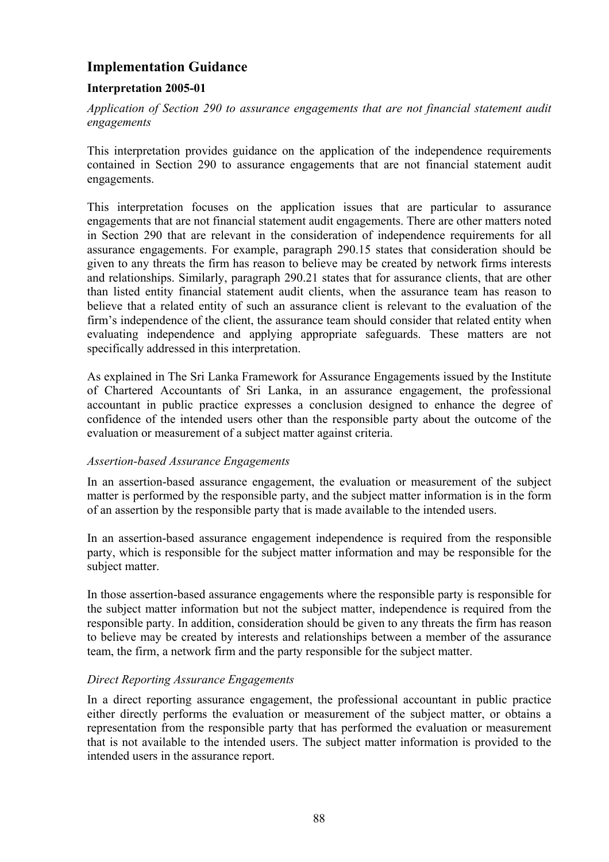# **Implementation Guidance**

## **Interpretation 2005-01**

*Application of Section 290 to assurance engagements that are not financial statement audit engagements* 

This interpretation provides guidance on the application of the independence requirements contained in Section 290 to assurance engagements that are not financial statement audit engagements.

This interpretation focuses on the application issues that are particular to assurance engagements that are not financial statement audit engagements. There are other matters noted in Section 290 that are relevant in the consideration of independence requirements for all assurance engagements. For example, paragraph 290.15 states that consideration should be given to any threats the firm has reason to believe may be created by network firms interests and relationships. Similarly, paragraph 290.21 states that for assurance clients, that are other than listed entity financial statement audit clients, when the assurance team has reason to believe that a related entity of such an assurance client is relevant to the evaluation of the firm's independence of the client, the assurance team should consider that related entity when evaluating independence and applying appropriate safeguards. These matters are not specifically addressed in this interpretation.

As explained in The Sri Lanka Framework for Assurance Engagements issued by the Institute of Chartered Accountants of Sri Lanka, in an assurance engagement, the professional accountant in public practice expresses a conclusion designed to enhance the degree of confidence of the intended users other than the responsible party about the outcome of the evaluation or measurement of a subject matter against criteria.

#### *Assertion-based Assurance Engagements*

In an assertion-based assurance engagement, the evaluation or measurement of the subject matter is performed by the responsible party, and the subject matter information is in the form of an assertion by the responsible party that is made available to the intended users.

In an assertion-based assurance engagement independence is required from the responsible party, which is responsible for the subject matter information and may be responsible for the subject matter.

In those assertion-based assurance engagements where the responsible party is responsible for the subject matter information but not the subject matter, independence is required from the responsible party. In addition, consideration should be given to any threats the firm has reason to believe may be created by interests and relationships between a member of the assurance team, the firm, a network firm and the party responsible for the subject matter.

### *Direct Reporting Assurance Engagements*

In a direct reporting assurance engagement, the professional accountant in public practice either directly performs the evaluation or measurement of the subject matter, or obtains a representation from the responsible party that has performed the evaluation or measurement that is not available to the intended users. The subject matter information is provided to the intended users in the assurance report.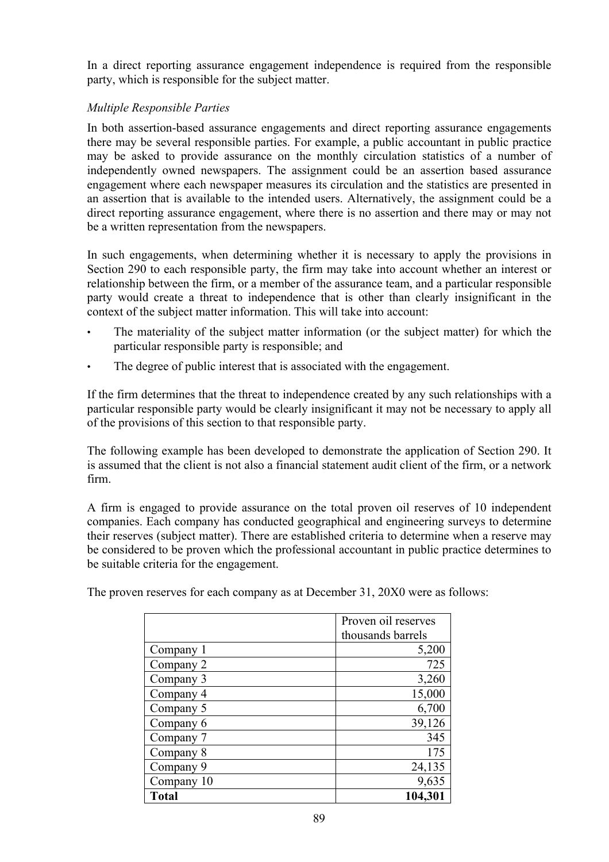In a direct reporting assurance engagement independence is required from the responsible party, which is responsible for the subject matter.

## *Multiple Responsible Parties*

In both assertion-based assurance engagements and direct reporting assurance engagements there may be several responsible parties. For example, a public accountant in public practice may be asked to provide assurance on the monthly circulation statistics of a number of independently owned newspapers. The assignment could be an assertion based assurance engagement where each newspaper measures its circulation and the statistics are presented in an assertion that is available to the intended users. Alternatively, the assignment could be a direct reporting assurance engagement, where there is no assertion and there may or may not be a written representation from the newspapers.

In such engagements, when determining whether it is necessary to apply the provisions in Section 290 to each responsible party, the firm may take into account whether an interest or relationship between the firm, or a member of the assurance team, and a particular responsible party would create a threat to independence that is other than clearly insignificant in the context of the subject matter information. This will take into account:

- The materiality of the subject matter information (or the subject matter) for which the particular responsible party is responsible; and
- The degree of public interest that is associated with the engagement.

If the firm determines that the threat to independence created by any such relationships with a particular responsible party would be clearly insignificant it may not be necessary to apply all of the provisions of this section to that responsible party.

The following example has been developed to demonstrate the application of Section 290. It is assumed that the client is not also a financial statement audit client of the firm, or a network firm.

A firm is engaged to provide assurance on the total proven oil reserves of 10 independent companies. Each company has conducted geographical and engineering surveys to determine their reserves (subject matter). There are established criteria to determine when a reserve may be considered to be proven which the professional accountant in public practice determines to be suitable criteria for the engagement.

The proven reserves for each company as at December 31, 20X0 were as follows:

|              | Proven oil reserves |
|--------------|---------------------|
|              | thousands barrels   |
| Company 1    | 5,200               |
| Company 2    | 725                 |
| Company 3    | 3,260               |
| Company 4    | 15,000              |
| Company 5    | 6,700               |
| Company 6    | 39,126              |
| Company 7    | 345                 |
| Company 8    | 175                 |
| Company 9    | 24,135              |
| Company 10   | 9,635               |
| <b>Total</b> | 104,301             |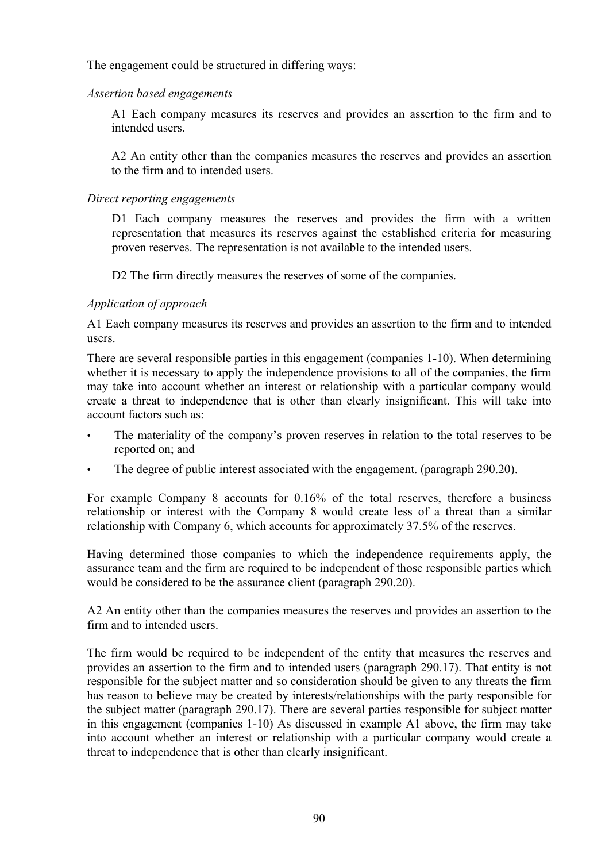The engagement could be structured in differing ways:

### *Assertion based engagements*

A1 Each company measures its reserves and provides an assertion to the firm and to intended users.

A2 An entity other than the companies measures the reserves and provides an assertion to the firm and to intended users.

### *Direct reporting engagements*

D1 Each company measures the reserves and provides the firm with a written representation that measures its reserves against the established criteria for measuring proven reserves. The representation is not available to the intended users.

D2 The firm directly measures the reserves of some of the companies.

### *Application of approach*

A1 Each company measures its reserves and provides an assertion to the firm and to intended users.

There are several responsible parties in this engagement (companies 1-10). When determining whether it is necessary to apply the independence provisions to all of the companies, the firm may take into account whether an interest or relationship with a particular company would create a threat to independence that is other than clearly insignificant. This will take into account factors such as:

- The materiality of the company's proven reserves in relation to the total reserves to be reported on; and
- The degree of public interest associated with the engagement. (paragraph 290.20).

For example Company 8 accounts for 0.16% of the total reserves, therefore a business relationship or interest with the Company 8 would create less of a threat than a similar relationship with Company 6, which accounts for approximately 37.5% of the reserves.

Having determined those companies to which the independence requirements apply, the assurance team and the firm are required to be independent of those responsible parties which would be considered to be the assurance client (paragraph 290.20).

A2 An entity other than the companies measures the reserves and provides an assertion to the firm and to intended users.

The firm would be required to be independent of the entity that measures the reserves and provides an assertion to the firm and to intended users (paragraph 290.17). That entity is not responsible for the subject matter and so consideration should be given to any threats the firm has reason to believe may be created by interests/relationships with the party responsible for the subject matter (paragraph 290.17). There are several parties responsible for subject matter in this engagement (companies 1-10) As discussed in example A1 above, the firm may take into account whether an interest or relationship with a particular company would create a threat to independence that is other than clearly insignificant.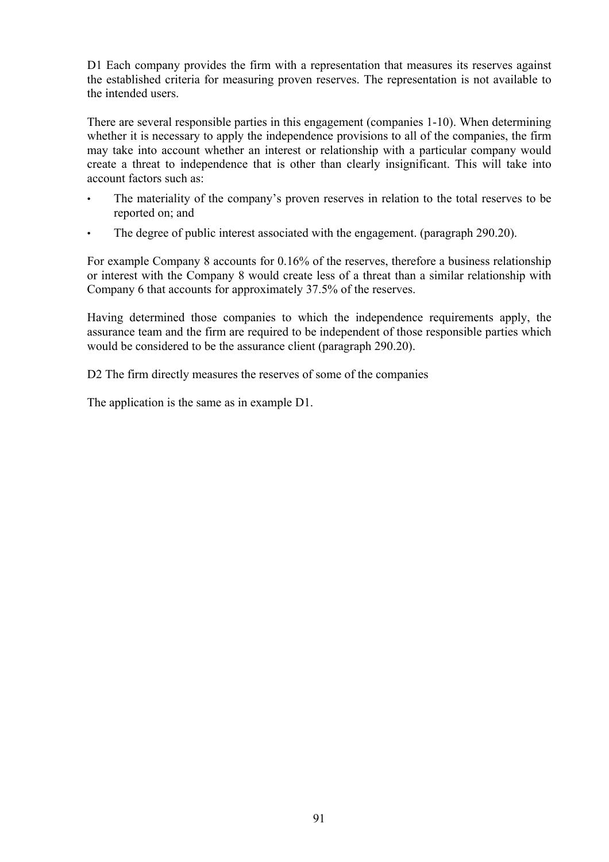D1 Each company provides the firm with a representation that measures its reserves against the established criteria for measuring proven reserves. The representation is not available to the intended users.

There are several responsible parties in this engagement (companies 1-10). When determining whether it is necessary to apply the independence provisions to all of the companies, the firm may take into account whether an interest or relationship with a particular company would create a threat to independence that is other than clearly insignificant. This will take into account factors such as:

- The materiality of the company's proven reserves in relation to the total reserves to be reported on; and
- The degree of public interest associated with the engagement. (paragraph 290.20).

For example Company 8 accounts for 0.16% of the reserves, therefore a business relationship or interest with the Company 8 would create less of a threat than a similar relationship with Company 6 that accounts for approximately 37.5% of the reserves.

Having determined those companies to which the independence requirements apply, the assurance team and the firm are required to be independent of those responsible parties which would be considered to be the assurance client (paragraph 290.20).

D2 The firm directly measures the reserves of some of the companies

The application is the same as in example D1.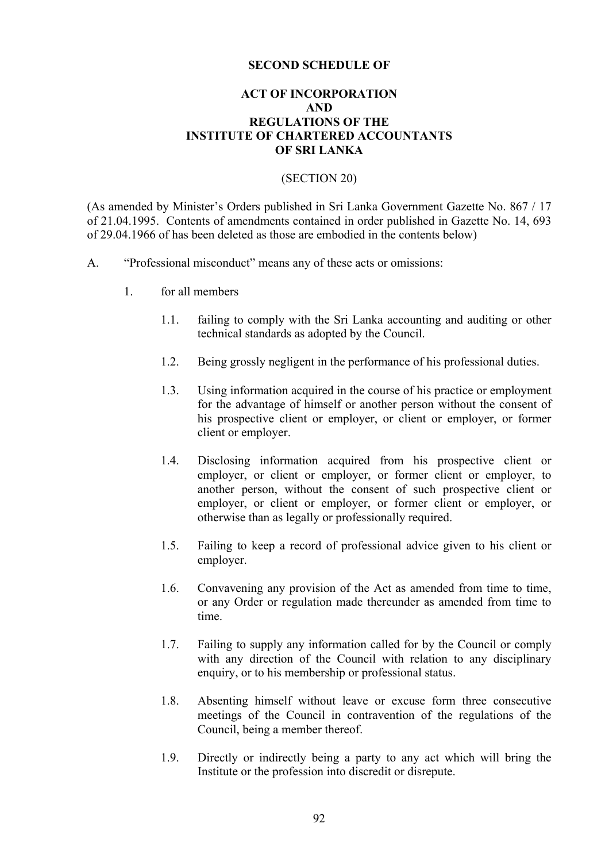#### **SECOND SCHEDULE OF**

### **ACT OF INCORPORATION AND REGULATIONS OF THE INSTITUTE OF CHARTERED ACCOUNTANTS OF SRI LANKA**

#### (SECTION 20)

(As amended by Minister's Orders published in Sri Lanka Government Gazette No. 867 / 17 of 21.04.1995. Contents of amendments contained in order published in Gazette No. 14, 693 of 29.04.1966 of has been deleted as those are embodied in the contents below)

- A. "Professional misconduct" means any of these acts or omissions:
	- 1. for all members
		- 1.1. failing to comply with the Sri Lanka accounting and auditing or other technical standards as adopted by the Council.
		- 1.2. Being grossly negligent in the performance of his professional duties.
		- 1.3. Using information acquired in the course of his practice or employment for the advantage of himself or another person without the consent of his prospective client or employer, or client or employer, or former client or employer.
		- 1.4. Disclosing information acquired from his prospective client or employer, or client or employer, or former client or employer, to another person, without the consent of such prospective client or employer, or client or employer, or former client or employer, or otherwise than as legally or professionally required.
		- 1.5. Failing to keep a record of professional advice given to his client or employer.
		- 1.6. Convavening any provision of the Act as amended from time to time, or any Order or regulation made thereunder as amended from time to time.
		- 1.7. Failing to supply any information called for by the Council or comply with any direction of the Council with relation to any disciplinary enquiry, or to his membership or professional status.
		- 1.8. Absenting himself without leave or excuse form three consecutive meetings of the Council in contravention of the regulations of the Council, being a member thereof.
		- 1.9. Directly or indirectly being a party to any act which will bring the Institute or the profession into discredit or disrepute.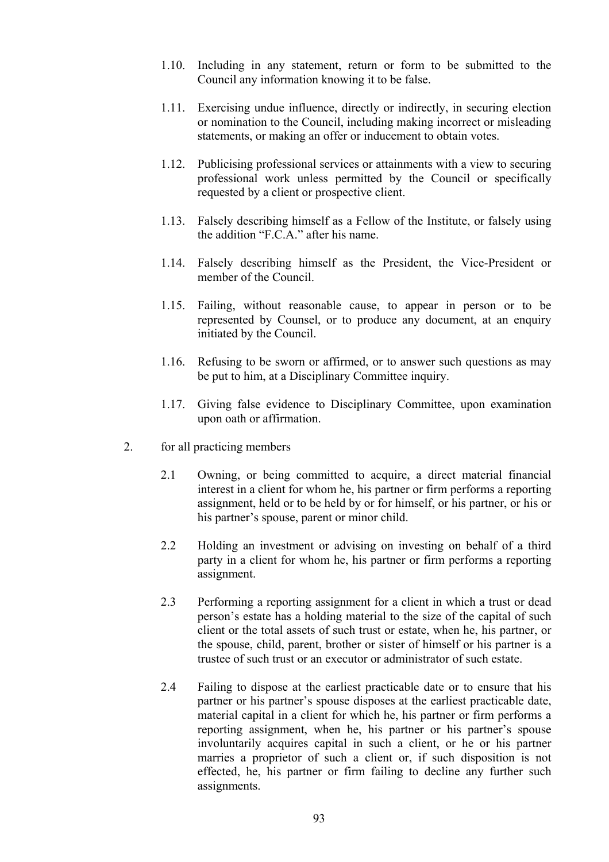- 1.10. Including in any statement, return or form to be submitted to the Council any information knowing it to be false.
- 1.11. Exercising undue influence, directly or indirectly, in securing election or nomination to the Council, including making incorrect or misleading statements, or making an offer or inducement to obtain votes.
- 1.12. Publicising professional services or attainments with a view to securing professional work unless permitted by the Council or specifically requested by a client or prospective client.
- 1.13. Falsely describing himself as a Fellow of the Institute, or falsely using the addition "F.C.A." after his name.
- 1.14. Falsely describing himself as the President, the Vice-President or member of the Council.
- 1.15. Failing, without reasonable cause, to appear in person or to be represented by Counsel, or to produce any document, at an enquiry initiated by the Council.
- 1.16. Refusing to be sworn or affirmed, or to answer such questions as may be put to him, at a Disciplinary Committee inquiry.
- 1.17. Giving false evidence to Disciplinary Committee, upon examination upon oath or affirmation.
- 2. for all practicing members
	- 2.1 Owning, or being committed to acquire, a direct material financial interest in a client for whom he, his partner or firm performs a reporting assignment, held or to be held by or for himself, or his partner, or his or his partner's spouse, parent or minor child.
	- 2.2 Holding an investment or advising on investing on behalf of a third party in a client for whom he, his partner or firm performs a reporting assignment.
	- 2.3 Performing a reporting assignment for a client in which a trust or dead person's estate has a holding material to the size of the capital of such client or the total assets of such trust or estate, when he, his partner, or the spouse, child, parent, brother or sister of himself or his partner is a trustee of such trust or an executor or administrator of such estate.
	- 2.4 Failing to dispose at the earliest practicable date or to ensure that his partner or his partner's spouse disposes at the earliest practicable date, material capital in a client for which he, his partner or firm performs a reporting assignment, when he, his partner or his partner's spouse involuntarily acquires capital in such a client, or he or his partner marries a proprietor of such a client or, if such disposition is not effected, he, his partner or firm failing to decline any further such assignments.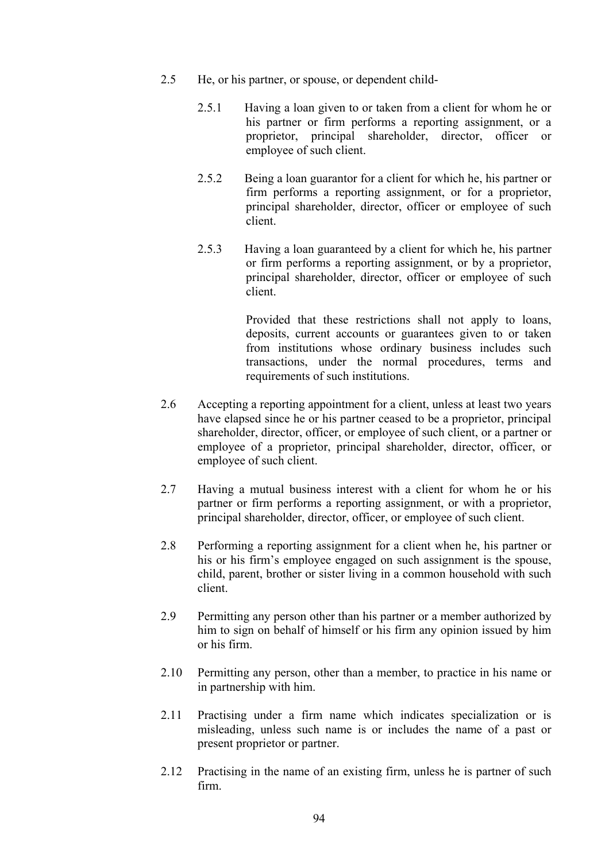- 2.5 He, or his partner, or spouse, or dependent child-
	- 2.5.1 Having a loan given to or taken from a client for whom he or his partner or firm performs a reporting assignment, or a proprietor, principal shareholder, director, officer or employee of such client.
	- 2.5.2 Being a loan guarantor for a client for which he, his partner or firm performs a reporting assignment, or for a proprietor, principal shareholder, director, officer or employee of such client.
	- 2.5.3 Having a loan guaranteed by a client for which he, his partner or firm performs a reporting assignment, or by a proprietor, principal shareholder, director, officer or employee of such client.

Provided that these restrictions shall not apply to loans, deposits, current accounts or guarantees given to or taken from institutions whose ordinary business includes such transactions, under the normal procedures, terms and requirements of such institutions.

- 2.6 Accepting a reporting appointment for a client, unless at least two years have elapsed since he or his partner ceased to be a proprietor, principal shareholder, director, officer, or employee of such client, or a partner or employee of a proprietor, principal shareholder, director, officer, or employee of such client.
- 2.7 Having a mutual business interest with a client for whom he or his partner or firm performs a reporting assignment, or with a proprietor, principal shareholder, director, officer, or employee of such client.
- 2.8 Performing a reporting assignment for a client when he, his partner or his or his firm's employee engaged on such assignment is the spouse, child, parent, brother or sister living in a common household with such client.
- 2.9 Permitting any person other than his partner or a member authorized by him to sign on behalf of himself or his firm any opinion issued by him or his firm.
- 2.10 Permitting any person, other than a member, to practice in his name or in partnership with him.
- 2.11 Practising under a firm name which indicates specialization or is misleading, unless such name is or includes the name of a past or present proprietor or partner.
- 2.12 Practising in the name of an existing firm, unless he is partner of such firm.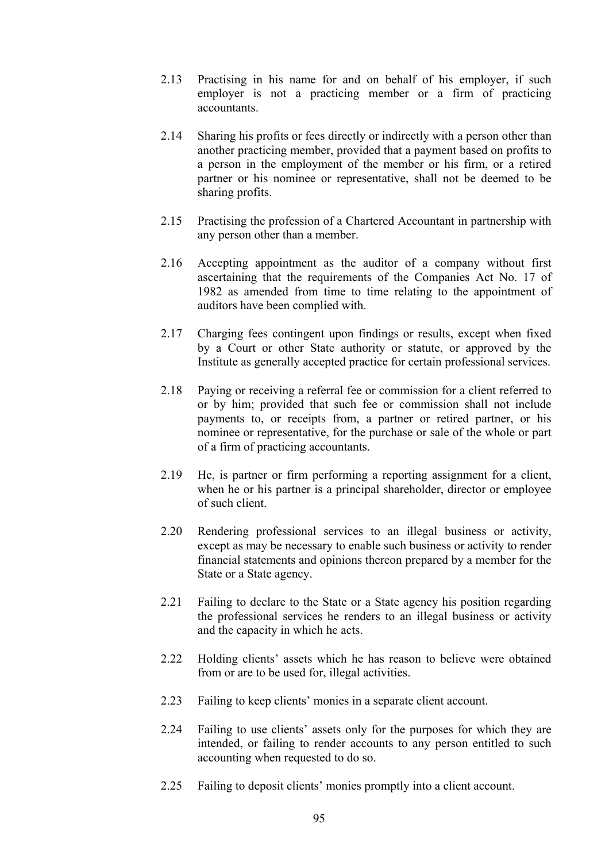- 2.13 Practising in his name for and on behalf of his employer, if such employer is not a practicing member or a firm of practicing accountants.
- 2.14 Sharing his profits or fees directly or indirectly with a person other than another practicing member, provided that a payment based on profits to a person in the employment of the member or his firm, or a retired partner or his nominee or representative, shall not be deemed to be sharing profits.
- 2.15 Practising the profession of a Chartered Accountant in partnership with any person other than a member.
- 2.16 Accepting appointment as the auditor of a company without first ascertaining that the requirements of the Companies Act No. 17 of 1982 as amended from time to time relating to the appointment of auditors have been complied with.
- 2.17 Charging fees contingent upon findings or results, except when fixed by a Court or other State authority or statute, or approved by the Institute as generally accepted practice for certain professional services.
- 2.18 Paying or receiving a referral fee or commission for a client referred to or by him; provided that such fee or commission shall not include payments to, or receipts from, a partner or retired partner, or his nominee or representative, for the purchase or sale of the whole or part of a firm of practicing accountants.
- 2.19 He, is partner or firm performing a reporting assignment for a client, when he or his partner is a principal shareholder, director or employee of such client.
- 2.20 Rendering professional services to an illegal business or activity, except as may be necessary to enable such business or activity to render financial statements and opinions thereon prepared by a member for the State or a State agency.
- 2.21 Failing to declare to the State or a State agency his position regarding the professional services he renders to an illegal business or activity and the capacity in which he acts.
- 2.22 Holding clients' assets which he has reason to believe were obtained from or are to be used for, illegal activities.
- 2.23 Failing to keep clients' monies in a separate client account.
- 2.24 Failing to use clients' assets only for the purposes for which they are intended, or failing to render accounts to any person entitled to such accounting when requested to do so.
- 2.25 Failing to deposit clients' monies promptly into a client account.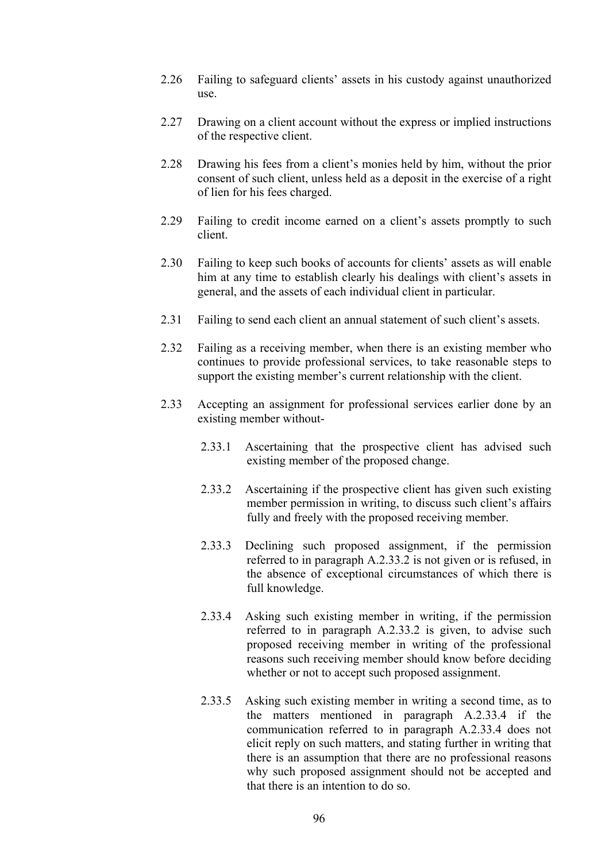- 2.26 Failing to safeguard clients' assets in his custody against unauthorized use.
- 2.27 Drawing on a client account without the express or implied instructions of the respective client.
- 2.28 Drawing his fees from a client's monies held by him, without the prior consent of such client, unless held as a deposit in the exercise of a right of lien for his fees charged.
- 2.29 Failing to credit income earned on a client's assets promptly to such client.
- 2.30 Failing to keep such books of accounts for clients' assets as will enable him at any time to establish clearly his dealings with client's assets in general, and the assets of each individual client in particular.
- 2.31 Failing to send each client an annual statement of such client's assets.
- 2.32 Failing as a receiving member, when there is an existing member who continues to provide professional services, to take reasonable steps to support the existing member's current relationship with the client.
- 2.33 Accepting an assignment for professional services earlier done by an existing member without-
	- 2.33.1 Ascertaining that the prospective client has advised such existing member of the proposed change.
	- 2.33.2 Ascertaining if the prospective client has given such existing member permission in writing, to discuss such client's affairs fully and freely with the proposed receiving member.
	- 2.33.3 Declining such proposed assignment, if the permission referred to in paragraph A.2.33.2 is not given or is refused, in the absence of exceptional circumstances of which there is full knowledge.
	- 2.33.4 Asking such existing member in writing, if the permission referred to in paragraph A.2.33.2 is given, to advise such proposed receiving member in writing of the professional reasons such receiving member should know before deciding whether or not to accept such proposed assignment.
	- 2.33.5 Asking such existing member in writing a second time, as to the matters mentioned in paragraph A.2.33.4 if the communication referred to in paragraph A.2.33.4 does not elicit reply on such matters, and stating further in writing that there is an assumption that there are no professional reasons why such proposed assignment should not be accepted and that there is an intention to do so.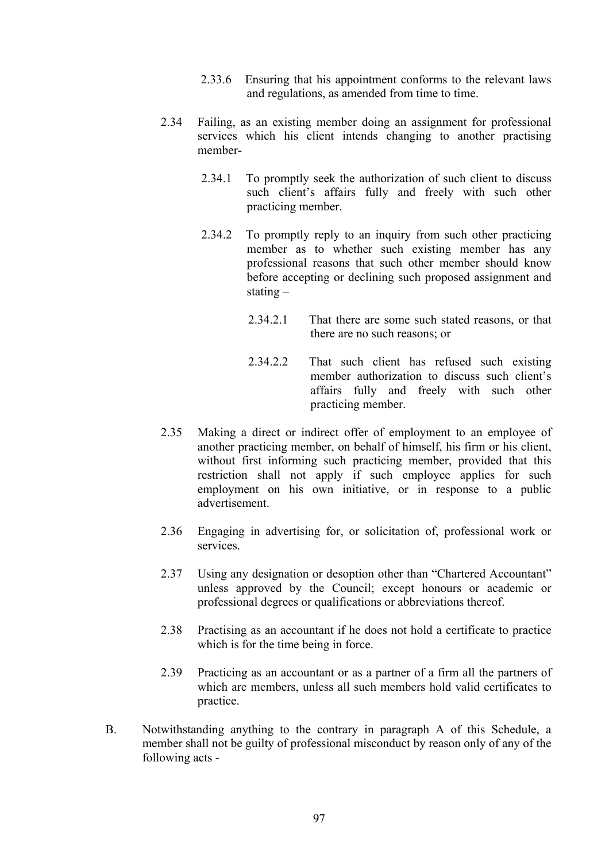- 2.33.6 Ensuring that his appointment conforms to the relevant laws and regulations, as amended from time to time.
- 2.34 Failing, as an existing member doing an assignment for professional services which his client intends changing to another practising member-
	- 2.34.1 To promptly seek the authorization of such client to discuss such client's affairs fully and freely with such other practicing member.
	- 2.34.2 To promptly reply to an inquiry from such other practicing member as to whether such existing member has any professional reasons that such other member should know before accepting or declining such proposed assignment and stating –
		- 2.34.2.1 That there are some such stated reasons, or that there are no such reasons; or
		- 2.34.2.2 That such client has refused such existing member authorization to discuss such client's affairs fully and freely with such other practicing member.
- 2.35 Making a direct or indirect offer of employment to an employee of another practicing member, on behalf of himself, his firm or his client, without first informing such practicing member, provided that this restriction shall not apply if such employee applies for such employment on his own initiative, or in response to a public advertisement.
- 2.36 Engaging in advertising for, or solicitation of, professional work or services.
- 2.37 Using any designation or desoption other than "Chartered Accountant" unless approved by the Council; except honours or academic or professional degrees or qualifications or abbreviations thereof.
- 2.38 Practising as an accountant if he does not hold a certificate to practice which is for the time being in force.
- 2.39 Practicing as an accountant or as a partner of a firm all the partners of which are members, unless all such members hold valid certificates to practice.
- B. Notwithstanding anything to the contrary in paragraph A of this Schedule, a member shall not be guilty of professional misconduct by reason only of any of the following acts -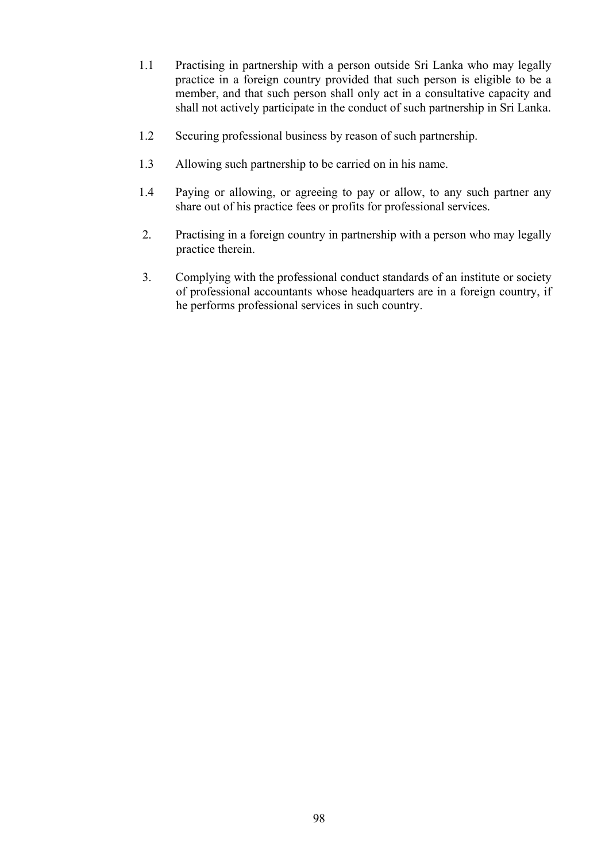- 1.1 Practising in partnership with a person outside Sri Lanka who may legally practice in a foreign country provided that such person is eligible to be a member, and that such person shall only act in a consultative capacity and shall not actively participate in the conduct of such partnership in Sri Lanka.
- 1.2 Securing professional business by reason of such partnership.
- 1.3 Allowing such partnership to be carried on in his name.
- 1.4 Paying or allowing, or agreeing to pay or allow, to any such partner any share out of his practice fees or profits for professional services.
- 2. Practising in a foreign country in partnership with a person who may legally practice therein.
- 3. Complying with the professional conduct standards of an institute or society of professional accountants whose headquarters are in a foreign country, if he performs professional services in such country.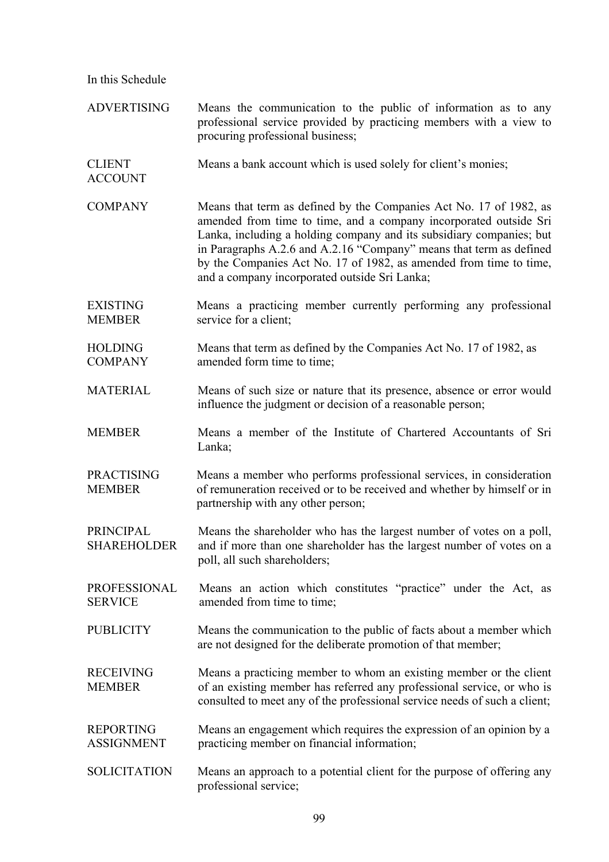In this Schedule

ACCOUNT

- ADVERTISING Means the communication to the public of information as to any professional service provided by practicing members with a view to procuring professional business;
- CLIENT Means a bank account which is used solely for client's monies;
- COMPANY Means that term as defined by the Companies Act No. 17 of 1982, as amended from time to time, and a company incorporated outside Sri Lanka, including a holding company and its subsidiary companies; but in Paragraphs A.2.6 and A.2.16 "Company" means that term as defined by the Companies Act No. 17 of 1982, as amended from time to time, and a company incorporated outside Sri Lanka;
- EXISTING Means a practicing member currently performing any professional MEMBER service for a client:
- HOLDING Means that term as defined by the Companies Act No. 17 of 1982, as COMPANY amended form time to time;
- MATERIAL Means of such size or nature that its presence, absence or error would influence the judgment or decision of a reasonable person;
- MEMBER Means a member of the Institute of Chartered Accountants of Sri Lanka;
- PRACTISING Means a member who performs professional services, in consideration MEMBER of remuneration received or to be received and whether by himself or in partnership with any other person;
- PRINCIPAL Means the shareholder who has the largest number of votes on a poll, SHAREHOLDER and if more than one shareholder has the largest number of votes on a poll, all such shareholders;
- PROFESSIONAL Means an action which constitutes "practice" under the Act, as SERVICE amended from time to time:
- PUBLICITY Means the communication to the public of facts about a member which are not designed for the deliberate promotion of that member;
- RECEIVING Means a practicing member to whom an existing member or the client MEMBER of an existing member has referred any professional service, or who is consulted to meet any of the professional service needs of such a client;
- REPORTING Means an engagement which requires the expression of an opinion by a ASSIGNMENT practicing member on financial information;
- SOLICITATION Means an approach to a potential client for the purpose of offering any professional service;